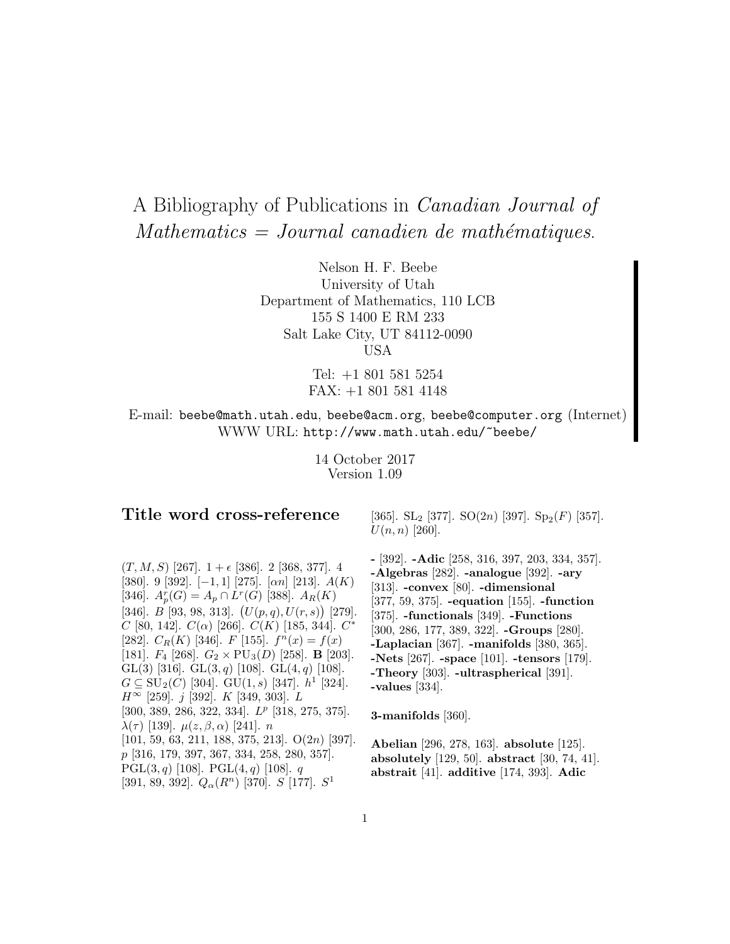# A Bibliography of Publications in Canadian Journal of  $Mathematics = Journal\ candidate\ de\ mathématiques.$

Nelson H. F. Beebe University of Utah Department of Mathematics, 110 LCB 155 S 1400 E RM 233 Salt Lake City, UT 84112-0090 USA

> Tel: +1 801 581 5254 FAX: +1 801 581 4148

E-mail: beebe@math.utah.edu, beebe@acm.org, beebe@computer.org (Internet) WWW URL: http://www.math.utah.edu/~beebe/

> 14 October 2017 Version 1.09

# **Title word cross-reference**

 $(T, M, S)$  [267].  $1 + \epsilon$  [386]. 2 [368, 377]. 4 [380]. 9 [392].  $[-1, 1]$  [275].  $[\alpha n]$  [213].  $A(K)$ [346].  $A_p^r(G) = A_p \cap L^r(G)$  [388].  $A_R(K)$ [346].  $B$  [93, 98, 313].  $(U(p,q), U(r,s))$  [279]. C [80, 142].  $C(\alpha)$  [266].  $C(K)$  [185, 344].  $C^*$ [282].  $C_R(K)$  [346]. F [155].  $f^n(x) = f(x)$ [181].  $F_4$  [268].  $G_2 \times \text{PU}_3(D)$  [258]. **B** [203]. GL(3) [316]. GL(3, q) [108]. GL(4, q) [108].  $G \subseteq SU_2(C)$  [304]. GU(1, s) [347].  $h^1$  [324].  $H^{\infty}$  [259]. j [392]. K [349, 303]. L [300, 389, 286, 322, 334].  $L^p$  [318, 275, 375].  $\lambda(τ)$  [139].  $\mu(z, \beta, \alpha)$  [241]. *n* [101, 59, 63, 211, 188, 375, 213]. O(2n) [397]. p [316, 179, 397, 367, 334, 258, 280, 357]. PGL $(3, q)$  [108]. PGL $(4, q)$  [108].  $q$ [391, 89, 392].  $Q_{\alpha}(R^n)$  [370]. S [177].  $S^1$ 

[365]. SL<sub>2</sub> [377]. SO $(2n)$  [397]. Sp<sub>2</sub> $(F)$  [357].  $U(n, n)$  [260].

**-** [392]. **-Adic** [258, 316, 397, 203, 334, 357]. **-Algebras** [282]. **-analogue** [392]. **-ary** [313]. **-convex** [80]. **-dimensional** [377, 59, 375]. **-equation** [155]. **-function** [375]. **-functionals** [349]. **-Functions** [300, 286, 177, 389, 322]. **-Groups** [280]. **-Laplacian** [367]. **-manifolds** [380, 365]. **-Nets** [267]. **-space** [101]. **-tensors** [179]. **-Theory** [303]. **-ultraspherical** [391]. **-values** [334].

**3-manifolds** [360].

**Abelian** [296, 278, 163]. **absolute** [125]. **absolutely** [129, 50]. **abstract** [30, 74, 41]. **abstrait** [41]. **additive** [174, 393]. **Adic**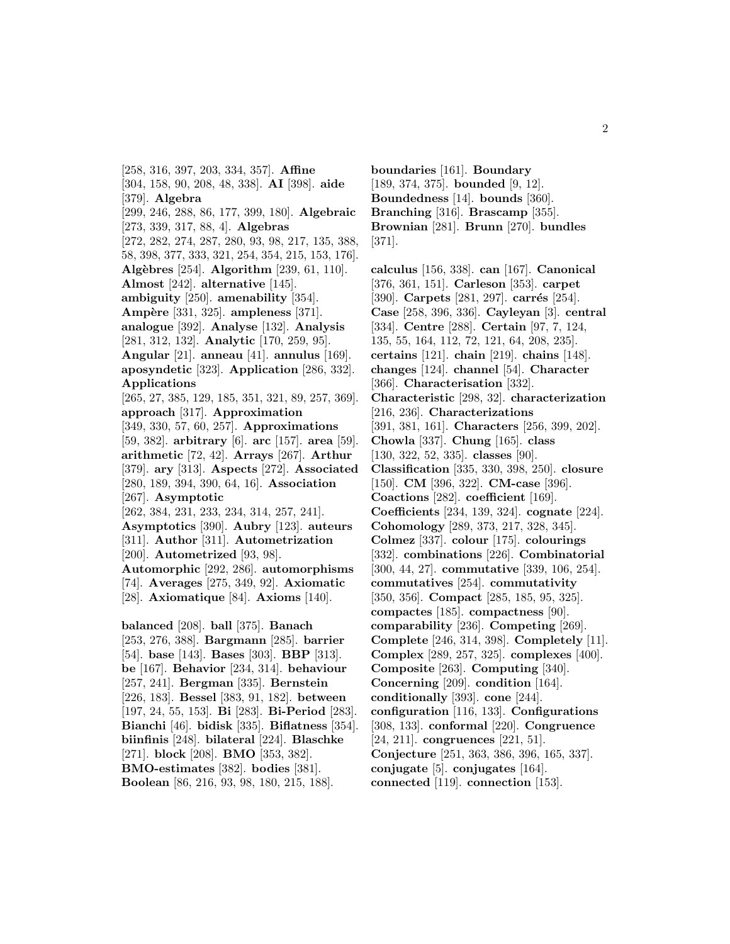[258, 316, 397, 203, 334, 357]. **Affine** [304, 158, 90, 208, 48, 338]. **AI** [398]. **aide** [379]. **Algebra** [299, 246, 288, 86, 177, 399, 180]. **Algebraic** [273, 339, 317, 88, 4]. **Algebras** [272, 282, 274, 287, 280, 93, 98, 217, 135, 388, 58, 398, 377, 333, 321, 254, 354, 215, 153, 176]. **Alg`ebres** [254]. **Algorithm** [239, 61, 110]. **Almost** [242]. **alternative** [145]. **ambiguity** [250]. **amenability** [354]. **Amp`ere** [331, 325]. **ampleness** [371]. **analogue** [392]. **Analyse** [132]. **Analysis** [281, 312, 132]. **Analytic** [170, 259, 95]. **Angular** [21]. **anneau** [41]. **annulus** [169]. **aposyndetic** [323]. **Application** [286, 332]. **Applications** [265, 27, 385, 129, 185, 351, 321, 89, 257, 369]. **approach** [317]. **Approximation** [349, 330, 57, 60, 257]. **Approximations** [59, 382]. **arbitrary** [6]. **arc** [157]. **area** [59]. **arithmetic** [72, 42]. **Arrays** [267]. **Arthur** [379]. **ary** [313]. **Aspects** [272]. **Associated** [280, 189, 394, 390, 64, 16]. **Association** [267]. **Asymptotic** [262, 384, 231, 233, 234, 314, 257, 241]. **Asymptotics** [390]. **Aubry** [123]. **auteurs** [311]. **Author** [311]. **Autometrization** [200]. **Autometrized** [93, 98]. **Automorphic** [292, 286]. **automorphisms** [74]. **Averages** [275, 349, 92]. **Axiomatic** [28]. **Axiomatique** [84]. **Axioms** [140]. **balanced** [208]. **ball** [375]. **Banach** [253, 276, 388]. **Bargmann** [285]. **barrier** [54]. **base** [143]. **Bases** [303]. **BBP** [313]. **be** [167]. **Behavior** [234, 314]. **behaviour** [257, 241]. **Bergman** [335]. **Bernstein** [226, 183]. **Bessel** [383, 91, 182]. **between** [197, 24, 55, 153]. **Bi** [283]. **Bi-Period** [283]. **Bianchi** [46]. **bidisk** [335]. **Biflatness** [354]. **biinfinis** [248]. **bilateral** [224]. **Blaschke** [271]. **block** [208]. **BMO** [353, 382].

**BMO-estimates** [382]. **bodies** [381]. **Boolean** [86, 216, 93, 98, 180, 215, 188].

**boundaries** [161]. **Boundary** [189, 374, 375]. **bounded** [9, 12]. **Boundedness** [14]. **bounds** [360]. **Branching** [316]. **Brascamp** [355]. **Brownian** [281]. **Brunn** [270]. **bundles** [371].

**calculus** [156, 338]. **can** [167]. **Canonical** [376, 361, 151]. **Carleson** [353]. **carpet** [390]. **Carpets** [281, 297]. **carrés** [254]. **Case** [258, 396, 336]. **Cayleyan** [3]. **central** [334]. **Centre** [288]. **Certain** [97, 7, 124, 135, 55, 164, 112, 72, 121, 64, 208, 235]. **certains** [121]. **chain** [219]. **chains** [148]. **changes** [124]. **channel** [54]. **Character** [366]. **Characterisation** [332]. **Characteristic** [298, 32]. **characterization** [216, 236]. **Characterizations** [391, 381, 161]. **Characters** [256, 399, 202]. **Chowla** [337]. **Chung** [165]. **class** [130, 322, 52, 335]. **classes** [90]. **Classification** [335, 330, 398, 250]. **closure** [150]. **CM** [396, 322]. **CM-case** [396]. **Coactions** [282]. **coefficient** [169]. **Coefficients** [234, 139, 324]. **cognate** [224]. **Cohomology** [289, 373, 217, 328, 345]. **Colmez** [337]. **colour** [175]. **colourings** [332]. **combinations** [226]. **Combinatorial** [300, 44, 27]. **commutative** [339, 106, 254]. **commutatives** [254]. **commutativity** [350, 356]. **Compact** [285, 185, 95, 325]. **compactes** [185]. **compactness** [90]. **comparability** [236]. **Competing** [269]. **Complete** [246, 314, 398]. **Completely** [11]. **Complex** [289, 257, 325]. **complexes** [400]. **Composite** [263]. **Computing** [340]. **Concerning** [209]. **condition** [164]. **conditionally** [393]. **cone** [244]. **configuration** [116, 133]. **Configurations** [308, 133]. **conformal** [220]. **Congruence** [24, 211]. **congruences** [221, 51]. **Conjecture** [251, 363, 386, 396, 165, 337]. **conjugate** [5]. **conjugates** [164]. **connected** [119]. **connection** [153].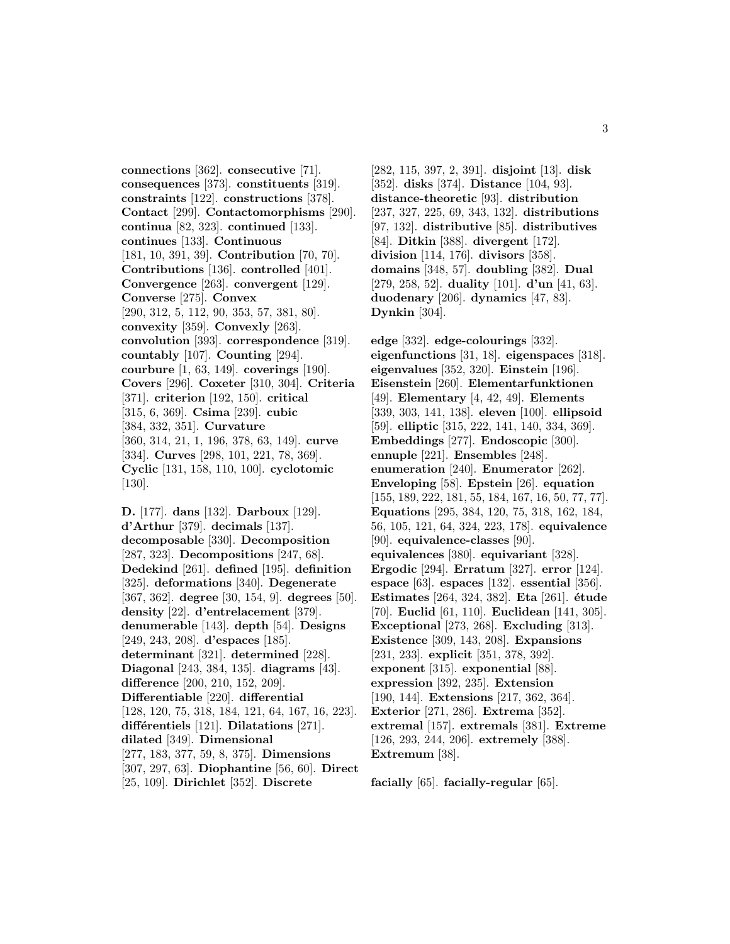**connections** [362]. **consecutive** [71]. **consequences** [373]. **constituents** [319]. **constraints** [122]. **constructions** [378]. **Contact** [299]. **Contactomorphisms** [290]. **continua** [82, 323]. **continued** [133]. **continues** [133]. **Continuous** [181, 10, 391, 39]. **Contribution** [70, 70]. **Contributions** [136]. **controlled** [401]. **Convergence** [263]. **convergent** [129]. **Converse** [275]. **Convex** [290, 312, 5, 112, 90, 353, 57, 381, 80]. **convexity** [359]. **Convexly** [263]. **convolution** [393]. **correspondence** [319]. **countably** [107]. **Counting** [294]. **courbure** [1, 63, 149]. **coverings** [190]. **Covers** [296]. **Coxeter** [310, 304]. **Criteria** [371]. **criterion** [192, 150]. **critical** [315, 6, 369]. **Csima** [239]. **cubic** [384, 332, 351]. **Curvature** [360, 314, 21, 1, 196, 378, 63, 149]. **curve** [334]. **Curves** [298, 101, 221, 78, 369]. **Cyclic** [131, 158, 110, 100]. **cyclotomic** [130].

**D.** [177]. **dans** [132]. **Darboux** [129]. **d'Arthur** [379]. **decimals** [137]. **decomposable** [330]. **Decomposition** [287, 323]. **Decompositions** [247, 68]. **Dedekind** [261]. **defined** [195]. **definition** [325]. **deformations** [340]. **Degenerate** [367, 362]. **degree** [30, 154, 9]. **degrees** [50]. **density** [22]. **d'entrelacement** [379]. **denumerable** [143]. **depth** [54]. **Designs** [249, 243, 208]. **d'espaces** [185]. **determinant** [321]. **determined** [228]. **Diagonal** [243, 384, 135]. **diagrams** [43]. **difference** [200, 210, 152, 209]. **Differentiable** [220]. **differential** [128, 120, 75, 318, 184, 121, 64, 167, 16, 223]. **diff´erentiels** [121]. **Dilatations** [271]. **dilated** [349]. **Dimensional** [277, 183, 377, 59, 8, 375]. **Dimensions** [307, 297, 63]. **Diophantine** [56, 60]. **Direct** [25, 109]. **Dirichlet** [352]. **Discrete**

[282, 115, 397, 2, 391]. **disjoint** [13]. **disk** [352]. **disks** [374]. **Distance** [104, 93]. **distance-theoretic** [93]. **distribution** [237, 327, 225, 69, 343, 132]. **distributions** [97, 132]. **distributive** [85]. **distributives** [84]. **Ditkin** [388]. **divergent** [172]. **division** [114, 176]. **divisors** [358]. **domains** [348, 57]. **doubling** [382]. **Dual** [279, 258, 52]. **duality** [101]. **d'un** [41, 63]. **duodenary** [206]. **dynamics** [47, 83]. **Dynkin** [304].

**edge** [332]. **edge-colourings** [332]. **eigenfunctions** [31, 18]. **eigenspaces** [318]. **eigenvalues** [352, 320]. **Einstein** [196]. **Eisenstein** [260]. **Elementarfunktionen** [49]. **Elementary** [4, 42, 49]. **Elements** [339, 303, 141, 138]. **eleven** [100]. **ellipsoid** [59]. **elliptic** [315, 222, 141, 140, 334, 369]. **Embeddings** [277]. **Endoscopic** [300]. **ennuple** [221]. **Ensembles** [248]. **enumeration** [240]. **Enumerator** [262]. **Enveloping** [58]. **Epstein** [26]. **equation** [155, 189, 222, 181, 55, 184, 167, 16, 50, 77, 77]. **Equations** [295, 384, 120, 75, 318, 162, 184, 56, 105, 121, 64, 324, 223, 178]. **equivalence** [90]. **equivalence-classes** [90]. **equivalences** [380]. **equivariant** [328]. **Ergodic** [294]. **Erratum** [327]. **error** [124]. **espace** [63]. **espaces** [132]. **essential** [356]. **Estimates** [264, 324, 382]. **Eta** [261]. **´etude** [70]. **Euclid** [61, 110]. **Euclidean** [141, 305]. **Exceptional** [273, 268]. **Excluding** [313]. **Existence** [309, 143, 208]. **Expansions** [231, 233]. **explicit** [351, 378, 392]. **exponent** [315]. **exponential** [88]. **expression** [392, 235]. **Extension** [190, 144]. **Extensions** [217, 362, 364]. **Exterior** [271, 286]. **Extrema** [352]. **extremal** [157]. **extremals** [381]. **Extreme** [126, 293, 244, 206]. **extremely** [388]. **Extremum** [38].

**facially** [65]. **facially-regular** [65].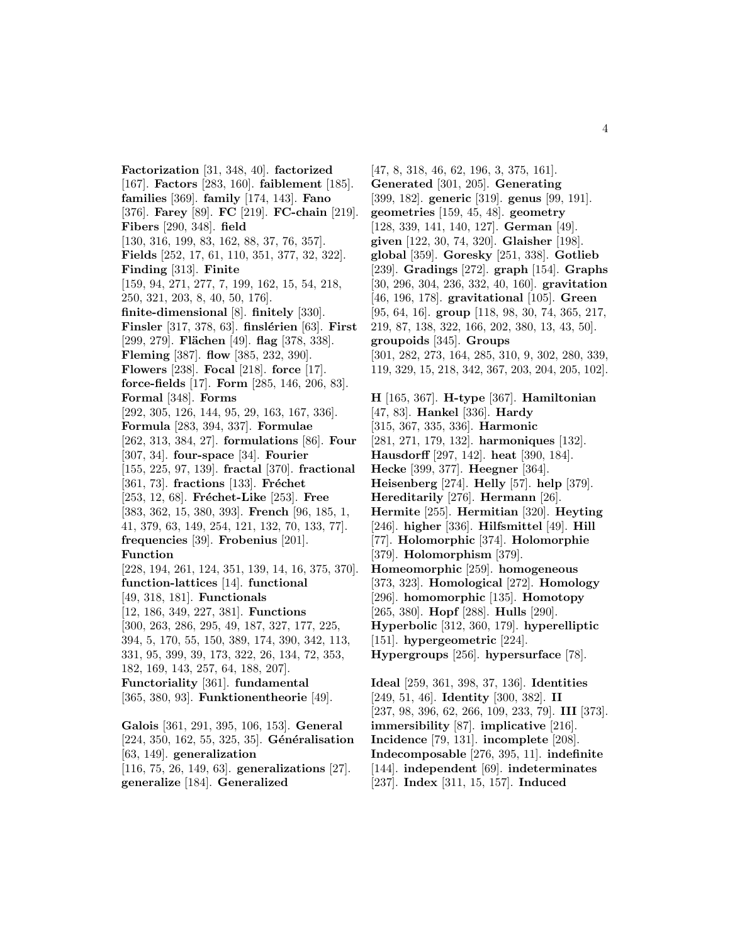**Factorization** [31, 348, 40]. **factorized** [167]. **Factors** [283, 160]. **faiblement** [185]. **families** [369]. **family** [174, 143]. **Fano** [376]. **Farey** [89]. **FC** [219]. **FC-chain** [219]. **Fibers** [290, 348]. **field** [130, 316, 199, 83, 162, 88, 37, 76, 357]. **Fields** [252, 17, 61, 110, 351, 377, 32, 322]. **Finding** [313]. **Finite** [159, 94, 271, 277, 7, 199, 162, 15, 54, 218, 250, 321, 203, 8, 40, 50, 176]. **finite-dimensional** [8]. **finitely** [330]. **Finsler** [317, 378, 63]. **finslérien** [63]. **First** [299, 279]. **Flächen** [49]. **flag** [378, 338]. **Fleming** [387]. **flow** [385, 232, 390]. **Flowers** [238]. **Focal** [218]. **force** [17]. **force-fields** [17]. **Form** [285, 146, 206, 83]. **Formal** [348]. **Forms** [292, 305, 126, 144, 95, 29, 163, 167, 336]. **Formula** [283, 394, 337]. **Formulae** [262, 313, 384, 27]. **formulations** [86]. **Four** [307, 34]. **four-space** [34]. **Fourier** [155, 225, 97, 139]. **fractal** [370]. **fractional** [361, 73]. **fractions** [133]. **Fréchet** [253, 12, 68]. **Fréchet-Like** [253]. **Free** [383, 362, 15, 380, 393]. **French** [96, 185, 1, 41, 379, 63, 149, 254, 121, 132, 70, 133, 77]. **frequencies** [39]. **Frobenius** [201]. **Function** [228, 194, 261, 124, 351, 139, 14, 16, 375, 370]. **function-lattices** [14]. **functional** [49, 318, 181]. **Functionals** [12, 186, 349, 227, 381]. **Functions** [300, 263, 286, 295, 49, 187, 327, 177, 225, 394, 5, 170, 55, 150, 389, 174, 390, 342, 113, 331, 95, 399, 39, 173, 322, 26, 134, 72, 353, 182, 169, 143, 257, 64, 188, 207]. **Functoriality** [361]. **fundamental** [365, 380, 93]. **Funktionentheorie** [49]. **Galois** [361, 291, 395, 106, 153]. **General**

[224, 350, 162, 55, 325, 35]. **Généralisation** [63, 149]. **generalization** [116, 75, 26, 149, 63]. **generalizations** [27]. **generalize** [184]. **Generalized**

[47, 8, 318, 46, 62, 196, 3, 375, 161]. **Generated** [301, 205]. **Generating** [399, 182]. **generic** [319]. **genus** [99, 191]. **geometries** [159, 45, 48]. **geometry** [128, 339, 141, 140, 127]. **German** [49]. **given** [122, 30, 74, 320]. **Glaisher** [198]. **global** [359]. **Goresky** [251, 338]. **Gotlieb** [239]. **Gradings** [272]. **graph** [154]. **Graphs** [30, 296, 304, 236, 332, 40, 160]. **gravitation** [46, 196, 178]. **gravitational** [105]. **Green** [95, 64, 16]. **group** [118, 98, 30, 74, 365, 217, 219, 87, 138, 322, 166, 202, 380, 13, 43, 50]. **groupoids** [345]. **Groups** [301, 282, 273, 164, 285, 310, 9, 302, 280, 339, 119, 329, 15, 218, 342, 367, 203, 204, 205, 102]. **H** [165, 367]. **H-type** [367]. **Hamiltonian** [47, 83]. **Hankel** [336]. **Hardy** [315, 367, 335, 336]. **Harmonic** [281, 271, 179, 132]. **harmoniques** [132]. **Hausdorff** [297, 142]. **heat** [390, 184]. **Hecke** [399, 377]. **Heegner** [364]. **Heisenberg** [274]. **Helly** [57]. **help** [379]. **Hereditarily** [276]. **Hermann** [26]. **Hermite** [255]. **Hermitian** [320]. **Heyting** [246]. **higher** [336]. **Hilfsmittel** [49]. **Hill** [77]. **Holomorphic** [374]. **Holomorphie** [379]. **Holomorphism** [379]. **Homeomorphic** [259]. **homogeneous** [373, 323]. **Homological** [272]. **Homology** [296]. **homomorphic** [135]. **Homotopy**

[265, 380]. **Hopf** [288]. **Hulls** [290].

**Hyperbolic** [312, 360, 179]. **hyperelliptic**

[151]. **hypergeometric** [224].

**Hypergroups** [256]. **hypersurface** [78].

**Ideal** [259, 361, 398, 37, 136]. **Identities** [249, 51, 46]. **Identity** [300, 382]. **II** [237, 98, 396, 62, 266, 109, 233, 79]. **III** [373]. **immersibility** [87]. **implicative** [216]. **Incidence** [79, 131]. **incomplete** [208]. **Indecomposable** [276, 395, 11]. **indefinite** [144]. **independent** [69]. **indeterminates** [237]. **Index** [311, 15, 157]. **Induced**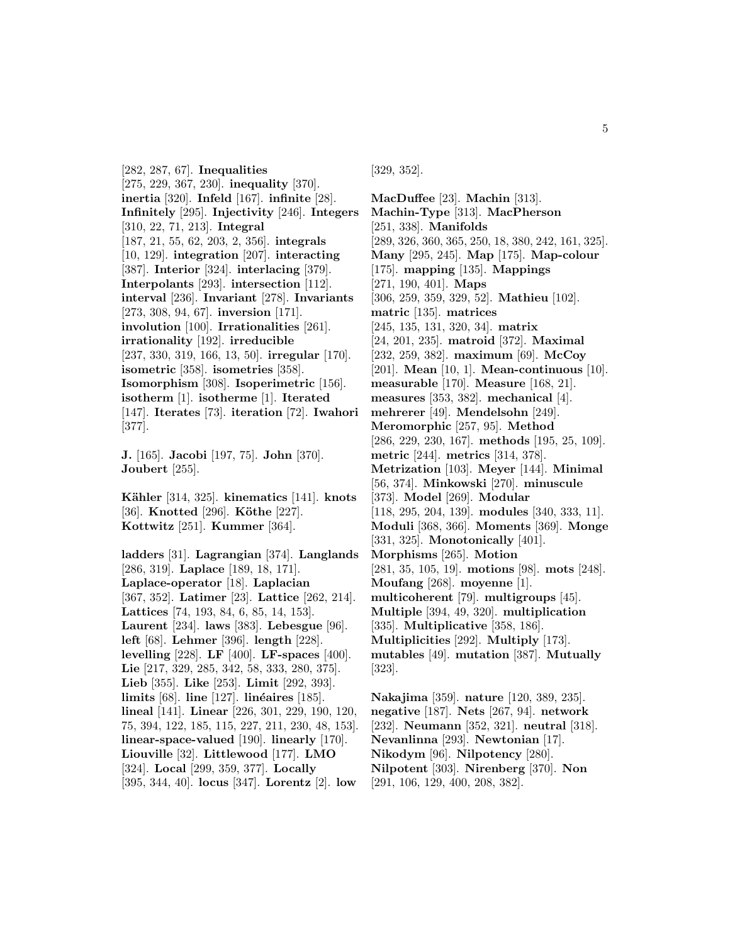[282, 287, 67]. **Inequalities** [275, 229, 367, 230]. **inequality** [370]. **inertia** [320]. **Infeld** [167]. **infinite** [28]. **Infinitely** [295]. **Injectivity** [246]. **Integers** [310, 22, 71, 213]. **Integral** [187, 21, 55, 62, 203, 2, 356]. **integrals** [10, 129]. **integration** [207]. **interacting** [387]. **Interior** [324]. **interlacing** [379]. **Interpolants** [293]. **intersection** [112]. **interval** [236]. **Invariant** [278]. **Invariants** [273, 308, 94, 67]. **inversion** [171]. **involution** [100]. **Irrationalities** [261]. **irrationality** [192]. **irreducible** [237, 330, 319, 166, 13, 50]. **irregular** [170]. **isometric** [358]. **isometries** [358]. **Isomorphism** [308]. **Isoperimetric** [156]. **isotherm** [1]. **isotherme** [1]. **Iterated** [147]. **Iterates** [73]. **iteration** [72]. **Iwahori** [377].

**J.** [165]. **Jacobi** [197, 75]. **John** [370]. **Joubert** [255].

**K¨ahler** [314, 325]. **kinematics** [141]. **knots** [36]. **Knotted** [296]. **Köthe** [227]. **Kottwitz** [251]. **Kummer** [364].

**ladders** [31]. **Lagrangian** [374]. **Langlands** [286, 319]. **Laplace** [189, 18, 171]. **Laplace-operator** [18]. **Laplacian** [367, 352]. **Latimer** [23]. **Lattice** [262, 214]. **Lattices** [74, 193, 84, 6, 85, 14, 153]. **Laurent** [234]. **laws** [383]. **Lebesgue** [96]. **left** [68]. **Lehmer** [396]. **length** [228]. **levelling** [228]. **LF** [400]. **LF-spaces** [400]. **Lie** [217, 329, 285, 342, 58, 333, 280, 375]. **Lieb** [355]. **Like** [253]. **Limit** [292, 393]. **limits** [68]. **line** [127]. **linéaires** [185]. **lineal** [141]. **Linear** [226, 301, 229, 190, 120, 75, 394, 122, 185, 115, 227, 211, 230, 48, 153]. **linear-space-valued** [190]. **linearly** [170]. **Liouville** [32]. **Littlewood** [177]. **LMO** [324]. **Local** [299, 359, 377]. **Locally** [395, 344, 40]. **locus** [347]. **Lorentz** [2]. **low**

[329, 352].

**MacDuffee** [23]. **Machin** [313]. **Machin-Type** [313]. **MacPherson** [251, 338]. **Manifolds** [289, 326, 360, 365, 250, 18, 380, 242, 161, 325]. **Many** [295, 245]. **Map** [175]. **Map-colour** [175]. **mapping** [135]. **Mappings** [271, 190, 401]. **Maps** [306, 259, 359, 329, 52]. **Mathieu** [102]. **matric** [135]. **matrices** [245, 135, 131, 320, 34]. **matrix** [24, 201, 235]. **matroid** [372]. **Maximal** [232, 259, 382]. **maximum** [69]. **McCoy** [201]. **Mean** [10, 1]. **Mean-continuous** [10]. **measurable** [170]. **Measure** [168, 21]. **measures** [353, 382]. **mechanical** [4]. **mehrerer** [49]. **Mendelsohn** [249]. **Meromorphic** [257, 95]. **Method** [286, 229, 230, 167]. **methods** [195, 25, 109]. **metric** [244]. **metrics** [314, 378]. **Metrization** [103]. **Meyer** [144]. **Minimal** [56, 374]. **Minkowski** [270]. **minuscule** [373]. **Model** [269]. **Modular** [118, 295, 204, 139]. **modules** [340, 333, 11]. **Moduli** [368, 366]. **Moments** [369]. **Monge** [331, 325]. **Monotonically** [401]. **Morphisms** [265]. **Motion** [281, 35, 105, 19]. **motions** [98]. **mots** [248]. **Moufang** [268]. **moyenne** [1]. **multicoherent** [79]. **multigroups** [45]. **Multiple** [394, 49, 320]. **multiplication** [335]. **Multiplicative** [358, 186]. **Multiplicities** [292]. **Multiply** [173]. **mutables** [49]. **mutation** [387]. **Mutually** [323].

**Nakajima** [359]. **nature** [120, 389, 235]. **negative** [187]. **Nets** [267, 94]. **network** [232]. **Neumann** [352, 321]. **neutral** [318]. **Nevanlinna** [293]. **Newtonian** [17]. **Nikodym** [96]. **Nilpotency** [280]. **Nilpotent** [303]. **Nirenberg** [370]. **Non** [291, 106, 129, 400, 208, 382].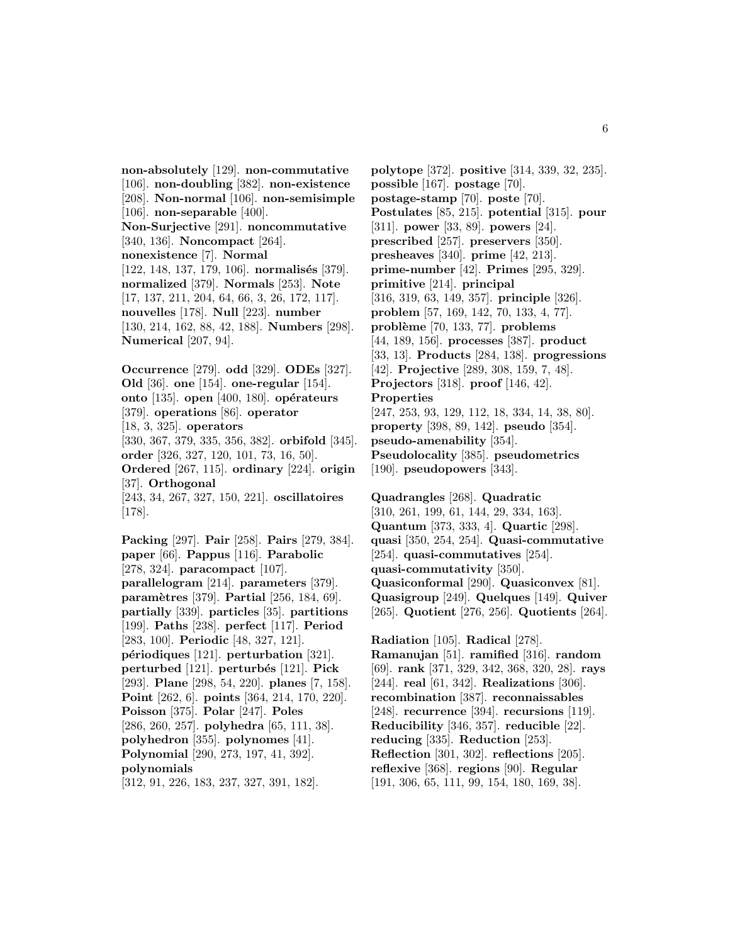**non-absolutely** [129]. **non-commutative** [106]. **non-doubling** [382]. **non-existence** [208]. **Non-normal** [106]. **non-semisimple** [106]. **non-separable** [400]. **Non-Surjective** [291]. **noncommutative** [340, 136]. **Noncompact** [264]. **nonexistence** [7]. **Normal** [122, 148, 137, 179, 106]. **normalisés** [379]. **normalized** [379]. **Normals** [253]. **Note** [17, 137, 211, 204, 64, 66, 3, 26, 172, 117]. **nouvelles** [178]. **Null** [223]. **number** [130, 214, 162, 88, 42, 188]. **Numbers** [298]. **Numerical** [207, 94].

**Occurrence** [279]. **odd** [329]. **ODEs** [327]. **Old** [36]. **one** [154]. **one-regular** [154]. **onto** [135]. **open** [400, 180]. **opérateurs** [379]. **operations** [86]. **operator** [18, 3, 325]. **operators** [330, 367, 379, 335, 356, 382]. **orbifold** [345]. **order** [326, 327, 120, 101, 73, 16, 50]. **Ordered** [267, 115]. **ordinary** [224]. **origin** [37]. **Orthogonal** [243, 34, 267, 327, 150, 221]. **oscillatoires** [178].

**Packing** [297]. **Pair** [258]. **Pairs** [279, 384]. **paper** [66]. **Pappus** [116]. **Parabolic** [278, 324]. **paracompact** [107]. **parallelogram** [214]. **parameters** [379]. **param`etres** [379]. **Partial** [256, 184, 69]. **partially** [339]. **particles** [35]. **partitions** [199]. **Paths** [238]. **perfect** [117]. **Period** [283, 100]. **Periodic** [48, 327, 121]. **p´eriodiques** [121]. **perturbation** [321]. **perturbed** [121]. **perturb´es** [121]. **Pick** [293]. **Plane** [298, 54, 220]. **planes** [7, 158]. **Point** [262, 6]. **points** [364, 214, 170, 220]. **Poisson** [375]. **Polar** [247]. **Poles** [286, 260, 257]. **polyhedra** [65, 111, 38]. **polyhedron** [355]. **polynomes** [41]. **Polynomial** [290, 273, 197, 41, 392]. **polynomials** [312, 91, 226, 183, 237, 327, 391, 182].

**polytope** [372]. **positive** [314, 339, 32, 235]. **possible** [167]. **postage** [70]. **postage-stamp** [70]. **poste** [70]. **Postulates** [85, 215]. **potential** [315]. **pour** [311]. **power** [33, 89]. **powers** [24]. **prescribed** [257]. **preservers** [350]. **presheaves** [340]. **prime** [42, 213]. **prime-number** [42]. **Primes** [295, 329]. **primitive** [214]. **principal** [316, 319, 63, 149, 357]. **principle** [326]. **problem** [57, 169, 142, 70, 133, 4, 77]. **probl`eme** [70, 133, 77]. **problems** [44, 189, 156]. **processes** [387]. **product** [33, 13]. **Products** [284, 138]. **progressions** [42]. **Projective** [289, 308, 159, 7, 48]. **Projectors** [318]. **proof** [146, 42]. **Properties** [247, 253, 93, 129, 112, 18, 334, 14, 38, 80]. **property** [398, 89, 142]. **pseudo** [354]. **pseudo-amenability** [354]. **Pseudolocality** [385]. **pseudometrics** [190]. **pseudopowers** [343].

**Quadrangles** [268]. **Quadratic** [310, 261, 199, 61, 144, 29, 334, 163]. **Quantum** [373, 333, 4]. **Quartic** [298]. **quasi** [350, 254, 254]. **Quasi-commutative** [254]. **quasi-commutatives** [254]. **quasi-commutativity** [350]. **Quasiconformal** [290]. **Quasiconvex** [81]. **Quasigroup** [249]. **Quelques** [149]. **Quiver** [265]. **Quotient** [276, 256]. **Quotients** [264].

**Radiation** [105]. **Radical** [278]. **Ramanujan** [51]. **ramified** [316]. **random** [69]. **rank** [371, 329, 342, 368, 320, 28]. **rays** [244]. **real** [61, 342]. **Realizations** [306]. **recombination** [387]. **reconnaissables** [248]. **recurrence** [394]. **recursions** [119]. **Reducibility** [346, 357]. **reducible** [22]. **reducing** [335]. **Reduction** [253]. **Reflection** [301, 302]. **reflections** [205]. **reflexive** [368]. **regions** [90]. **Regular** [191, 306, 65, 111, 99, 154, 180, 169, 38].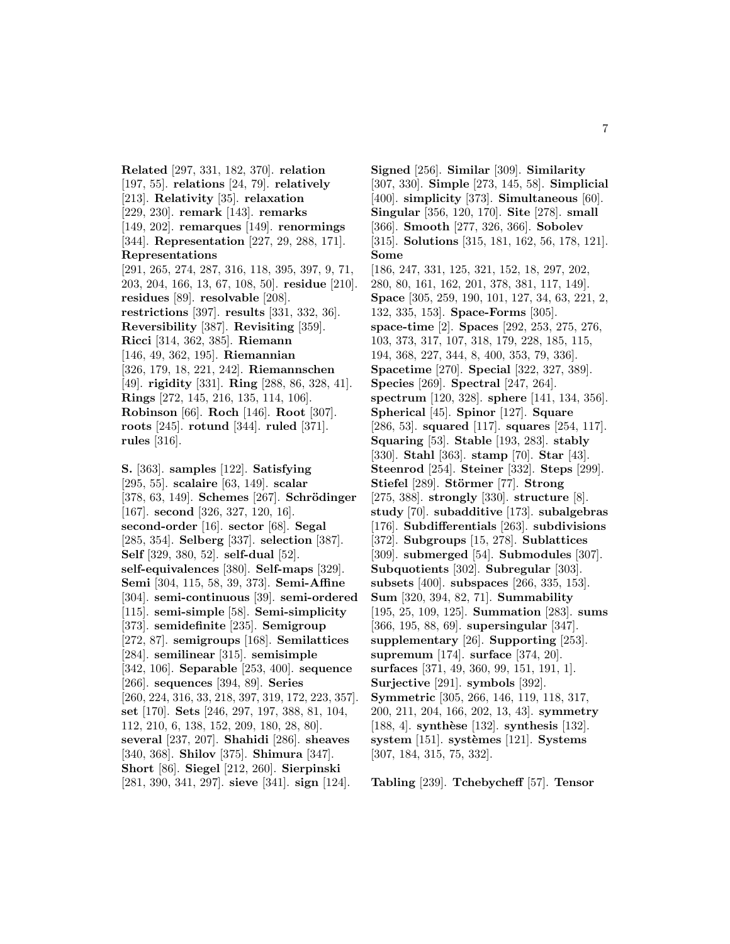**Related** [297, 331, 182, 370]. **relation** [197, 55]. **relations** [24, 79]. **relatively** [213]. **Relativity** [35]. **relaxation** [229, 230]. **remark** [143]. **remarks** [149, 202]. **remarques** [149]. **renormings** [344]. **Representation** [227, 29, 288, 171]. **Representations** [291, 265, 274, 287, 316, 118, 395, 397, 9, 71, 203, 204, 166, 13, 67, 108, 50]. **residue** [210]. **residues** [89]. **resolvable** [208]. **restrictions** [397]. **results** [331, 332, 36]. **Reversibility** [387]. **Revisiting** [359]. **Ricci** [314, 362, 385]. **Riemann** [146, 49, 362, 195]. **Riemannian** [326, 179, 18, 221, 242]. **Riemannschen** [49]. **rigidity** [331]. **Ring** [288, 86, 328, 41]. **Rings** [272, 145, 216, 135, 114, 106]. **Robinson** [66]. **Roch** [146]. **Root** [307]. **roots** [245]. **rotund** [344]. **ruled** [371]. **rules** [316].

**S.** [363]. **samples** [122]. **Satisfying** [295, 55]. **scalaire** [63, 149]. **scalar** [378, 63, 149]. **Schemes** [267]. **Schrödinger** [167]. **second** [326, 327, 120, 16]. **second-order** [16]. **sector** [68]. **Segal** [285, 354]. **Selberg** [337]. **selection** [387]. **Self** [329, 380, 52]. **self-dual** [52]. **self-equivalences** [380]. **Self-maps** [329]. **Semi** [304, 115, 58, 39, 373]. **Semi-Affine** [304]. **semi-continuous** [39]. **semi-ordered** [115]. **semi-simple** [58]. **Semi-simplicity** [373]. **semidefinite** [235]. **Semigroup** [272, 87]. **semigroups** [168]. **Semilattices** [284]. **semilinear** [315]. **semisimple** [342, 106]. **Separable** [253, 400]. **sequence** [266]. **sequences** [394, 89]. **Series** [260, 224, 316, 33, 218, 397, 319, 172, 223, 357]. **set** [170]. **Sets** [246, 297, 197, 388, 81, 104, 112, 210, 6, 138, 152, 209, 180, 28, 80]. **several** [237, 207]. **Shahidi** [286]. **sheaves** [340, 368]. **Shilov** [375]. **Shimura** [347]. **Short** [86]. **Siegel** [212, 260]. **Sierpinski** [281, 390, 341, 297]. **sieve** [341]. **sign** [124].

**Signed** [256]. **Similar** [309]. **Similarity** [307, 330]. **Simple** [273, 145, 58]. **Simplicial** [400]. **simplicity** [373]. **Simultaneous** [60]. **Singular** [356, 120, 170]. **Site** [278]. **small** [366]. **Smooth** [277, 326, 366]. **Sobolev** [315]. **Solutions** [315, 181, 162, 56, 178, 121]. **Some** [186, 247, 331, 125, 321, 152, 18, 297, 202, 280, 80, 161, 162, 201, 378, 381, 117, 149]. **Space** [305, 259, 190, 101, 127, 34, 63, 221, 2, 132, 335, 153]. **Space-Forms** [305]. **space-time** [2]. **Spaces** [292, 253, 275, 276, 103, 373, 317, 107, 318, 179, 228, 185, 115, 194, 368, 227, 344, 8, 400, 353, 79, 336]. **Spacetime** [270]. **Special** [322, 327, 389]. **Species** [269]. **Spectral** [247, 264]. **spectrum** [120, 328]. **sphere** [141, 134, 356]. **Spherical** [45]. **Spinor** [127]. **Square** [286, 53]. **squared** [117]. **squares** [254, 117]. **Squaring** [53]. **Stable** [193, 283]. **stably** [330]. **Stahl** [363]. **stamp** [70]. **Star** [43]. **Steenrod** [254]. **Steiner** [332]. **Steps** [299]. **Stiefel** [289]. **Störmer** [77]. **Strong** [275, 388]. **strongly** [330]. **structure** [8]. **study** [70]. **subadditive** [173]. **subalgebras** [176]. **Subdifferentials** [263]. **subdivisions** [372]. **Subgroups** [15, 278]. **Sublattices** [309]. **submerged** [54]. **Submodules** [307]. **Subquotients** [302]. **Subregular** [303]. **subsets** [400]. **subspaces** [266, 335, 153]. **Sum** [320, 394, 82, 71]. **Summability** [195, 25, 109, 125]. **Summation** [283]. **sums** [366, 195, 88, 69]. **supersingular** [347]. **supplementary** [26]. **Supporting** [253]. **supremum** [174]. **surface** [374, 20]. **surfaces** [371, 49, 360, 99, 151, 191, 1]. **Surjective** [291]. **symbols** [392]. **Symmetric** [305, 266, 146, 119, 118, 317, 200, 211, 204, 166, 202, 13, 43]. **symmetry** [188, 4]. **synthèse** [132]. **synthesis** [132]. **system** [151]. **systemes** [121]. **Systems** [307, 184, 315, 75, 332].

**Tabling** [239]. **Tchebycheff** [57]. **Tensor**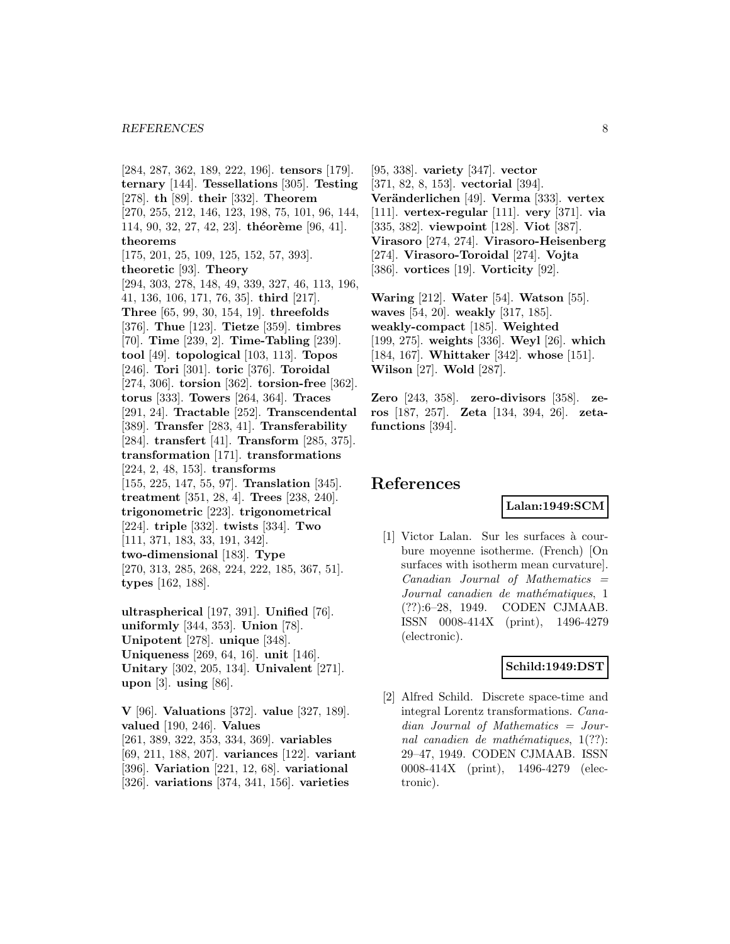[284, 287, 362, 189, 222, 196]. **tensors** [179]. **ternary** [144]. **Tessellations** [305]. **Testing** [278]. **th** [89]. **their** [332]. **Theorem** [270, 255, 212, 146, 123, 198, 75, 101, 96, 144, 114, 90, 32, 27, 42, 23]. **théorème** [96, 41]. **theorems** [175, 201, 25, 109, 125, 152, 57, 393]. **theoretic** [93]. **Theory** [294, 303, 278, 148, 49, 339, 327, 46, 113, 196, 41, 136, 106, 171, 76, 35]. **third** [217]. **Three** [65, 99, 30, 154, 19]. **threefolds** [376]. **Thue** [123]. **Tietze** [359]. **timbres** [70]. **Time** [239, 2]. **Time-Tabling** [239]. **tool** [49]. **topological** [103, 113]. **Topos** [246]. **Tori** [301]. **toric** [376]. **Toroidal** [274, 306]. **torsion** [362]. **torsion-free** [362]. **torus** [333]. **Towers** [264, 364]. **Traces** [291, 24]. **Tractable** [252]. **Transcendental** [389]. **Transfer** [283, 41]. **Transferability** [284]. **transfert** [41]. **Transform** [285, 375]. **transformation** [171]. **transformations** [224, 2, 48, 153]. **transforms** [155, 225, 147, 55, 97]. **Translation** [345]. **treatment** [351, 28, 4]. **Trees** [238, 240]. **trigonometric** [223]. **trigonometrical** [224]. **triple** [332]. **twists** [334]. **Two** [111, 371, 183, 33, 191, 342]. **two-dimensional** [183]. **Type** [270, 313, 285, 268, 224, 222, 185, 367, 51]. **types** [162, 188].

**ultraspherical** [197, 391]. **Unified** [76]. **uniformly** [344, 353]. **Union** [78]. **Unipotent** [278]. **unique** [348]. **Uniqueness** [269, 64, 16]. **unit** [146]. **Unitary** [302, 205, 134]. **Univalent** [271]. **upon** [3]. **using** [86].

**V** [96]. **Valuations** [372]. **value** [327, 189]. **valued** [190, 246]. **Values** [261, 389, 322, 353, 334, 369]. **variables** [69, 211, 188, 207]. **variances** [122]. **variant** [396]. **Variation** [221, 12, 68]. **variational** [326]. **variations** [374, 341, 156]. **varieties**

[95, 338]. **variety** [347]. **vector** [371, 82, 8, 153]. **vectorial** [394]. **Ver¨anderlichen** [49]. **Verma** [333]. **vertex** [111]. **vertex-regular** [111]. **very** [371]. **via** [335, 382]. **viewpoint** [128]. **Viot** [387]. **Virasoro** [274, 274]. **Virasoro-Heisenberg** [274]. **Virasoro-Toroidal** [274]. **Vojta** [386]. **vortices** [19]. **Vorticity** [92].

**Waring** [212]. **Water** [54]. **Watson** [55]. **waves** [54, 20]. **weakly** [317, 185]. **weakly-compact** [185]. **Weighted** [199, 275]. **weights** [336]. **Weyl** [26]. **which** [184, 167]. **Whittaker** [342]. **whose** [151]. **Wilson** [27]. **Wold** [287].

**Zero** [243, 358]. **zero-divisors** [358]. **zeros** [187, 257]. **Zeta** [134, 394, 26]. **zetafunctions** [394].

# **References**

# **Lalan:1949:SCM**

[1] Victor Lalan. Sur les surfaces à courbure moyenne isotherme. (French) [On surfaces with isotherm mean curvature].  $Canadian$  Journal of Mathematics  $=$ Journal canadien de mathématiques, 1 (??):6–28, 1949. CODEN CJMAAB. ISSN 0008-414X (print), 1496-4279 (electronic).

# **Schild:1949:DST**

[2] Alfred Schild. Discrete space-time and integral Lorentz transformations. Canadian Journal of Mathematics = Journal canadien de mathématiques,  $1(??)$ : 29–47, 1949. CODEN CJMAAB. ISSN 0008-414X (print), 1496-4279 (electronic).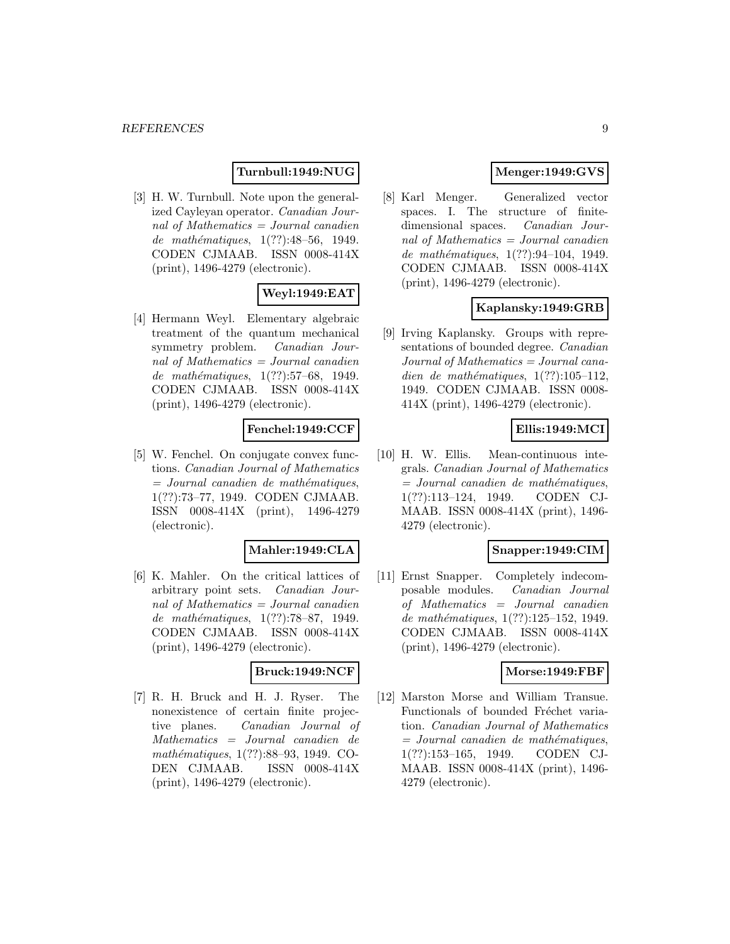# **Turnbull:1949:NUG**

[3] H. W. Turnbull. Note upon the generalized Cayleyan operator. Canadian Journal of Mathematics = Journal canadien de mathématiques,  $1(??):48-56$ , 1949. CODEN CJMAAB. ISSN 0008-414X (print), 1496-4279 (electronic).

# **Weyl:1949:EAT**

[4] Hermann Weyl. Elementary algebraic treatment of the quantum mechanical symmetry problem. Canadian Journal of Mathematics = Journal canadien de mathématiques, 1(??):57–68, 1949. CODEN CJMAAB. ISSN 0008-414X (print), 1496-4279 (electronic).

### **Fenchel:1949:CCF**

[5] W. Fenchel. On conjugate convex functions. Canadian Journal of Mathematics  $=$  Journal canadien de mathématiques, 1(??):73–77, 1949. CODEN CJMAAB. ISSN 0008-414X (print), 1496-4279 (electronic).

#### **Mahler:1949:CLA**

[6] K. Mahler. On the critical lattices of arbitrary point sets. Canadian Journal of Mathematics = Journal canadien de mathématiques, 1(??):78–87, 1949. CODEN CJMAAB. ISSN 0008-414X (print), 1496-4279 (electronic).

#### **Bruck:1949:NCF**

[7] R. H. Bruck and H. J. Ryser. The nonexistence of certain finite projective planes. Canadian Journal of Mathematics = Journal canadien de mathématiques, 1(??):88–93, 1949. CO-DEN CJMAAB. ISSN 0008-414X (print), 1496-4279 (electronic).

# **Menger:1949:GVS**

[8] Karl Menger. Generalized vector spaces. I. The structure of finitedimensional spaces. Canadian Journal of Mathematics = Journal canadien de mathématiques,  $1(??):94-104$ , 1949. CODEN CJMAAB. ISSN 0008-414X (print), 1496-4279 (electronic).

# **Kaplansky:1949:GRB**

[9] Irving Kaplansky. Groups with representations of bounded degree. Canadian Journal of Mathematics = Journal canadien de mathématiques,  $1(??):105-112$ , 1949. CODEN CJMAAB. ISSN 0008- 414X (print), 1496-4279 (electronic).

# **Ellis:1949:MCI**

[10] H. W. Ellis. Mean-continuous integrals. Canadian Journal of Mathematics  $=$  Journal canadien de mathématiques, 1(??):113–124, 1949. CODEN CJ-MAAB. ISSN 0008-414X (print), 1496- 4279 (electronic).

# **Snapper:1949:CIM**

[11] Ernst Snapper. Completely indecomposable modules. Canadian Journal of Mathematics = Journal canadien de mathématiques, 1(??):125–152, 1949. CODEN CJMAAB. ISSN 0008-414X (print), 1496-4279 (electronic).

#### **Morse:1949:FBF**

[12] Marston Morse and William Transue. Functionals of bounded Fréchet variation. Canadian Journal of Mathematics  $=$  Journal canadien de mathématiques, 1(??):153–165, 1949. CODEN CJ-MAAB. ISSN 0008-414X (print), 1496- 4279 (electronic).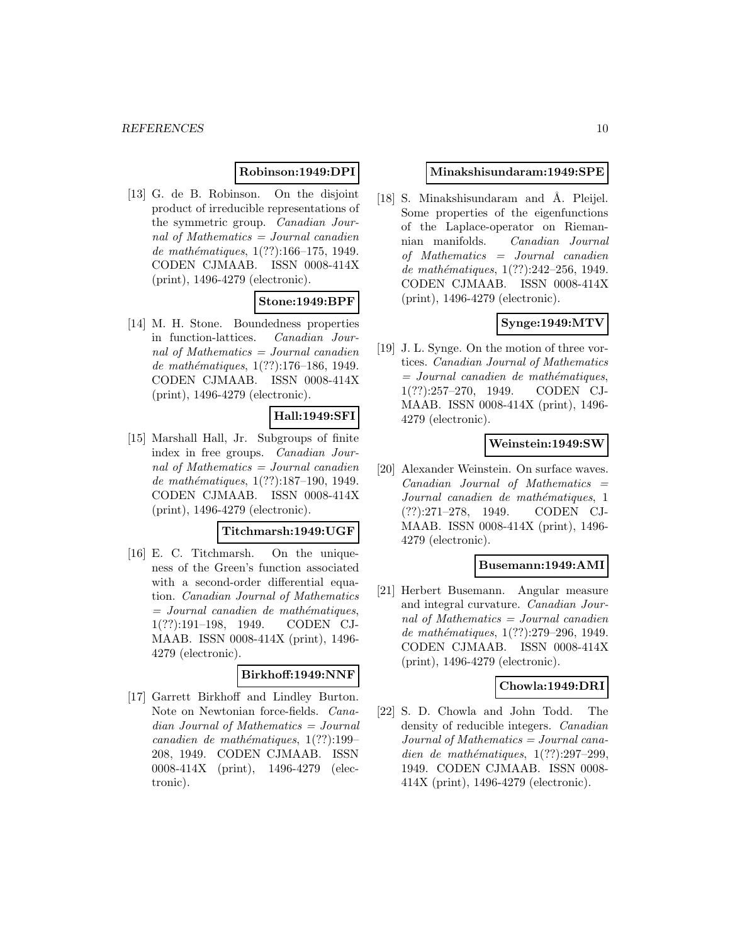# **Robinson:1949:DPI**

[13] G. de B. Robinson. On the disjoint product of irreducible representations of the symmetric group. Canadian Journal of Mathematics = Journal canadien de mathématiques,  $1(??):166-175$ , 1949. CODEN CJMAAB. ISSN 0008-414X (print), 1496-4279 (electronic).

### **Stone:1949:BPF**

[14] M. H. Stone. Boundedness properties in function-lattices. Canadian Journal of Mathematics  $=$  Journal canadien de mathématiques, 1(??):176-186, 1949. CODEN CJMAAB. ISSN 0008-414X (print), 1496-4279 (electronic).

### **Hall:1949:SFI**

[15] Marshall Hall, Jr. Subgroups of finite index in free groups. Canadian Journal of Mathematics  $=$  Journal canadien de mathématiques,  $1(??):187-190, 1949.$ CODEN CJMAAB. ISSN 0008-414X (print), 1496-4279 (electronic).

# **Titchmarsh:1949:UGF**

[16] E. C. Titchmarsh. On the uniqueness of the Green's function associated with a second-order differential equation. Canadian Journal of Mathematics  $=$  Journal canadien de mathématiques, 1(??):191–198, 1949. CODEN CJ-MAAB. ISSN 0008-414X (print), 1496- 4279 (electronic).

### **Birkhoff:1949:NNF**

[17] Garrett Birkhoff and Lindley Burton. Note on Newtonian force-fields. Canadian Journal of Mathematics = Journal canadien de mathématiques,  $1(??):199-$ 208, 1949. CODEN CJMAAB. ISSN 0008-414X (print), 1496-4279 (electronic).

#### **Minakshisundaram:1949:SPE**

[18] S. Minakshisundaram and  $\AA$ . Pleijel. Some properties of the eigenfunctions of the Laplace-operator on Riemannian manifolds. Canadian Journal of Mathematics = Journal canadien de mathématiques, 1(??):242-256, 1949. CODEN CJMAAB. ISSN 0008-414X (print), 1496-4279 (electronic).

# **Synge:1949:MTV**

[19] J. L. Synge. On the motion of three vortices. Canadian Journal of Mathematics  $=$  Journal canadien de mathématiques, 1(??):257–270, 1949. CODEN CJ-MAAB. ISSN 0008-414X (print), 1496- 4279 (electronic).

### **Weinstein:1949:SW**

[20] Alexander Weinstein. On surface waves.  $Canadian$  Journal of Mathematics  $=$ Journal canadien de mathématiques, 1 (??):271–278, 1949. CODEN CJ-MAAB. ISSN 0008-414X (print), 1496- 4279 (electronic).

#### **Busemann:1949:AMI**

[21] Herbert Busemann. Angular measure and integral curvature. Canadian Journal of Mathematics = Journal canadien de mathématiques, 1(??):279–296, 1949. CODEN CJMAAB. ISSN 0008-414X (print), 1496-4279 (electronic).

#### **Chowla:1949:DRI**

[22] S. D. Chowla and John Todd. The density of reducible integers. Canadian Journal of Mathematics = Journal canadien de mathématiques,  $1(??):297-299$ , 1949. CODEN CJMAAB. ISSN 0008- 414X (print), 1496-4279 (electronic).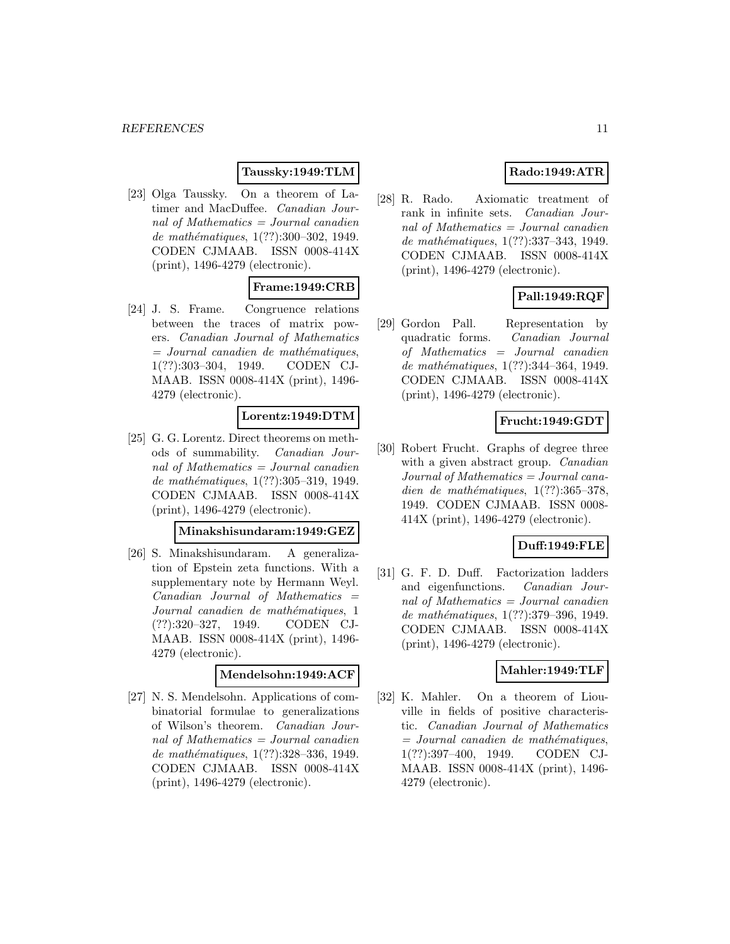# **Taussky:1949:TLM**

[23] Olga Taussky. On a theorem of Latimer and MacDuffee. Canadian Journal of Mathematics = Journal canadien de mathématiques, 1(??):300-302, 1949. CODEN CJMAAB. ISSN 0008-414X (print), 1496-4279 (electronic).

# **Frame:1949:CRB**

[24] J. S. Frame. Congruence relations between the traces of matrix powers. Canadian Journal of Mathematics  $=$  Journal canadien de mathématiques, 1(??):303–304, 1949. CODEN CJ-MAAB. ISSN 0008-414X (print), 1496- 4279 (electronic).

# **Lorentz:1949:DTM**

[25] G. G. Lorentz. Direct theorems on methods of summability. Canadian Journal of Mathematics  $=$  Journal canadien de mathématiques, 1(??):305-319, 1949. CODEN CJMAAB. ISSN 0008-414X (print), 1496-4279 (electronic).

# **Minakshisundaram:1949:GEZ**

[26] S. Minakshisundaram. A generalization of Epstein zeta functions. With a supplementary note by Hermann Weyl.  $Canadian$  Journal of Mathematics  $=$ Journal canadien de mathématiques, 1 (??):320–327, 1949. CODEN CJ-MAAB. ISSN 0008-414X (print), 1496- 4279 (electronic).

#### **Mendelsohn:1949:ACF**

[27] N. S. Mendelsohn. Applications of combinatorial formulae to generalizations of Wilson's theorem. Canadian Journal of Mathematics  $=$  Journal canadien de mathématiques, 1(??):328-336, 1949. CODEN CJMAAB. ISSN 0008-414X (print), 1496-4279 (electronic).

# **Rado:1949:ATR**

[28] R. Rado. Axiomatic treatment of rank in infinite sets. Canadian Journal of Mathematics = Journal canadien de mathématiques, 1(??):337-343, 1949. CODEN CJMAAB. ISSN 0008-414X (print), 1496-4279 (electronic).

# **Pall:1949:RQF**

[29] Gordon Pall. Representation by quadratic forms. Canadian Journal of Mathematics = Journal canadien de mathématiques, 1(??):344–364, 1949. CODEN CJMAAB. ISSN 0008-414X (print), 1496-4279 (electronic).

### **Frucht:1949:GDT**

[30] Robert Frucht. Graphs of degree three with a given abstract group. *Canadian* Journal of Mathematics = Journal canadien de mathématiques,  $1(??):365-378$ , 1949. CODEN CJMAAB. ISSN 0008- 414X (print), 1496-4279 (electronic).

# **Duff:1949:FLE**

[31] G. F. D. Duff. Factorization ladders and eigenfunctions. Canadian Journal of Mathematics = Journal canadien de mathématiques, 1(??):379-396, 1949. CODEN CJMAAB. ISSN 0008-414X (print), 1496-4279 (electronic).

### **Mahler:1949:TLF**

[32] K. Mahler. On a theorem of Liouville in fields of positive characteristic. Canadian Journal of Mathematics  $=$  Journal canadien de mathématiques, 1(??):397–400, 1949. CODEN CJ-MAAB. ISSN 0008-414X (print), 1496- 4279 (electronic).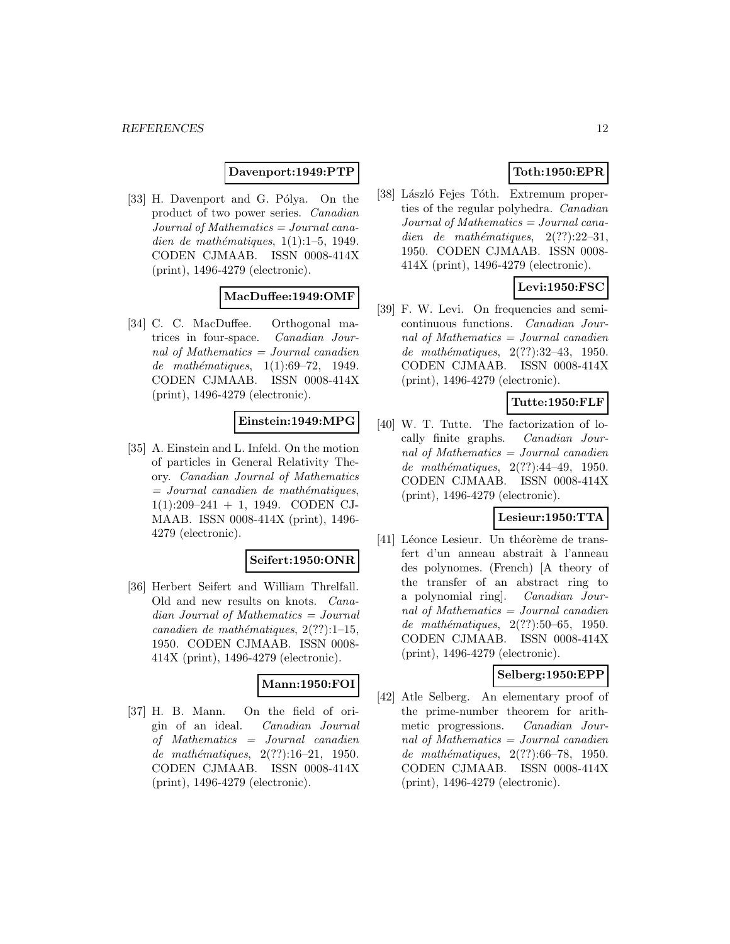#### **Davenport:1949:PTP**

[33] H. Davenport and G. Pólya. On the product of two power series. Canadian  $Journal of Mathematics = Journal cana$ dien de mathématiques,  $1(1):1-5$ , 1949. CODEN CJMAAB. ISSN 0008-414X (print), 1496-4279 (electronic).

# **MacDuffee:1949:OMF**

[34] C. C. MacDuffee. Orthogonal matrices in four-space. Canadian Journal of Mathematics  $=$  Journal canadien de mathématiques,  $1(1):69-72$ , 1949. CODEN CJMAAB. ISSN 0008-414X (print), 1496-4279 (electronic).

### **Einstein:1949:MPG**

[35] A. Einstein and L. Infeld. On the motion of particles in General Relativity Theory. Canadian Journal of Mathematics  $=$  Journal canadien de mathématiques, 1(1):209–241 + 1, 1949. CODEN CJ-MAAB. ISSN 0008-414X (print), 1496- 4279 (electronic).

#### **Seifert:1950:ONR**

[36] Herbert Seifert and William Threlfall. Old and new results on knots. Canadian Journal of Mathematics = Journal canadien de mathématiques,  $2(??):1-15$ , 1950. CODEN CJMAAB. ISSN 0008- 414X (print), 1496-4279 (electronic).

#### **Mann:1950:FOI**

[37] H. B. Mann. On the field of origin of an ideal. Canadian Journal of Mathematics = Journal canadien de mathématiques,  $2(??):16-21$ , 1950. CODEN CJMAAB. ISSN 0008-414X (print), 1496-4279 (electronic).

# **Toth:1950:EPR**

[38] László Fejes Tóth. Extremum properties of the regular polyhedra. Canadian Journal of Mathematics = Journal canadien de mathématiques,  $2(??):22-31$ , 1950. CODEN CJMAAB. ISSN 0008- 414X (print), 1496-4279 (electronic).

# **Levi:1950:FSC**

[39] F. W. Levi. On frequencies and semicontinuous functions. Canadian Journal of Mathematics = Journal canadien de mathématiques,  $2(??):32-43, 1950.$ CODEN CJMAAB. ISSN 0008-414X (print), 1496-4279 (electronic).

### **Tutte:1950:FLF**

[40] W. T. Tutte. The factorization of locally finite graphs. Canadian Journal of Mathematics = Journal canadien de mathématiques,  $2(??):44-49, 1950.$ CODEN CJMAAB. ISSN 0008-414X (print), 1496-4279 (electronic).

### **Lesieur:1950:TTA**

[41] Léonce Lesieur. Un théorème de transfert d'un anneau abstrait à l'anneau des polynomes. (French) [A theory of the transfer of an abstract ring to a polynomial ring]. Canadian Journal of Mathematics = Journal canadien de mathématiques,  $2(??):50-65$ , 1950. CODEN CJMAAB. ISSN 0008-414X (print), 1496-4279 (electronic).

#### **Selberg:1950:EPP**

[42] Atle Selberg. An elementary proof of the prime-number theorem for arithmetic progressions. Canadian Journal of Mathematics = Journal canadien de mathématiques, 2(??):66–78, 1950. CODEN CJMAAB. ISSN 0008-414X (print), 1496-4279 (electronic).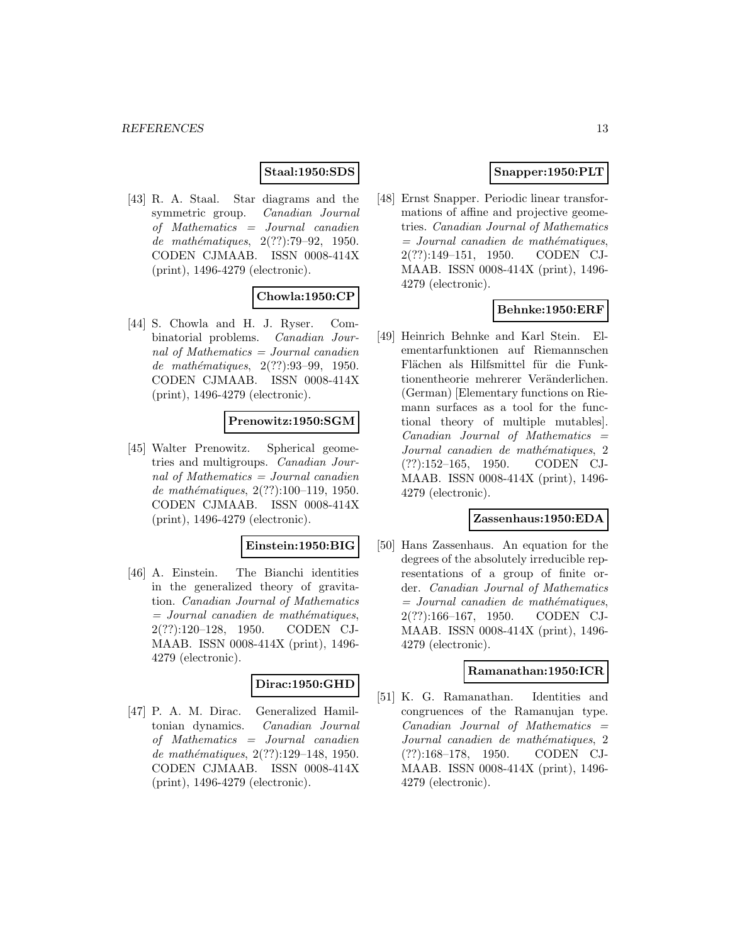# **Staal:1950:SDS**

[43] R. A. Staal. Star diagrams and the symmetric group. Canadian Journal of Mathematics = Journal canadien de mathématiques, 2(??):79-92, 1950. CODEN CJMAAB. ISSN 0008-414X (print), 1496-4279 (electronic).

# **Chowla:1950:CP**

[44] S. Chowla and H. J. Ryser. Combinatorial problems. Canadian Journal of Mathematics  $=$  Journal canadien de mathématiques, 2(??):93-99, 1950. CODEN CJMAAB. ISSN 0008-414X (print), 1496-4279 (electronic).

#### **Prenowitz:1950:SGM**

[45] Walter Prenowitz. Spherical geometries and multigroups. Canadian Journal of Mathematics = Journal canadien de mathématiques,  $2(??):100-119$ , 1950. CODEN CJMAAB. ISSN 0008-414X (print), 1496-4279 (electronic).

#### **Einstein:1950:BIG**

[46] A. Einstein. The Bianchi identities in the generalized theory of gravitation. Canadian Journal of Mathematics  $=$  Journal canadien de mathématiques, 2(??):120–128, 1950. CODEN CJ-MAAB. ISSN 0008-414X (print), 1496- 4279 (electronic).

#### **Dirac:1950:GHD**

[47] P. A. M. Dirac. Generalized Hamiltonian dynamics. Canadian Journal of Mathematics = Journal canadien de mathématiques, 2(??):129-148, 1950. CODEN CJMAAB. ISSN 0008-414X (print), 1496-4279 (electronic).

# **Snapper:1950:PLT**

[48] Ernst Snapper. Periodic linear transformations of affine and projective geometries. Canadian Journal of Mathematics  $=$  Journal canadien de mathématiques, 2(??):149–151, 1950. CODEN CJ-MAAB. ISSN 0008-414X (print), 1496- 4279 (electronic).

# **Behnke:1950:ERF**

[49] Heinrich Behnke and Karl Stein. Elementarfunktionen auf Riemannschen Flächen als Hilfsmittel für die Funktionentheorie mehrerer Veränderlichen. (German) [Elementary functions on Riemann surfaces as a tool for the functional theory of multiple mutables].  $Canadian$  Journal of Mathematics  $=$ Journal canadien de mathématiques, 2 (??):152–165, 1950. CODEN CJ-MAAB. ISSN 0008-414X (print), 1496- 4279 (electronic).

#### **Zassenhaus:1950:EDA**

[50] Hans Zassenhaus. An equation for the degrees of the absolutely irreducible representations of a group of finite order. Canadian Journal of Mathematics  $=$  Journal canadien de mathématiques, 2(??):166–167, 1950. CODEN CJ-MAAB. ISSN 0008-414X (print), 1496- 4279 (electronic).

#### **Ramanathan:1950:ICR**

[51] K. G. Ramanathan. Identities and congruences of the Ramanujan type.  $Canadian$  Journal of Mathematics  $=$ Journal canadien de mathématiques, 2 (??):168–178, 1950. CODEN CJ-MAAB. ISSN 0008-414X (print), 1496- 4279 (electronic).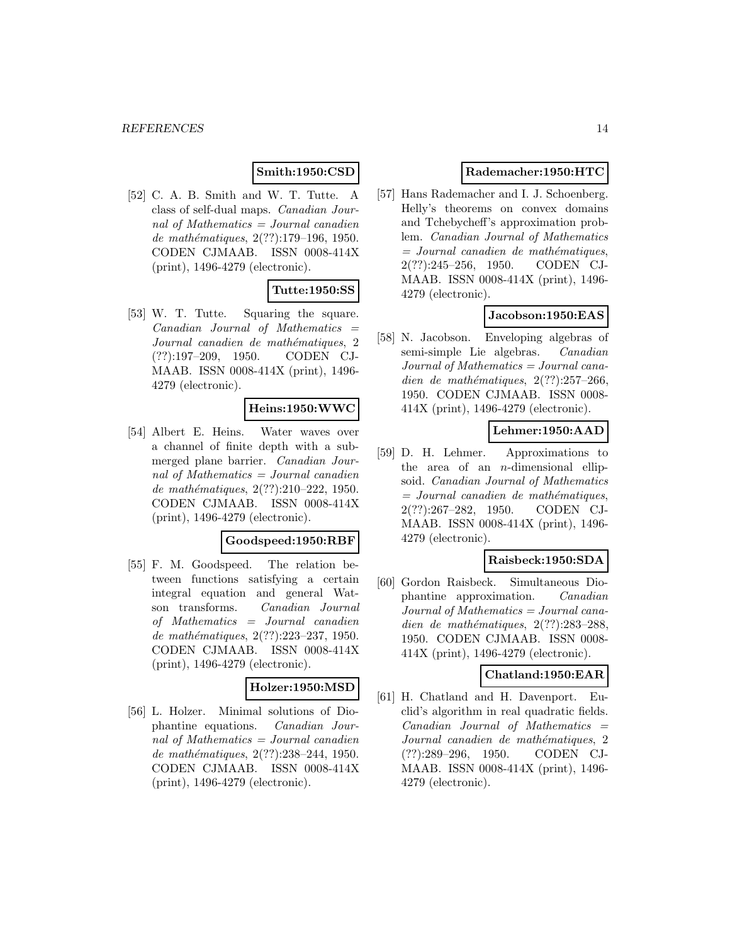# **Smith:1950:CSD**

[52] C. A. B. Smith and W. T. Tutte. A class of self-dual maps. Canadian Journal of Mathematics  $=$  Journal canadien de mathématiques,  $2(??):179-196, 1950.$ CODEN CJMAAB. ISSN 0008-414X (print), 1496-4279 (electronic).

# **Tutte:1950:SS**

[53] W. T. Tutte. Squaring the square.  $Canadian$  Journal of Mathematics  $=$ Journal canadien de mathématiques, 2 (??):197–209, 1950. CODEN CJ-MAAB. ISSN 0008-414X (print), 1496- 4279 (electronic).

# **Heins:1950:WWC**

[54] Albert E. Heins. Water waves over a channel of finite depth with a submerged plane barrier. Canadian Journal of Mathematics = Journal canadien de mathématiques, 2(??):210-222, 1950. CODEN CJMAAB. ISSN 0008-414X (print), 1496-4279 (electronic).

#### **Goodspeed:1950:RBF**

[55] F. M. Goodspeed. The relation between functions satisfying a certain integral equation and general Watson transforms. Canadian Journal of Mathematics = Journal canadien de mathématiques, 2(??):223-237, 1950. CODEN CJMAAB. ISSN 0008-414X (print), 1496-4279 (electronic).

# **Holzer:1950:MSD**

[56] L. Holzer. Minimal solutions of Diophantine equations. Canadian Journal of Mathematics = Journal canadien de mathématiques, 2(??):238-244, 1950. CODEN CJMAAB. ISSN 0008-414X (print), 1496-4279 (electronic).

### **Rademacher:1950:HTC**

[57] Hans Rademacher and I. J. Schoenberg. Helly's theorems on convex domains and Tchebycheff's approximation problem. Canadian Journal of Mathematics  $=$  Journal canadien de mathématiques, 2(??):245–256, 1950. CODEN CJ-MAAB. ISSN 0008-414X (print), 1496- 4279 (electronic).

# **Jacobson:1950:EAS**

[58] N. Jacobson. Enveloping algebras of semi-simple Lie algebras. Canadian Journal of Mathematics = Journal canadien de mathématiques,  $2(??):257-266$ , 1950. CODEN CJMAAB. ISSN 0008- 414X (print), 1496-4279 (electronic).

# **Lehmer:1950:AAD**

[59] D. H. Lehmer. Approximations to the area of an  $n$ -dimensional ellipsoid. Canadian Journal of Mathematics  $=$  Journal canadien de mathématiques, 2(??):267–282, 1950. CODEN CJ-MAAB. ISSN 0008-414X (print), 1496- 4279 (electronic).

#### **Raisbeck:1950:SDA**

[60] Gordon Raisbeck. Simultaneous Diophantine approximation. Canadian Journal of Mathematics = Journal canadien de mathématiques,  $2(??):283-288$ , 1950. CODEN CJMAAB. ISSN 0008- 414X (print), 1496-4279 (electronic).

# **Chatland:1950:EAR**

[61] H. Chatland and H. Davenport. Euclid's algorithm in real quadratic fields.  $Canadian$  Journal of Mathematics  $=$ Journal canadien de mathématiques, 2 (??):289–296, 1950. CODEN CJ-MAAB. ISSN 0008-414X (print), 1496- 4279 (electronic).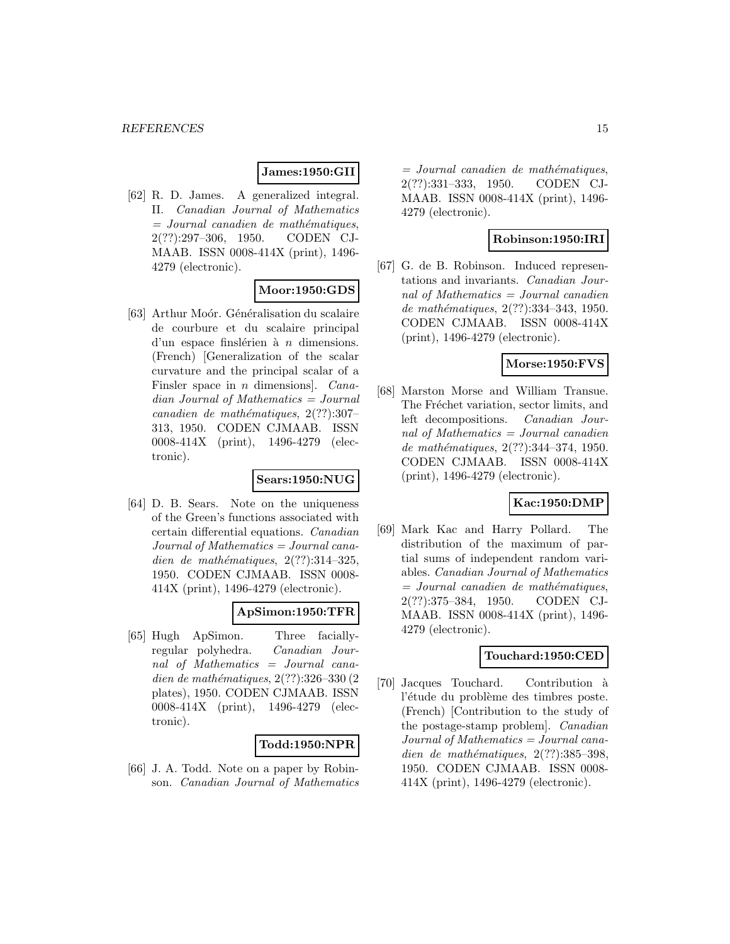#### **James:1950:GII**

[62] R. D. James. A generalized integral. II. Canadian Journal of Mathematics  $=$  Journal canadien de mathématiques, 2(??):297–306, 1950. CODEN CJ-MAAB. ISSN 0008-414X (print), 1496- 4279 (electronic).

# **Moor:1950:GDS**

[63] Arthur Moór. Généralisation du scalaire de courbure et du scalaire principal d'un espace finslérien à  $n$  dimensions. (French) [Generalization of the scalar curvature and the principal scalar of a Finsler space in *n* dimensions]. Canadian Journal of Mathematics = Journal canadien de mathématiques,  $2(??):307-$ 313, 1950. CODEN CJMAAB. ISSN 0008-414X (print), 1496-4279 (electronic).

#### **Sears:1950:NUG**

[64] D. B. Sears. Note on the uniqueness of the Green's functions associated with certain differential equations. Canadian  $Journal of Mathematics = Journal cana$ dien de mathématiques,  $2(??):314-325$ , 1950. CODEN CJMAAB. ISSN 0008- 414X (print), 1496-4279 (electronic).

#### **ApSimon:1950:TFR**

[65] Hugh ApSimon. Three faciallyregular polyhedra. Canadian Journal of Mathematics = Journal canadien de mathématiques,  $2(??):326-330(2)$ plates), 1950. CODEN CJMAAB. ISSN 0008-414X (print), 1496-4279 (electronic).

#### **Todd:1950:NPR**

[66] J. A. Todd. Note on a paper by Robinson. Canadian Journal of Mathematics

 $=$  Journal canadien de mathématiques, 2(??):331–333, 1950. CODEN CJ-MAAB. ISSN 0008-414X (print), 1496- 4279 (electronic).

# **Robinson:1950:IRI**

[67] G. de B. Robinson. Induced representations and invariants. Canadian Journal of Mathematics = Journal canadien de mathématiques, 2(??):334-343, 1950. CODEN CJMAAB. ISSN 0008-414X (print), 1496-4279 (electronic).

#### **Morse:1950:FVS**

[68] Marston Morse and William Transue. The Fréchet variation, sector limits, and left decompositions. Canadian Journal of Mathematics = Journal canadien de mathématiques, 2(??):344-374, 1950. CODEN CJMAAB. ISSN 0008-414X (print), 1496-4279 (electronic).

# **Kac:1950:DMP**

[69] Mark Kac and Harry Pollard. The distribution of the maximum of partial sums of independent random variables. Canadian Journal of Mathematics  $=$  Journal canadien de mathématiques, 2(??):375–384, 1950. CODEN CJ-MAAB. ISSN 0008-414X (print), 1496- 4279 (electronic).

# **Touchard:1950:CED**

[70] Jacques Touchard. Contribution à l'étude du problème des timbres poste. (French) [Contribution to the study of the postage-stamp problem]. Canadian Journal of Mathematics = Journal canadien de mathématiques,  $2(??):385-398$ , 1950. CODEN CJMAAB. ISSN 0008- 414X (print), 1496-4279 (electronic).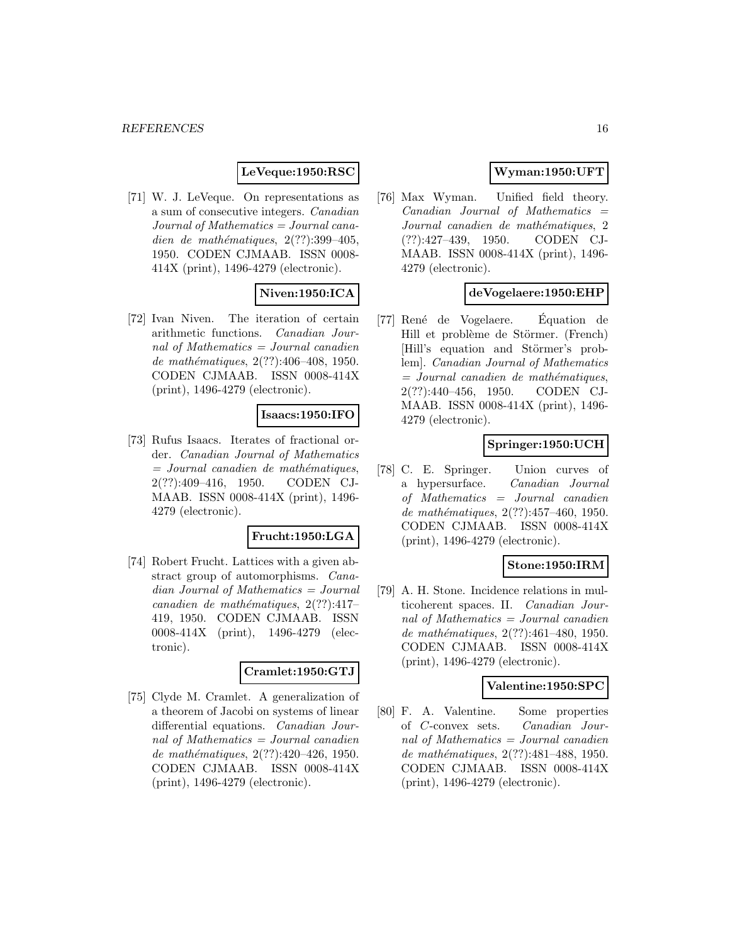### **LeVeque:1950:RSC**

[71] W. J. LeVeque. On representations as a sum of consecutive integers. Canadian Journal of Mathematics = Journal canadien de mathématiques,  $2(??):399-405$ , 1950. CODEN CJMAAB. ISSN 0008- 414X (print), 1496-4279 (electronic).

# **Niven:1950:ICA**

[72] Ivan Niven. The iteration of certain arithmetic functions. Canadian Journal of Mathematics = Journal canadien de mathématiques,  $2(??):406-408$ , 1950. CODEN CJMAAB. ISSN 0008-414X (print), 1496-4279 (electronic).

### **Isaacs:1950:IFO**

[73] Rufus Isaacs. Iterates of fractional order. Canadian Journal of Mathematics  $=$  Journal canadien de mathématiques, 2(??):409–416, 1950. CODEN CJ-MAAB. ISSN 0008-414X (print), 1496- 4279 (electronic).

#### **Frucht:1950:LGA**

[74] Robert Frucht. Lattices with a given abstract group of automorphisms. Canadian Journal of Mathematics = Journal canadien de mathématiques,  $2(??):417-$ 419, 1950. CODEN CJMAAB. ISSN 0008-414X (print), 1496-4279 (electronic).

#### **Cramlet:1950:GTJ**

[75] Clyde M. Cramlet. A generalization of a theorem of Jacobi on systems of linear differential equations. Canadian Journal of Mathematics = Journal canadien de mathématiques, 2(??):420-426, 1950. CODEN CJMAAB. ISSN 0008-414X (print), 1496-4279 (electronic).

# **Wyman:1950:UFT**

[76] Max Wyman. Unified field theory.  $Canadian$  Journal of Mathematics  $=$ Journal canadien de mathématiques, 2 (??):427–439, 1950. CODEN CJ-MAAB. ISSN 0008-414X (print), 1496- 4279 (electronic).

#### **deVogelaere:1950:EHP**

[77] René de Vogelaere. Équation de Hill et problème de Störmer. (French) [Hill's equation and Störmer's problem]. Canadian Journal of Mathematics  $=$  Journal canadien de mathématiques, 2(??):440–456, 1950. CODEN CJ-MAAB. ISSN 0008-414X (print), 1496- 4279 (electronic).

#### **Springer:1950:UCH**

[78] C. E. Springer. Union curves of a hypersurface. Canadian Journal of Mathematics = Journal canadien de mathématiques,  $2(??):457-460$ , 1950. CODEN CJMAAB. ISSN 0008-414X (print), 1496-4279 (electronic).

#### **Stone:1950:IRM**

[79] A. H. Stone. Incidence relations in multicoherent spaces. II. Canadian Journal of Mathematics = Journal canadien de mathématiques,  $2(??):461-480$ , 1950. CODEN CJMAAB. ISSN 0008-414X (print), 1496-4279 (electronic).

#### **Valentine:1950:SPC**

[80] F. A. Valentine. Some properties of C-convex sets. Canadian Journal of Mathematics = Journal canadien de mathématiques, 2(??):481-488, 1950. CODEN CJMAAB. ISSN 0008-414X (print), 1496-4279 (electronic).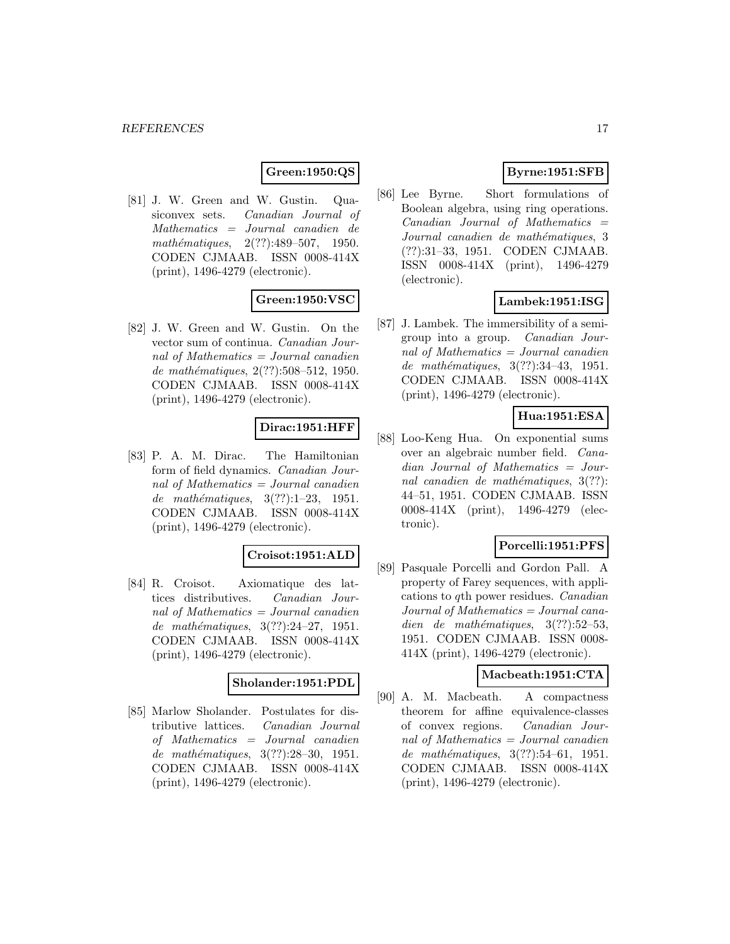# **Green:1950:QS**

[81] J. W. Green and W. Gustin. Quasiconvex sets. Canadian Journal of Mathematics = Journal canadien de mathématiques,  $2(??):489-507$ , 1950. CODEN CJMAAB. ISSN 0008-414X (print), 1496-4279 (electronic).

# **Green:1950:VSC**

[82] J. W. Green and W. Gustin. On the vector sum of continua. Canadian Journal of Mathematics  $=$  Journal canadien de mathématiques, 2(??):508–512, 1950. CODEN CJMAAB. ISSN 0008-414X (print), 1496-4279 (electronic).

### **Dirac:1951:HFF**

[83] P. A. M. Dirac. The Hamiltonian form of field dynamics. Canadian Journal of Mathematics  $=$  Journal canadien de mathématiques,  $3(??):1-23$ , 1951. CODEN CJMAAB. ISSN 0008-414X (print), 1496-4279 (electronic).

### **Croisot:1951:ALD**

[84] R. Croisot. Axiomatique des lattices distributives. Canadian Journal of Mathematics  $=$  Journal canadien de mathématiques,  $3(??):24-27$ , 1951. CODEN CJMAAB. ISSN 0008-414X (print), 1496-4279 (electronic).

### **Sholander:1951:PDL**

[85] Marlow Sholander. Postulates for distributive lattices. Canadian Journal of Mathematics = Journal canadien de mathématiques,  $3(??):28-30, 1951.$ CODEN CJMAAB. ISSN 0008-414X (print), 1496-4279 (electronic).

# **Byrne:1951:SFB**

[86] Lee Byrne. Short formulations of Boolean algebra, using ring operations.  $Canadian$  Journal of Mathematics  $=$ Journal canadien de mathématiques, 3 (??):31–33, 1951. CODEN CJMAAB. ISSN 0008-414X (print), 1496-4279 (electronic).

# **Lambek:1951:ISG**

[87] J. Lambek. The immersibility of a semigroup into a group. Canadian Journal of Mathematics  $=$  Journal canadien de mathématiques, 3(??):34-43, 1951. CODEN CJMAAB. ISSN 0008-414X (print), 1496-4279 (electronic).

# **Hua:1951:ESA**

[88] Loo-Keng Hua. On exponential sums over an algebraic number field. Canadian Journal of Mathematics = Journal canadien de mathématiques,  $3(??)$ : 44–51, 1951. CODEN CJMAAB. ISSN 0008-414X (print), 1496-4279 (electronic).

# **Porcelli:1951:PFS**

[89] Pasquale Porcelli and Gordon Pall. A property of Farey sequences, with applications to qth power residues. Canadian  $Journal of Mathematics = Journal cana$ dien de mathématiques,  $3(??):52-53$ , 1951. CODEN CJMAAB. ISSN 0008- 414X (print), 1496-4279 (electronic).

### **Macbeath:1951:CTA**

[90] A. M. Macbeath. A compactness theorem for affine equivalence-classes of convex regions. Canadian Journal of Mathematics = Journal canadien de mathématiques,  $3(??):54–61$ , 1951. CODEN CJMAAB. ISSN 0008-414X (print), 1496-4279 (electronic).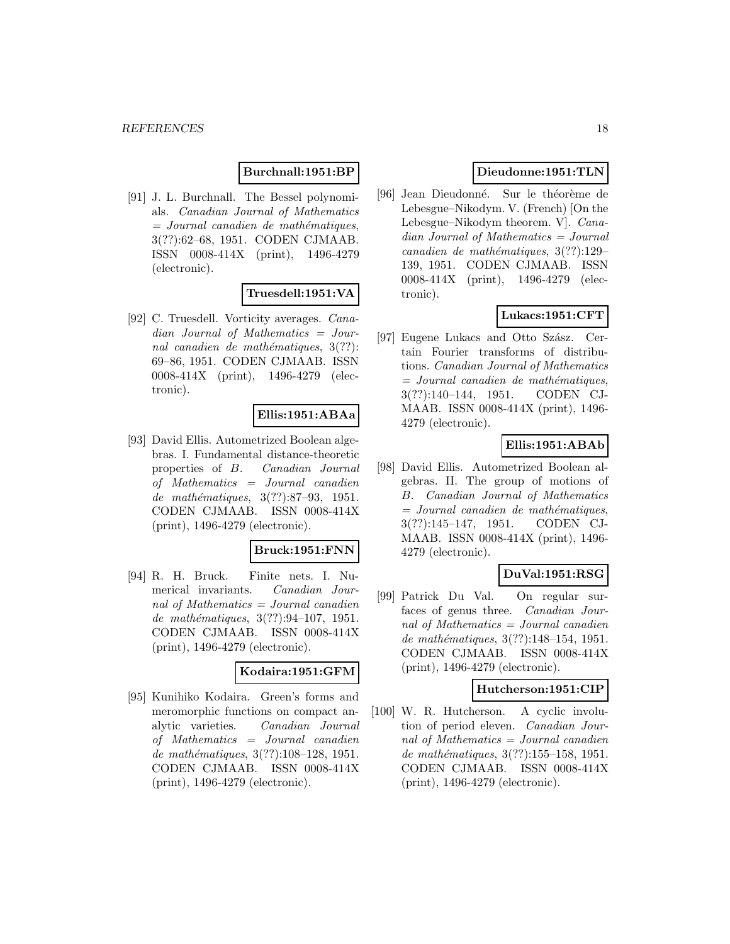#### **Burchnall:1951:BP**

[91] J. L. Burchnall. The Bessel polynomials. Canadian Journal of Mathematics  $=$  Journal canadien de mathématiques, 3(??):62–68, 1951. CODEN CJMAAB. ISSN 0008-414X (print), 1496-4279 (electronic).

# **Truesdell:1951:VA**

[92] C. Truesdell. Vorticity averages. Canadian Journal of Mathematics = Journal canadien de mathématiques,  $3(??)$ : 69–86, 1951. CODEN CJMAAB. ISSN 0008-414X (print), 1496-4279 (electronic).

#### **Ellis:1951:ABAa**

[93] David Ellis. Autometrized Boolean algebras. I. Fundamental distance-theoretic properties of B. Canadian Journal of Mathematics = Journal canadien de mathématiques, 3(??):87-93, 1951. CODEN CJMAAB. ISSN 0008-414X (print), 1496-4279 (electronic).

# **Bruck:1951:FNN**

[94] R. H. Bruck. Finite nets. I. Numerical invariants. Canadian Journal of Mathematics = Journal canadien de mathématiques,  $3(??):94-107$ , 1951. CODEN CJMAAB. ISSN 0008-414X (print), 1496-4279 (electronic).

#### **Kodaira:1951:GFM**

[95] Kunihiko Kodaira. Green's forms and meromorphic functions on compact analytic varieties. Canadian Journal of Mathematics = Journal canadien de mathématiques, 3(??):108-128, 1951. CODEN CJMAAB. ISSN 0008-414X (print), 1496-4279 (electronic).

# **Dieudonne:1951:TLN**

[96] Jean Dieudonné. Sur le théorème de Lebesgue–Nikodym. V. (French) [On the Lebesgue–Nikodym theorem. V]. Canadian Journal of Mathematics = Journal canadien de mathématiques,  $3(??):129-$ 139, 1951. CODEN CJMAAB. ISSN 0008-414X (print), 1496-4279 (electronic).

# **Lukacs:1951:CFT**

[97] Eugene Lukacs and Otto Szász. Certain Fourier transforms of distributions. Canadian Journal of Mathematics  $=$  Journal canadien de mathématiques, 3(??):140–144, 1951. CODEN CJ-MAAB. ISSN 0008-414X (print), 1496- 4279 (electronic).

# **Ellis:1951:ABAb**

[98] David Ellis. Autometrized Boolean algebras. II. The group of motions of B. Canadian Journal of Mathematics  $=$  Journal canadien de mathématiques, 3(??):145–147, 1951. CODEN CJ-MAAB. ISSN 0008-414X (print), 1496- 4279 (electronic).

# **DuVal:1951:RSG**

[99] Patrick Du Val. On regular surfaces of genus three. Canadian Journal of Mathematics  $=$  Journal canadien de mathématiques, 3(??):148–154, 1951. CODEN CJMAAB. ISSN 0008-414X (print), 1496-4279 (electronic).

# **Hutcherson:1951:CIP**

[100] W. R. Hutcherson. A cyclic involution of period eleven. Canadian Journal of Mathematics = Journal canadien de mathématiques, 3(??):155–158, 1951. CODEN CJMAAB. ISSN 0008-414X (print), 1496-4279 (electronic).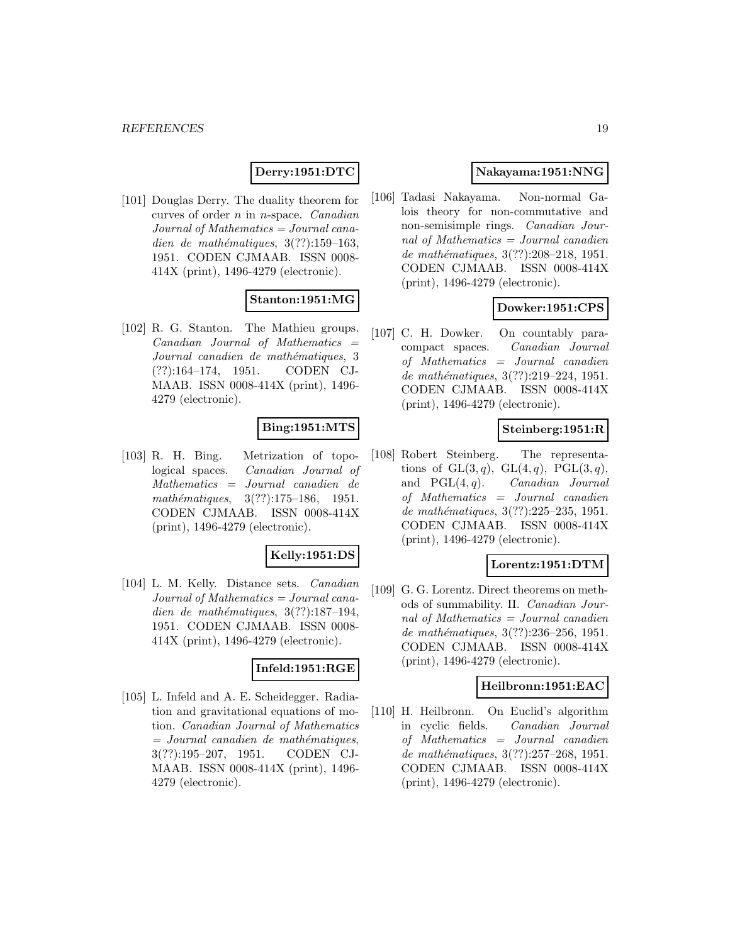# **Derry:1951:DTC**

[101] Douglas Derry. The duality theorem for curves of order n in n-space. Canadian Journal of Mathematics = Journal canadien de mathématiques,  $3(??):159-163$ , 1951. CODEN CJMAAB. ISSN 0008- 414X (print), 1496-4279 (electronic).

# **Stanton:1951:MG**

[102] R. G. Stanton. The Mathieu groups.  $Canadian$  Journal of Mathematics  $=$ Journal canadien de mathématiques, 3 (??):164–174, 1951. CODEN CJ-MAAB. ISSN 0008-414X (print), 1496- 4279 (electronic).

# **Bing:1951:MTS**

[103] R. H. Bing. Metrization of topological spaces. Canadian Journal of Mathematics = Journal canadien de mathématiques,  $3(??):175-186$ , 1951. CODEN CJMAAB. ISSN 0008-414X (print), 1496-4279 (electronic).

#### **Kelly:1951:DS**

[104] L. M. Kelly. Distance sets. Canadian Journal of Mathematics = Journal canadien de mathématiques,  $3(??):187-194$ , 1951. CODEN CJMAAB. ISSN 0008- 414X (print), 1496-4279 (electronic).

# **Infeld:1951:RGE**

[105] L. Infeld and A. E. Scheidegger. Radiation and gravitational equations of motion. Canadian Journal of Mathematics  $=$  Journal canadien de mathématiques, 3(??):195–207, 1951. CODEN CJ-MAAB. ISSN 0008-414X (print), 1496- 4279 (electronic).

# **Nakayama:1951:NNG**

[106] Tadasi Nakayama. Non-normal Galois theory for non-commutative and non-semisimple rings. Canadian Journal of Mathematics = Journal canadien de mathématiques,  $3(??):208-218$ , 1951. CODEN CJMAAB. ISSN 0008-414X (print), 1496-4279 (electronic).

# **Dowker:1951:CPS**

[107] C. H. Dowker. On countably paracompact spaces. Canadian Journal of Mathematics = Journal canadien de mathématiques,  $3(??):219-224$ , 1951. CODEN CJMAAB. ISSN 0008-414X (print), 1496-4279 (electronic).

### **Steinberg:1951:R**

[108] Robert Steinberg. The representations of  $GL(3,q)$ ,  $GL(4,q)$ ,  $PGL(3,q)$ , and  $PGL(4, q)$ . *Canadian Journal* of Mathematics = Journal canadien de mathématiques, 3(??):225-235, 1951. CODEN CJMAAB. ISSN 0008-414X (print), 1496-4279 (electronic).

#### **Lorentz:1951:DTM**

[109] G. G. Lorentz. Direct theorems on methods of summability. II. Canadian Journal of Mathematics = Journal canadien de mathématiques, 3(??):236-256, 1951. CODEN CJMAAB. ISSN 0008-414X (print), 1496-4279 (electronic).

#### **Heilbronn:1951:EAC**

[110] H. Heilbronn. On Euclid's algorithm in cyclic fields. Canadian Journal of Mathematics = Journal canadien de mathématiques, 3(??):257-268, 1951. CODEN CJMAAB. ISSN 0008-414X (print), 1496-4279 (electronic).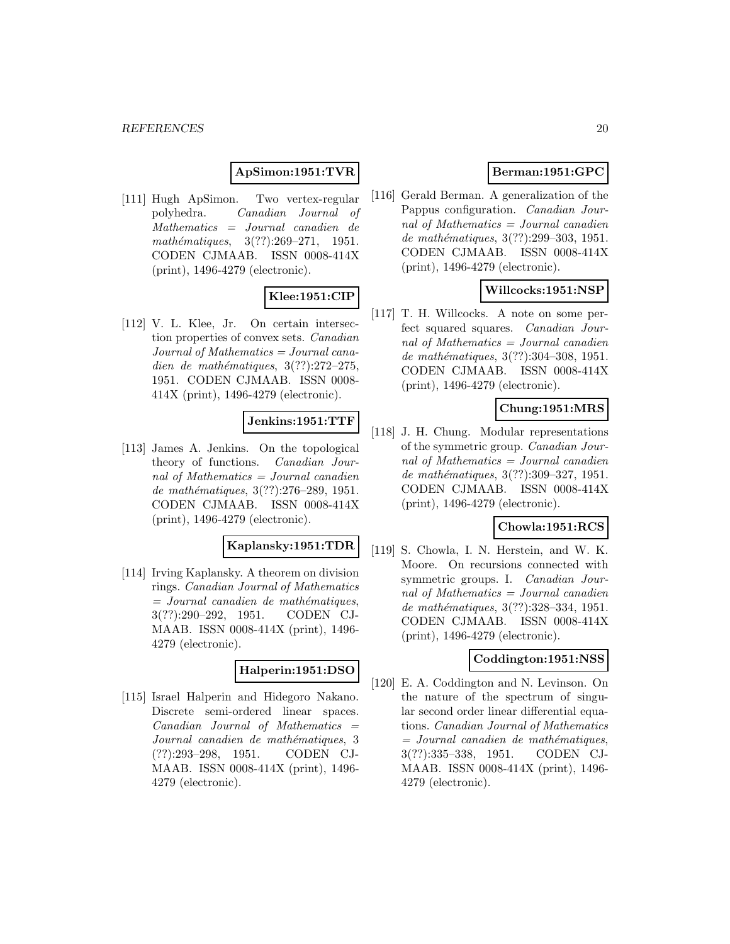### **ApSimon:1951:TVR**

[111] Hugh ApSimon. Two vertex-regular polyhedra. Canadian Journal of Mathematics = Journal canadien de mathématiques,  $3(??):269-271$ , 1951. CODEN CJMAAB. ISSN 0008-414X (print), 1496-4279 (electronic).

# **Klee:1951:CIP**

[112] V. L. Klee, Jr. On certain intersection properties of convex sets. Canadian Journal of Mathematics = Journal canadien de mathématiques,  $3(??):272-275$ , 1951. CODEN CJMAAB. ISSN 0008- 414X (print), 1496-4279 (electronic).

# **Jenkins:1951:TTF**

[113] James A. Jenkins. On the topological theory of functions. Canadian Journal of Mathematics  $=$  Journal canadien de mathématiques,  $3(??):276-289, 1951.$ CODEN CJMAAB. ISSN 0008-414X (print), 1496-4279 (electronic).

#### **Kaplansky:1951:TDR**

[114] Irving Kaplansky. A theorem on division rings. Canadian Journal of Mathematics  $=$  Journal canadien de mathématiques, 3(??):290–292, 1951. CODEN CJ-MAAB. ISSN 0008-414X (print), 1496- 4279 (electronic).

# **Halperin:1951:DSO**

[115] Israel Halperin and Hidegoro Nakano. Discrete semi-ordered linear spaces.  $Canadian$  Journal of Mathematics  $=$ Journal canadien de mathématiques, 3 (??):293–298, 1951. CODEN CJ-MAAB. ISSN 0008-414X (print), 1496- 4279 (electronic).

# **Berman:1951:GPC**

[116] Gerald Berman. A generalization of the Pappus configuration. Canadian Journal of Mathematics = Journal canadien de mathématiques, 3(??):299–303, 1951. CODEN CJMAAB. ISSN 0008-414X (print), 1496-4279 (electronic).

# **Willcocks:1951:NSP**

[117] T. H. Willcocks. A note on some perfect squared squares. Canadian Journal of Mathematics = Journal canadien de mathématiques, 3(??):304-308, 1951. CODEN CJMAAB. ISSN 0008-414X (print), 1496-4279 (electronic).

### **Chung:1951:MRS**

[118] J. H. Chung. Modular representations of the symmetric group. Canadian Journal of Mathematics = Journal canadien de mathématiques, 3(??):309–327, 1951. CODEN CJMAAB. ISSN 0008-414X (print), 1496-4279 (electronic).

# **Chowla:1951:RCS**

[119] S. Chowla, I. N. Herstein, and W. K. Moore. On recursions connected with symmetric groups. I. Canadian Journal of Mathematics = Journal canadien de mathématiques, 3(??):328–334, 1951. CODEN CJMAAB. ISSN 0008-414X (print), 1496-4279 (electronic).

#### **Coddington:1951:NSS**

[120] E. A. Coddington and N. Levinson. On the nature of the spectrum of singular second order linear differential equations. Canadian Journal of Mathematics  $=$  Journal canadien de mathématiques, 3(??):335–338, 1951. CODEN CJ-MAAB. ISSN 0008-414X (print), 1496- 4279 (electronic).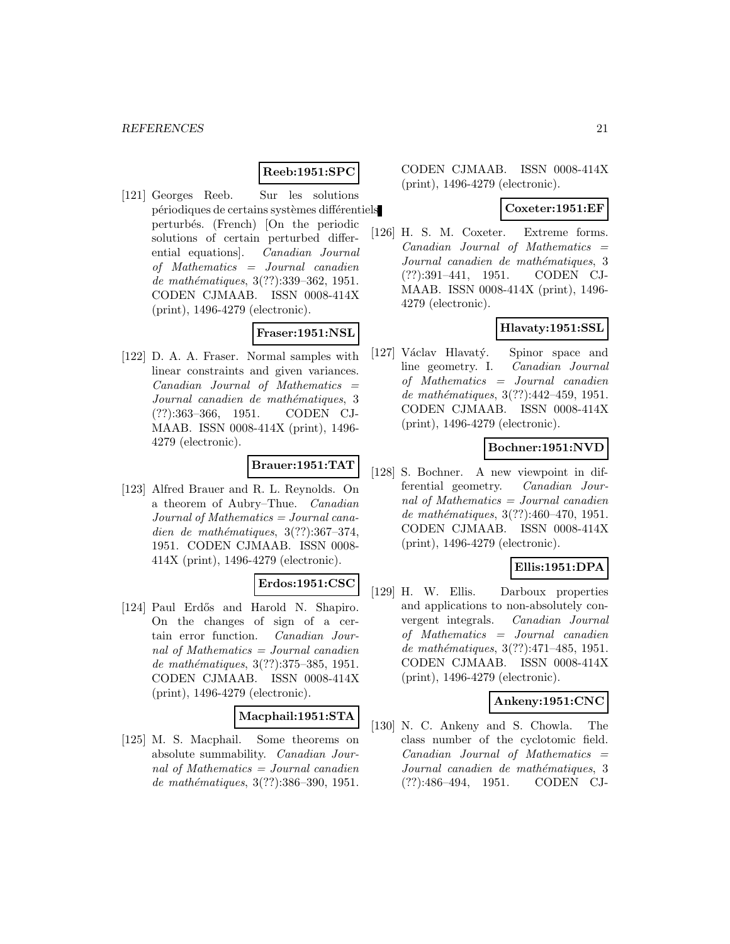# **Reeb:1951:SPC**

[121] Georges Reeb. Sur les solutions périodiques de certains systèmes différentiels perturb´es. (French) [On the periodic solutions of certain perturbed differential equations]. Canadian Journal of Mathematics = Journal canadien de mathématiques, 3(??):339-362, 1951. CODEN CJMAAB. ISSN 0008-414X (print), 1496-4279 (electronic).

# **Fraser:1951:NSL**

[122] D. A. A. Fraser. Normal samples with linear constraints and given variances.  $Canadian$  Journal of Mathematics  $=$ Journal canadien de mathématiques, 3 (??):363–366, 1951. CODEN CJ-MAAB. ISSN 0008-414X (print), 1496- 4279 (electronic).

# **Brauer:1951:TAT**

[123] Alfred Brauer and R. L. Reynolds. On a theorem of Aubry–Thue. Canadian Journal of Mathematics = Journal canadien de mathématiques,  $3(??):367-374$ , 1951. CODEN CJMAAB. ISSN 0008- 414X (print), 1496-4279 (electronic).

# **Erdos:1951:CSC**

[124] Paul Erdős and Harold N. Shapiro. On the changes of sign of a certain error function. Canadian Journal of Mathematics  $=$  Journal canadien de mathématiques,  $3(??):375-385, 1951.$ CODEN CJMAAB. ISSN 0008-414X (print), 1496-4279 (electronic).

# **Macphail:1951:STA**

[125] M. S. Macphail. Some theorems on absolute summability. Canadian Journal of Mathematics  $=$  Journal canadien de mathématiques, 3(??):386-390, 1951.

CODEN CJMAAB. ISSN 0008-414X (print), 1496-4279 (electronic).

#### **Coxeter:1951:EF**

[126] H. S. M. Coxeter. Extreme forms.  $Canadian$  Journal of Mathematics  $=$ Journal canadien de mathématiques, 3 (??):391–441, 1951. CODEN CJ-MAAB. ISSN 0008-414X (print), 1496- 4279 (electronic).

# **Hlavaty:1951:SSL**

[127] Václav Hlavatý. Spinor space and line geometry. I. Canadian Journal of Mathematics = Journal canadien de mathématiques, 3(??):442-459, 1951. CODEN CJMAAB. ISSN 0008-414X (print), 1496-4279 (electronic).

### **Bochner:1951:NVD**

[128] S. Bochner. A new viewpoint in differential geometry. Canadian Journal of Mathematics = Journal canadien de mathématiques,  $3(??):460-470$ , 1951. CODEN CJMAAB. ISSN 0008-414X (print), 1496-4279 (electronic).

# **Ellis:1951:DPA**

[129] H. W. Ellis. Darboux properties and applications to non-absolutely convergent integrals. Canadian Journal of Mathematics = Journal canadien de mathématiques, 3(??):471-485, 1951. CODEN CJMAAB. ISSN 0008-414X (print), 1496-4279 (electronic).

# **Ankeny:1951:CNC**

[130] N. C. Ankeny and S. Chowla. The class number of the cyclotomic field.  $Canadian$  Journal of Mathematics  $=$ Journal canadien de mathématiques, 3 (??):486–494, 1951. CODEN CJ-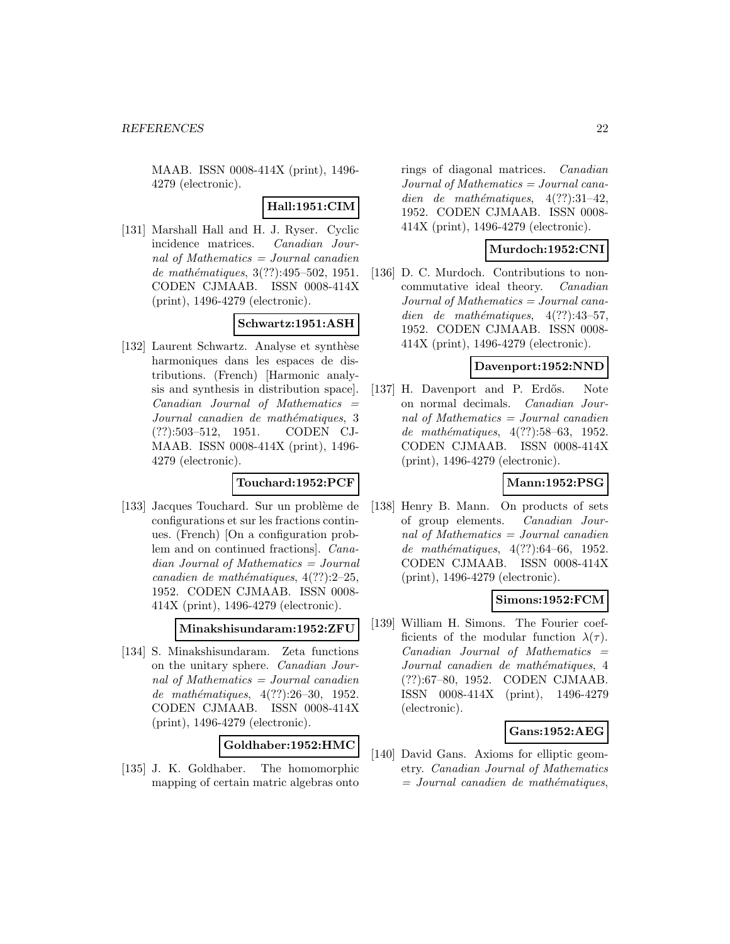MAAB. ISSN 0008-414X (print), 1496- 4279 (electronic).

### **Hall:1951:CIM**

[131] Marshall Hall and H. J. Ryser. Cyclic incidence matrices. Canadian Journal of Mathematics = Journal canadien de mathématiques,  $3(??):495-502$ , 1951. CODEN CJMAAB. ISSN 0008-414X (print), 1496-4279 (electronic).

#### **Schwartz:1951:ASH**

[132] Laurent Schwartz. Analyse et synthèse harmoniques dans les espaces de distributions. (French) [Harmonic analysis and synthesis in distribution space].  $Canadian$  Journal of Mathematics  $=$ Journal canadien de mathématiques, 3 (??):503–512, 1951. CODEN CJ-MAAB. ISSN 0008-414X (print), 1496- 4279 (electronic).

#### **Touchard:1952:PCF**

[133] Jacques Touchard. Sur un problème de configurations et sur les fractions continues. (French) [On a configuration problem and on continued fractions]. Canadian Journal of Mathematics = Journal canadien de mathématiques,  $4(??):2-25$ , 1952. CODEN CJMAAB. ISSN 0008- 414X (print), 1496-4279 (electronic).

#### **Minakshisundaram:1952:ZFU**

[134] S. Minakshisundaram. Zeta functions on the unitary sphere. Canadian Journal of Mathematics = Journal canadien de mathématiques,  $4(??):26-30$ , 1952. CODEN CJMAAB. ISSN 0008-414X (print), 1496-4279 (electronic).

### **Goldhaber:1952:HMC**

[135] J. K. Goldhaber. The homomorphic mapping of certain matric algebras onto

rings of diagonal matrices. Canadian Journal of Mathematics = Journal canadien de mathématiques,  $4(??):31-42$ , 1952. CODEN CJMAAB. ISSN 0008- 414X (print), 1496-4279 (electronic).

### **Murdoch:1952:CNI**

[136] D. C. Murdoch. Contributions to noncommutative ideal theory. Canadian Journal of Mathematics = Journal canadien de mathématiques,  $4(??):43-57$ , 1952. CODEN CJMAAB. ISSN 0008- 414X (print), 1496-4279 (electronic).

# **Davenport:1952:NND**

[137] H. Davenport and P. Erdős. Note on normal decimals. Canadian Journal of Mathematics = Journal canadien de mathématiques, 4(??):58–63, 1952. CODEN CJMAAB. ISSN 0008-414X (print), 1496-4279 (electronic).

# **Mann:1952:PSG**

[138] Henry B. Mann. On products of sets of group elements. Canadian Journal of Mathematics = Journal canadien de mathématiques, 4(??):64–66, 1952. CODEN CJMAAB. ISSN 0008-414X (print), 1496-4279 (electronic).

#### **Simons:1952:FCM**

[139] William H. Simons. The Fourier coefficients of the modular function  $\lambda(\tau)$ .  $Canadian$  Journal of Mathematics  $=$ Journal canadien de mathématiques, 4 (??):67–80, 1952. CODEN CJMAAB. ISSN 0008-414X (print), 1496-4279 (electronic).

#### **Gans:1952:AEG**

[140] David Gans. Axioms for elliptic geometry. Canadian Journal of Mathematics  $=$  Journal canadien de mathématiques,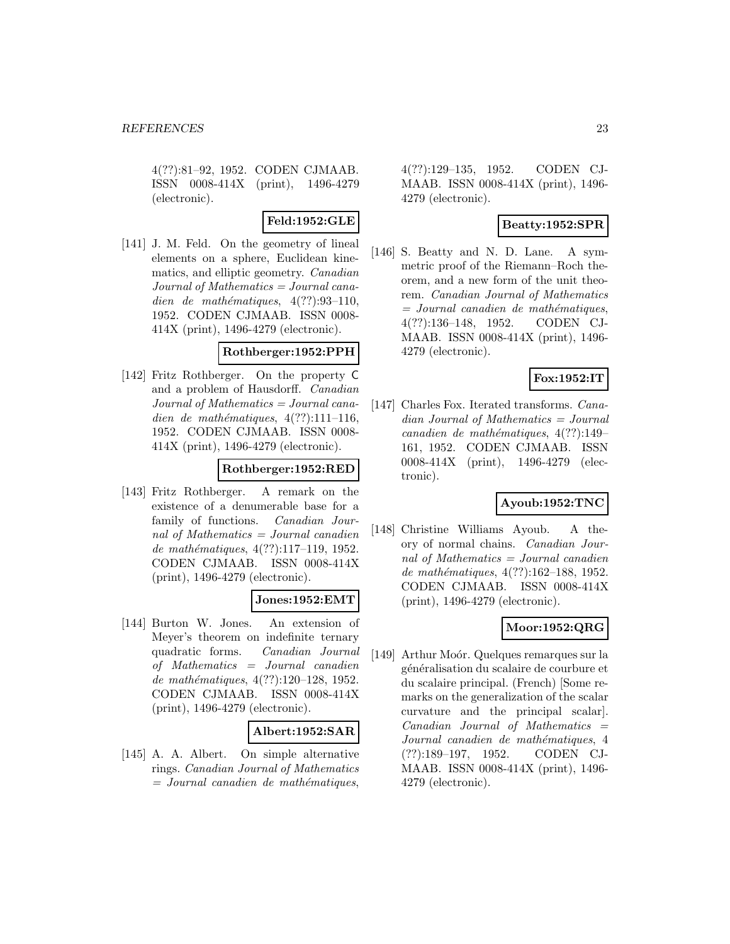4(??):81–92, 1952. CODEN CJMAAB. ISSN 0008-414X (print), 1496-4279 (electronic).

# **Feld:1952:GLE**

[141] J. M. Feld. On the geometry of lineal elements on a sphere, Euclidean kinematics, and elliptic geometry. Canadian Journal of Mathematics = Journal canadien de mathématiques,  $4(??):93-110$ , 1952. CODEN CJMAAB. ISSN 0008- 414X (print), 1496-4279 (electronic).

#### **Rothberger:1952:PPH**

[142] Fritz Rothberger. On the property C and a problem of Hausdorff. Canadian Journal of Mathematics = Journal canadien de mathématiques,  $4(??):111-116$ , 1952. CODEN CJMAAB. ISSN 0008- 414X (print), 1496-4279 (electronic).

# **Rothberger:1952:RED**

[143] Fritz Rothberger. A remark on the existence of a denumerable base for a family of functions. Canadian Journal of Mathematics = Journal canadien de mathématiques, 4(??):117-119, 1952. CODEN CJMAAB. ISSN 0008-414X (print), 1496-4279 (electronic).

# **Jones:1952:EMT**

[144] Burton W. Jones. An extension of Meyer's theorem on indefinite ternary quadratic forms. Canadian Journal of Mathematics = Journal canadien de mathématiques,  $4(??):120-128$ , 1952. CODEN CJMAAB. ISSN 0008-414X (print), 1496-4279 (electronic).

# **Albert:1952:SAR**

[145] A. A. Albert. On simple alternative rings. Canadian Journal of Mathematics  $=$  Journal canadien de mathématiques,

4(??):129–135, 1952. CODEN CJ-MAAB. ISSN 0008-414X (print), 1496- 4279 (electronic).

### **Beatty:1952:SPR**

[146] S. Beatty and N. D. Lane. A symmetric proof of the Riemann–Roch theorem, and a new form of the unit theorem. Canadian Journal of Mathematics  $=$  Journal canadien de mathématiques, 4(??):136–148, 1952. CODEN CJ-MAAB. ISSN 0008-414X (print), 1496- 4279 (electronic).

# **Fox:1952:IT**

[147] Charles Fox. Iterated transforms. *Cana*dian Journal of Mathematics = Journal canadien de mathématiques,  $4(??):149-$ 161, 1952. CODEN CJMAAB. ISSN 0008-414X (print), 1496-4279 (electronic).

# **Ayoub:1952:TNC**

[148] Christine Williams Ayoub. A theory of normal chains. Canadian Journal of Mathematics = Journal canadien de mathématiques,  $4(??):162-188$ , 1952. CODEN CJMAAB. ISSN 0008-414X (print), 1496-4279 (electronic).

# **Moor:1952:QRG**

[149] Arthur Moór. Quelques remarques sur la généralisation du scalaire de courbure et du scalaire principal. (French) [Some remarks on the generalization of the scalar curvature and the principal scalar].  $Canadian$  Journal of Mathematics  $=$ Journal canadien de mathématiques, 4 (??):189–197, 1952. CODEN CJ-MAAB. ISSN 0008-414X (print), 1496- 4279 (electronic).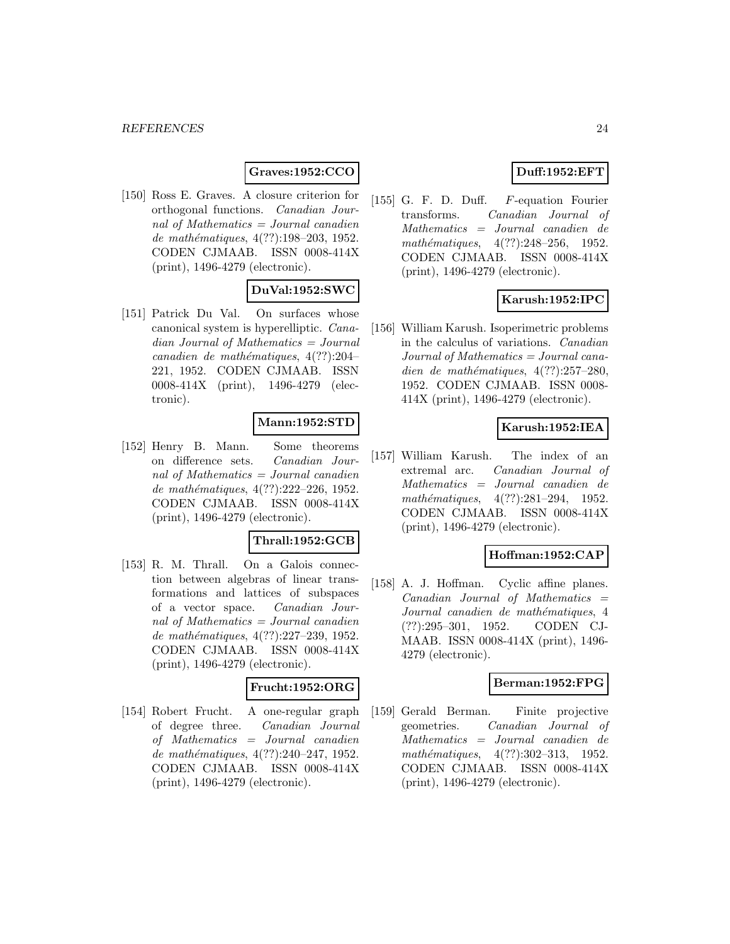# **Graves:1952:CCO**

[150] Ross E. Graves. A closure criterion for orthogonal functions. Canadian Journal of Mathematics = Journal canadien de mathématiques,  $4(??):198-203, 1952.$ CODEN CJMAAB. ISSN 0008-414X (print), 1496-4279 (electronic).

# **DuVal:1952:SWC**

[151] Patrick Du Val. On surfaces whose canonical system is hyperelliptic. Canadian Journal of Mathematics = Journal canadien de mathématiques,  $4(??):204-$ 221, 1952. CODEN CJMAAB. ISSN 0008-414X (print), 1496-4279 (electronic).

### **Mann:1952:STD**

[152] Henry B. Mann. Some theorems on difference sets. Canadian Journal of Mathematics = Journal canadien de mathématiques, 4(??):222–226, 1952. CODEN CJMAAB. ISSN 0008-414X (print), 1496-4279 (electronic).

#### **Thrall:1952:GCB**

[153] R. M. Thrall. On a Galois connection between algebras of linear transformations and lattices of subspaces of a vector space. Canadian Journal of Mathematics = Journal canadien de mathématiques, 4(??):227-239, 1952. CODEN CJMAAB. ISSN 0008-414X (print), 1496-4279 (electronic).

# **Frucht:1952:ORG**

[154] Robert Frucht. A one-regular graph of degree three. Canadian Journal of Mathematics = Journal canadien de mathématiques, 4(??):240–247, 1952. CODEN CJMAAB. ISSN 0008-414X (print), 1496-4279 (electronic).

# **Duff:1952:EFT**

[155] G. F. D. Duff. F-equation Fourier transforms. Canadian Journal of Mathematics = Journal canadien de mathématiques,  $4(??):248-256$ , 1952. CODEN CJMAAB. ISSN 0008-414X (print), 1496-4279 (electronic).

# **Karush:1952:IPC**

[156] William Karush. Isoperimetric problems in the calculus of variations. Canadian  $Journal of Mathematics = Journal cana$ dien de mathématiques,  $4(??):257-280$ , 1952. CODEN CJMAAB. ISSN 0008- 414X (print), 1496-4279 (electronic).

#### **Karush:1952:IEA**

[157] William Karush. The index of an extremal arc. Canadian Journal of Mathematics = Journal canadien de mathématiques,  $4(??):281-294$ , 1952. CODEN CJMAAB. ISSN 0008-414X (print), 1496-4279 (electronic).

#### **Hoffman:1952:CAP**

[158] A. J. Hoffman. Cyclic affine planes.  $Canadian$  Journal of Mathematics  $=$ Journal canadien de mathématiques, 4 (??):295–301, 1952. CODEN CJ-MAAB. ISSN 0008-414X (print), 1496- 4279 (electronic).

### **Berman:1952:FPG**

[159] Gerald Berman. Finite projective geometries. Canadian Journal of Mathematics = Journal canadien de mathématiques,  $4(??):302-313$ , 1952. CODEN CJMAAB. ISSN 0008-414X (print), 1496-4279 (electronic).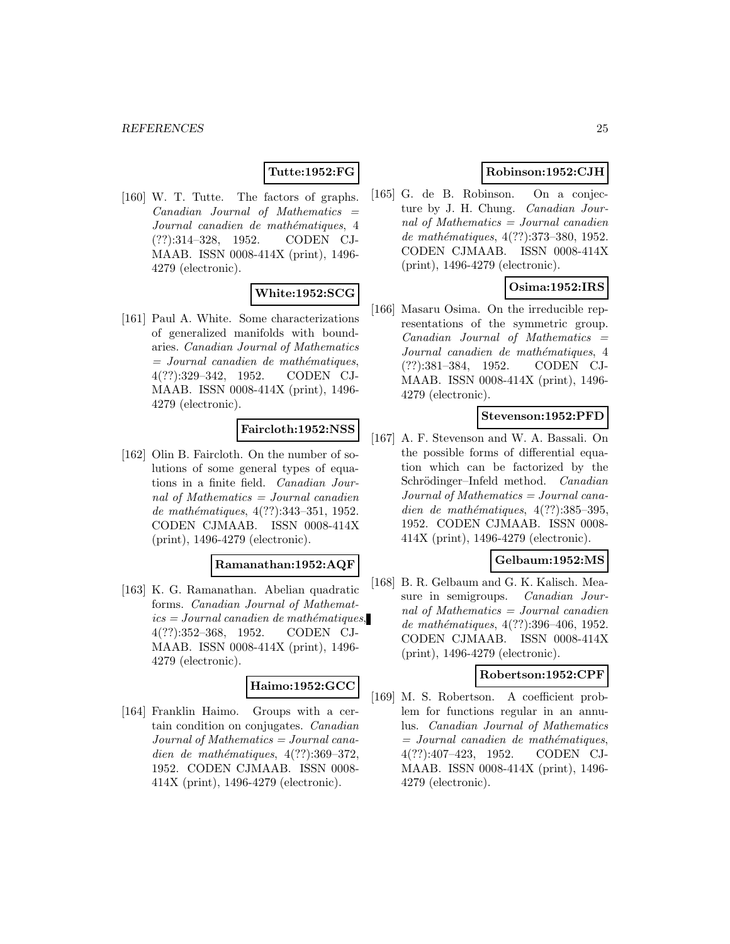# **Tutte:1952:FG**

[160] W. T. Tutte. The factors of graphs.  $Canadian$  Journal of Mathematics  $=$ Journal canadien de mathématiques, 4 (??):314–328, 1952. CODEN CJ-MAAB. ISSN 0008-414X (print), 1496- 4279 (electronic).

# **White:1952:SCG**

[161] Paul A. White. Some characterizations of generalized manifolds with boundaries. Canadian Journal of Mathematics  $=$  Journal canadien de mathématiques, 4(??):329–342, 1952. CODEN CJ-MAAB. ISSN 0008-414X (print), 1496- 4279 (electronic).

### **Faircloth:1952:NSS**

[162] Olin B. Faircloth. On the number of solutions of some general types of equations in a finite field. Canadian Journal of Mathematics  $=$  Journal canadien de mathématiques, 4(??):343-351, 1952. CODEN CJMAAB. ISSN 0008-414X (print), 1496-4279 (electronic).

# **Ramanathan:1952:AQF**

[163] K. G. Ramanathan. Abelian quadratic forms. Canadian Journal of Mathemat $ics = Journal\,c$  and  $i$ emathématiques, 4(??):352–368, 1952. CODEN CJ-MAAB. ISSN 0008-414X (print), 1496- 4279 (electronic).

### **Haimo:1952:GCC**

[164] Franklin Haimo. Groups with a certain condition on conjugates. Canadian Journal of Mathematics = Journal canadien de mathématiques,  $4(??):369-372$ , 1952. CODEN CJMAAB. ISSN 0008- 414X (print), 1496-4279 (electronic).

# **Robinson:1952:CJH**

[165] G. de B. Robinson. On a conjecture by J. H. Chung. Canadian Journal of Mathematics = Journal canadien de mathématiques, 4(??):373-380, 1952. CODEN CJMAAB. ISSN 0008-414X (print), 1496-4279 (electronic).

# **Osima:1952:IRS**

[166] Masaru Osima. On the irreducible representations of the symmetric group.  $Canadian$  Journal of Mathematics  $=$ Journal canadien de mathématiques, 4 (??):381–384, 1952. CODEN CJ-MAAB. ISSN 0008-414X (print), 1496- 4279 (electronic).

# **Stevenson:1952:PFD**

[167] A. F. Stevenson and W. A. Bassali. On the possible forms of differential equation which can be factorized by the Schrödinger–Infeld method. Canadian Journal of Mathematics = Journal canadien de mathématiques,  $4(??):385-395$ , 1952. CODEN CJMAAB. ISSN 0008- 414X (print), 1496-4279 (electronic).

# **Gelbaum:1952:MS**

[168] B. R. Gelbaum and G. K. Kalisch. Measure in semigroups. Canadian Journal of Mathematics  $=$  Journal canadien de mathématiques, 4(??):396-406, 1952. CODEN CJMAAB. ISSN 0008-414X (print), 1496-4279 (electronic).

#### **Robertson:1952:CPF**

[169] M. S. Robertson. A coefficient problem for functions regular in an annulus. Canadian Journal of Mathematics  $=$  Journal canadien de mathématiques, 4(??):407–423, 1952. CODEN CJ-MAAB. ISSN 0008-414X (print), 1496- 4279 (electronic).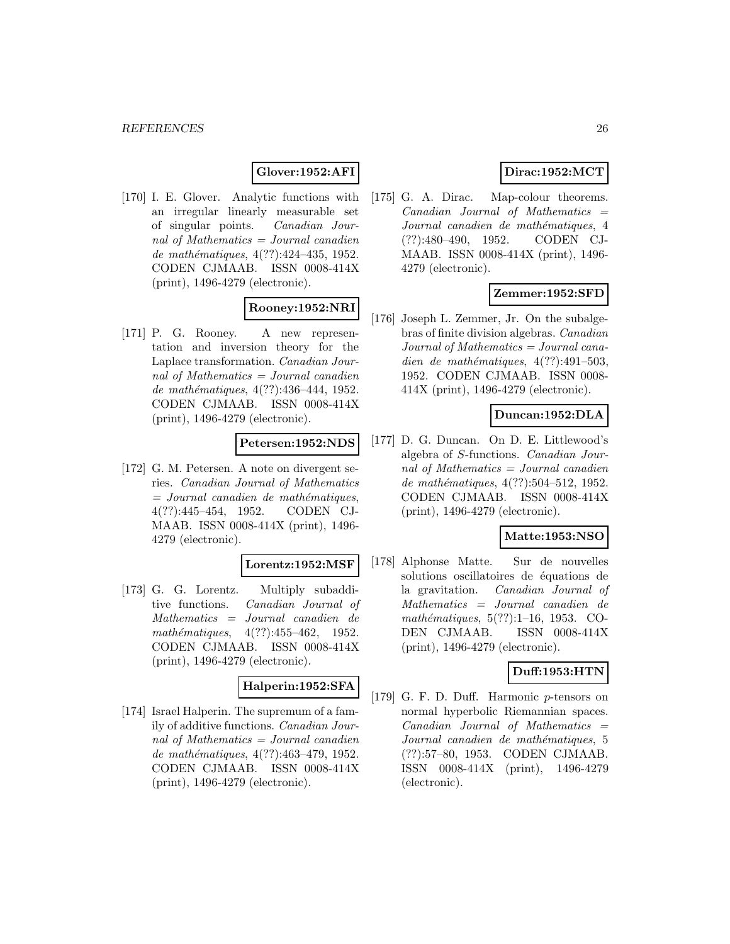# **Glover:1952:AFI**

[170] I. E. Glover. Analytic functions with an irregular linearly measurable set of singular points. Canadian Journal of Mathematics = Journal canadien de mathématiques,  $4(??):424-435, 1952.$ CODEN CJMAAB. ISSN 0008-414X (print), 1496-4279 (electronic).

# **Rooney:1952:NRI**

[171] P. G. Rooney. A new representation and inversion theory for the Laplace transformation. Canadian Journal of Mathematics = Journal canadien de mathématiques,  $4(??):436-444, 1952.$ CODEN CJMAAB. ISSN 0008-414X (print), 1496-4279 (electronic).

# **Petersen:1952:NDS**

[172] G. M. Petersen. A note on divergent series. Canadian Journal of Mathematics  $=$  Journal canadien de mathématiques, 4(??):445–454, 1952. CODEN CJ-MAAB. ISSN 0008-414X (print), 1496- 4279 (electronic).

### **Lorentz:1952:MSF**

[173] G. G. Lorentz. Multiply subadditive functions. Canadian Journal of Mathematics = Journal canadien de mathématiques,  $4(??):455-462$ , 1952. CODEN CJMAAB. ISSN 0008-414X (print), 1496-4279 (electronic).

#### **Halperin:1952:SFA**

[174] Israel Halperin. The supremum of a family of additive functions. Canadian Journal of Mathematics = Journal canadien de mathématiques, 4(??):463-479, 1952. CODEN CJMAAB. ISSN 0008-414X (print), 1496-4279 (electronic).

# **Dirac:1952:MCT**

[175] G. A. Dirac. Map-colour theorems.  $Canadian$  Journal of Mathematics  $=$ Journal canadien de mathématiques, 4 (??):480–490, 1952. CODEN CJ-MAAB. ISSN 0008-414X (print), 1496- 4279 (electronic).

# **Zemmer:1952:SFD**

[176] Joseph L. Zemmer, Jr. On the subalgebras of finite division algebras. Canadian Journal of Mathematics = Journal canadien de mathématiques,  $4(??):491-503$ , 1952. CODEN CJMAAB. ISSN 0008- 414X (print), 1496-4279 (electronic).

# **Duncan:1952:DLA**

[177] D. G. Duncan. On D. E. Littlewood's algebra of S-functions. Canadian Journal of Mathematics = Journal canadien de mathématiques, 4(??):504–512, 1952. CODEN CJMAAB. ISSN 0008-414X (print), 1496-4279 (electronic).

#### **Matte:1953:NSO**

[178] Alphonse Matte. Sur de nouvelles solutions oscillatoires de équations de la gravitation. Canadian Journal of Mathematics = Journal canadien de mathématiques,  $5(??):1-16$ , 1953. CO-DEN CJMAAB. ISSN 0008-414X (print), 1496-4279 (electronic).

### **Duff:1953:HTN**

[179] G. F. D. Duff. Harmonic p-tensors on normal hyperbolic Riemannian spaces.  $Canadian$  Journal of Mathematics  $=$ Journal canadien de mathématiques, 5 (??):57–80, 1953. CODEN CJMAAB. ISSN 0008-414X (print), 1496-4279 (electronic).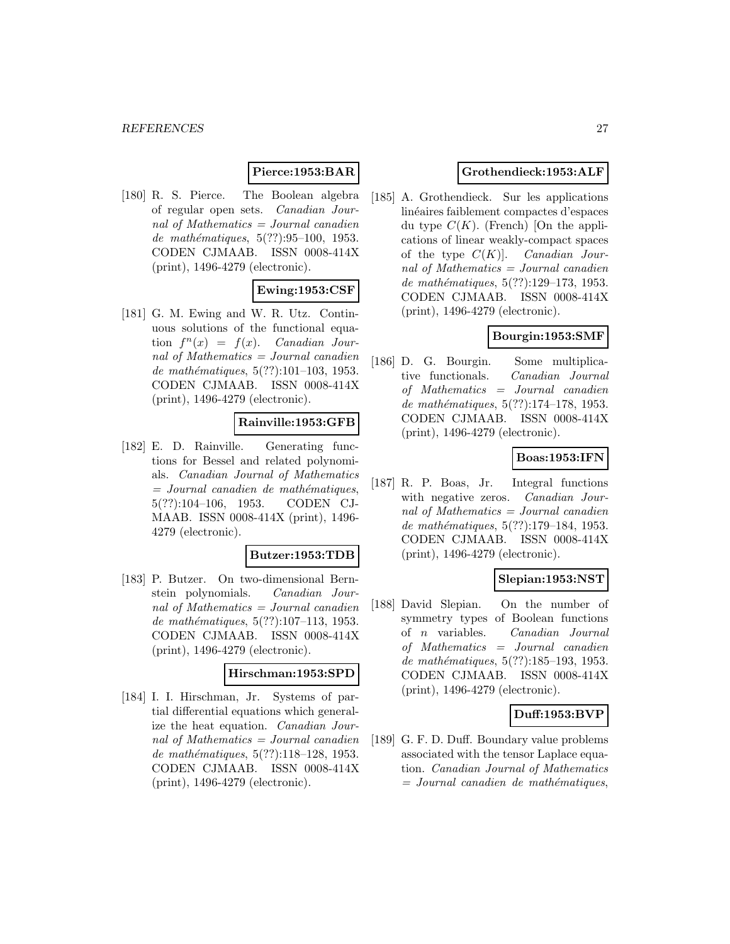# **Pierce:1953:BAR**

[180] R. S. Pierce. The Boolean algebra of regular open sets. Canadian Journal of Mathematics = Journal canadien de mathématiques,  $5(??):95-100$ , 1953. CODEN CJMAAB. ISSN 0008-414X (print), 1496-4279 (electronic).

# **Ewing:1953:CSF**

[181] G. M. Ewing and W. R. Utz. Continuous solutions of the functional equation  $f^{n}(x) = f(x)$ . Canadian Journal of Mathematics  $=$  Journal canadien de mathématiques,  $5(??):101-103$ , 1953. CODEN CJMAAB. ISSN 0008-414X (print), 1496-4279 (electronic).

#### **Rainville:1953:GFB**

[182] E. D. Rainville. Generating functions for Bessel and related polynomials. Canadian Journal of Mathematics  $=$  Journal canadien de mathématiques, 5(??):104–106, 1953. CODEN CJ-MAAB. ISSN 0008-414X (print), 1496- 4279 (electronic).

#### **Butzer:1953:TDB**

[183] P. Butzer. On two-dimensional Bernstein polynomials. Canadian Journal of Mathematics  $=$  Journal canadien de mathématiques,  $5(??):107-113$ , 1953. CODEN CJMAAB. ISSN 0008-414X (print), 1496-4279 (electronic).

#### **Hirschman:1953:SPD**

[184] I. I. Hirschman, Jr. Systems of partial differential equations which generalize the heat equation. Canadian Journal of Mathematics = Journal canadien de mathématiques, 5(??):118–128, 1953. CODEN CJMAAB. ISSN 0008-414X (print), 1496-4279 (electronic).

# **Grothendieck:1953:ALF**

[185] A. Grothendieck. Sur les applications linéaires faiblement compactes d'espaces du type  $C(K)$ . (French) [On the applications of linear weakly-compact spaces of the type  $C(K)$ . Canadian Journal of Mathematics = Journal canadien de mathématiques,  $5(??):129-173, 1953.$ CODEN CJMAAB. ISSN 0008-414X (print), 1496-4279 (electronic).

# **Bourgin:1953:SMF**

[186] D. G. Bourgin. Some multiplicative functionals. Canadian Journal of Mathematics = Journal canadien de mathématiques,  $5(??):174-178$ , 1953. CODEN CJMAAB. ISSN 0008-414X (print), 1496-4279 (electronic).

### **Boas:1953:IFN**

[187] R. P. Boas, Jr. Integral functions with negative zeros. Canadian Journal of Mathematics = Journal canadien de mathématiques, 5(??):179–184, 1953. CODEN CJMAAB. ISSN 0008-414X (print), 1496-4279 (electronic).

# **Slepian:1953:NST**

[188] David Slepian. On the number of symmetry types of Boolean functions of n variables. Canadian Journal of Mathematics = Journal canadien de mathématiques, 5(??):185-193, 1953. CODEN CJMAAB. ISSN 0008-414X (print), 1496-4279 (electronic).

# **Duff:1953:BVP**

[189] G. F. D. Duff. Boundary value problems associated with the tensor Laplace equation. Canadian Journal of Mathematics  $=$  Journal canadien de mathématiques,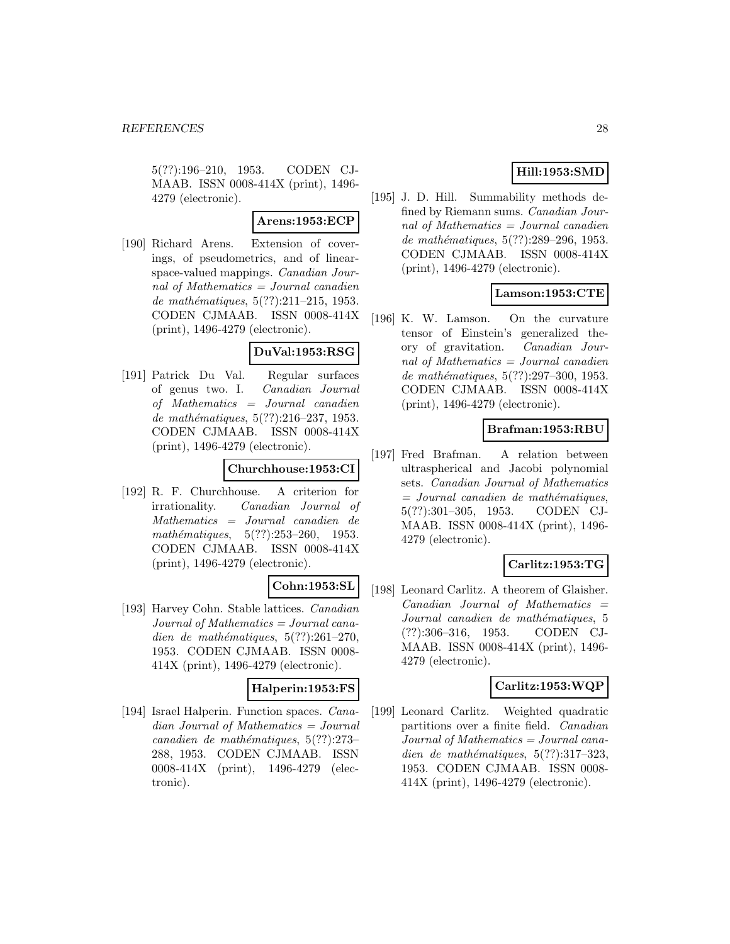5(??):196–210, 1953. CODEN CJ-MAAB. ISSN 0008-414X (print), 1496- 4279 (electronic).

### **Arens:1953:ECP**

[190] Richard Arens. Extension of coverings, of pseudometrics, and of linearspace-valued mappings. Canadian Journal of Mathematics  $=$  Journal canadien de mathématiques,  $5(??):211-215$ , 1953. CODEN CJMAAB. ISSN 0008-414X (print), 1496-4279 (electronic).

### **DuVal:1953:RSG**

[191] Patrick Du Val. Regular surfaces of genus two. I. Canadian Journal of Mathematics = Journal canadien de mathématiques,  $5(??):216-237, 1953.$ CODEN CJMAAB. ISSN 0008-414X (print), 1496-4279 (electronic).

# **Churchhouse:1953:CI**

[192] R. F. Churchhouse. A criterion for irrationality. Canadian Journal of Mathematics = Journal canadien de mathématiques,  $5(??):253-260$ , 1953. CODEN CJMAAB. ISSN 0008-414X (print), 1496-4279 (electronic).

# **Cohn:1953:SL**

[193] Harvey Cohn. Stable lattices. Canadian Journal of Mathematics = Journal canadien de mathématiques,  $5(??):261-270$ , 1953. CODEN CJMAAB. ISSN 0008- 414X (print), 1496-4279 (electronic).

### **Halperin:1953:FS**

[194] Israel Halperin. Function spaces. Canadian Journal of Mathematics = Journal canadien de mathématiques,  $5(??):273-$ 288, 1953. CODEN CJMAAB. ISSN 0008-414X (print), 1496-4279 (electronic).

# **Hill:1953:SMD**

[195] J. D. Hill. Summability methods defined by Riemann sums. Canadian Journal of Mathematics = Journal canadien de mathématiques, 5(??):289–296, 1953. CODEN CJMAAB. ISSN 0008-414X (print), 1496-4279 (electronic).

### **Lamson:1953:CTE**

[196] K. W. Lamson. On the curvature tensor of Einstein's generalized theory of gravitation. Canadian Journal of Mathematics = Journal canadien de mathématiques,  $5(??):297-300$ , 1953. CODEN CJMAAB. ISSN 0008-414X (print), 1496-4279 (electronic).

### **Brafman:1953:RBU**

[197] Fred Brafman. A relation between ultraspherical and Jacobi polynomial sets. Canadian Journal of Mathematics  $=$  Journal canadien de mathématiques, 5(??):301–305, 1953. CODEN CJ-MAAB. ISSN 0008-414X (print), 1496- 4279 (electronic).

# **Carlitz:1953:TG**

[198] Leonard Carlitz. A theorem of Glaisher.  $Canadian$  Journal of Mathematics  $=$ Journal canadien de mathématiques, 5 (??):306–316, 1953. CODEN CJ-MAAB. ISSN 0008-414X (print), 1496- 4279 (electronic).

### **Carlitz:1953:WQP**

[199] Leonard Carlitz. Weighted quadratic partitions over a finite field. Canadian Journal of Mathematics = Journal canadien de mathématiques,  $5(??):317-323$ , 1953. CODEN CJMAAB. ISSN 0008- 414X (print), 1496-4279 (electronic).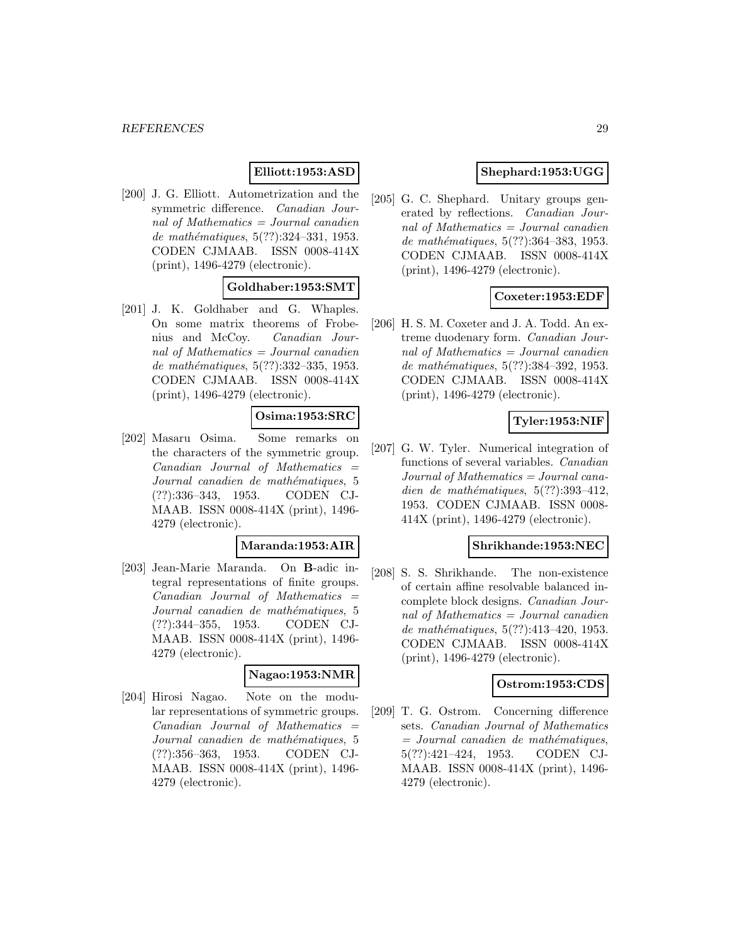# **Elliott:1953:ASD**

[200] J. G. Elliott. Autometrization and the symmetric difference. Canadian Journal of Mathematics  $=$  Journal canadien de mathématiques, 5(??):324-331, 1953. CODEN CJMAAB. ISSN 0008-414X (print), 1496-4279 (electronic).

# **Goldhaber:1953:SMT**

[201] J. K. Goldhaber and G. Whaples. On some matrix theorems of Frobenius and McCoy. Canadian Journal of Mathematics  $=$  Journal canadien de mathématiques, 5(??):332-335, 1953. CODEN CJMAAB. ISSN 0008-414X (print), 1496-4279 (electronic).

# **Osima:1953:SRC**

[202] Masaru Osima. Some remarks on the characters of the symmetric group.  $Canadian$  Journal of Mathematics  $=$ Journal canadien de mathématiques, 5 (??):336–343, 1953. CODEN CJ-MAAB. ISSN 0008-414X (print), 1496- 4279 (electronic).

#### **Maranda:1953:AIR**

[203] Jean-Marie Maranda. On **B**-adic integral representations of finite groups.  $Canadian$  Journal of Mathematics  $=$ Journal canadien de mathématiques, 5 (??):344–355, 1953. CODEN CJ-MAAB. ISSN 0008-414X (print), 1496- 4279 (electronic).

#### **Nagao:1953:NMR**

[204] Hirosi Nagao. Note on the modular representations of symmetric groups.  $Canadian$  Journal of Mathematics  $=$ Journal canadien de mathématiques, 5 (??):356–363, 1953. CODEN CJ-MAAB. ISSN 0008-414X (print), 1496- 4279 (electronic).

# **Shephard:1953:UGG**

[205] G. C. Shephard. Unitary groups generated by reflections. Canadian Journal of Mathematics = Journal canadien de mathématiques, 5(??):364-383, 1953. CODEN CJMAAB. ISSN 0008-414X (print), 1496-4279 (electronic).

### **Coxeter:1953:EDF**

[206] H. S. M. Coxeter and J. A. Todd. An extreme duodenary form. Canadian Journal of Mathematics = Journal canadien de mathématiques, 5(??):384-392, 1953. CODEN CJMAAB. ISSN 0008-414X (print), 1496-4279 (electronic).

### **Tyler:1953:NIF**

[207] G. W. Tyler. Numerical integration of functions of several variables. Canadian Journal of Mathematics = Journal canadien de mathématiques,  $5(??):393-412$ , 1953. CODEN CJMAAB. ISSN 0008- 414X (print), 1496-4279 (electronic).

### **Shrikhande:1953:NEC**

[208] S. S. Shrikhande. The non-existence of certain affine resolvable balanced incomplete block designs. Canadian Journal of Mathematics = Journal canadien de mathématiques,  $5(??):413-420$ , 1953. CODEN CJMAAB. ISSN 0008-414X (print), 1496-4279 (electronic).

#### **Ostrom:1953:CDS**

[209] T. G. Ostrom. Concerning difference sets. Canadian Journal of Mathematics  $=$  Journal canadien de mathématiques, 5(??):421–424, 1953. CODEN CJ-MAAB. ISSN 0008-414X (print), 1496- 4279 (electronic).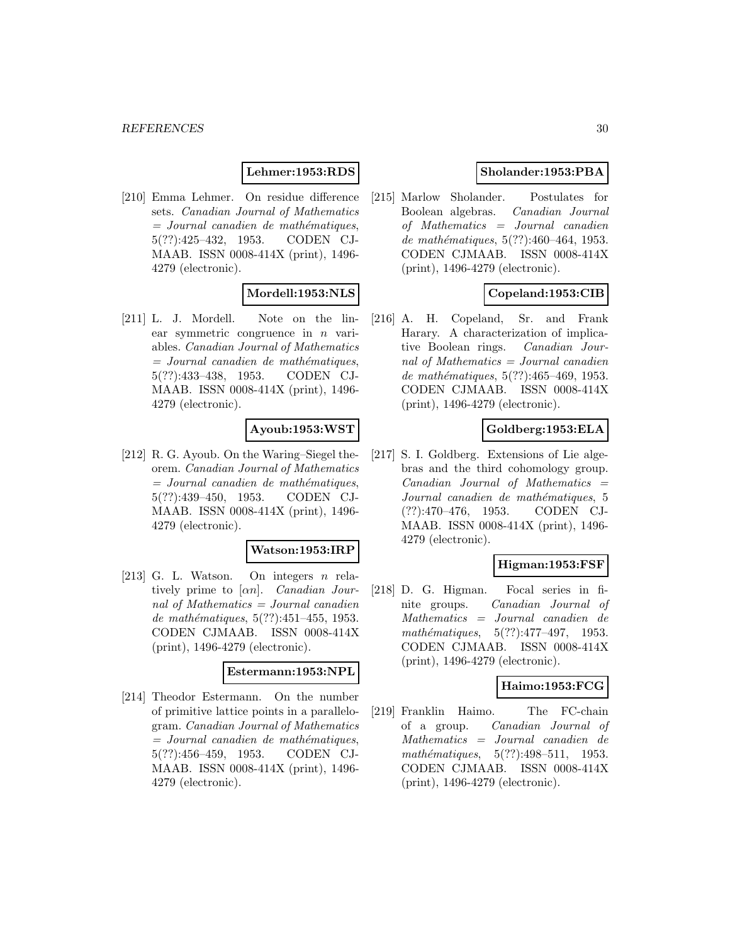#### **Lehmer:1953:RDS**

[210] Emma Lehmer. On residue difference sets. Canadian Journal of Mathematics  $=$  Journal canadien de mathématiques, 5(??):425–432, 1953. CODEN CJ-MAAB. ISSN 0008-414X (print), 1496- 4279 (electronic).

# **Mordell:1953:NLS**

[211] L. J. Mordell. Note on the linear symmetric congruence in  $n$  variables. Canadian Journal of Mathematics  $=$  Journal canadien de mathématiques, 5(??):433–438, 1953. CODEN CJ-MAAB. ISSN 0008-414X (print), 1496- 4279 (electronic).

### **Ayoub:1953:WST**

[212] R. G. Ayoub. On the Waring–Siegel theorem. Canadian Journal of Mathematics  $=$  Journal canadien de mathématiques, 5(??):439–450, 1953. CODEN CJ-MAAB. ISSN 0008-414X (print), 1496- 4279 (electronic).

#### **Watson:1953:IRP**

[213] G. L. Watson. On integers  $n$  relatively prime to  $[\alpha n]$ . *Canadian Jour*nal of Mathematics  $=$  Journal canadien de mathématiques,  $5(??):451-455$ , 1953. CODEN CJMAAB. ISSN 0008-414X (print), 1496-4279 (electronic).

#### **Estermann:1953:NPL**

[214] Theodor Estermann. On the number of primitive lattice points in a parallelogram. Canadian Journal of Mathematics  $=$  Journal canadien de mathématiques, 5(??):456–459, 1953. CODEN CJ-MAAB. ISSN 0008-414X (print), 1496- 4279 (electronic).

# **Sholander:1953:PBA**

[215] Marlow Sholander. Postulates for Boolean algebras. Canadian Journal of Mathematics = Journal canadien de mathématiques,  $5(??):460-464$ , 1953. CODEN CJMAAB. ISSN 0008-414X (print), 1496-4279 (electronic).

# **Copeland:1953:CIB**

[216] A. H. Copeland, Sr. and Frank Harary. A characterization of implicative Boolean rings. Canadian Journal of Mathematics = Journal canadien de mathématiques,  $5(??):465-469$ , 1953. CODEN CJMAAB. ISSN 0008-414X (print), 1496-4279 (electronic).

### **Goldberg:1953:ELA**

[217] S. I. Goldberg. Extensions of Lie algebras and the third cohomology group.  $Canadian$  Journal of Mathematics  $=$ Journal canadien de mathématiques, 5 (??):470–476, 1953. CODEN CJ-MAAB. ISSN 0008-414X (print), 1496- 4279 (electronic).

### **Higman:1953:FSF**

[218] D. G. Higman. Focal series in finite groups. Canadian Journal of Mathematics = Journal canadien de mathématiques,  $5(??):477-497$ , 1953. CODEN CJMAAB. ISSN 0008-414X (print), 1496-4279 (electronic).

#### **Haimo:1953:FCG**

[219] Franklin Haimo. The FC-chain of a group. Canadian Journal of Mathematics = Journal canadien de mathématiques,  $5(??):498-511$ , 1953. CODEN CJMAAB. ISSN 0008-414X (print), 1496-4279 (electronic).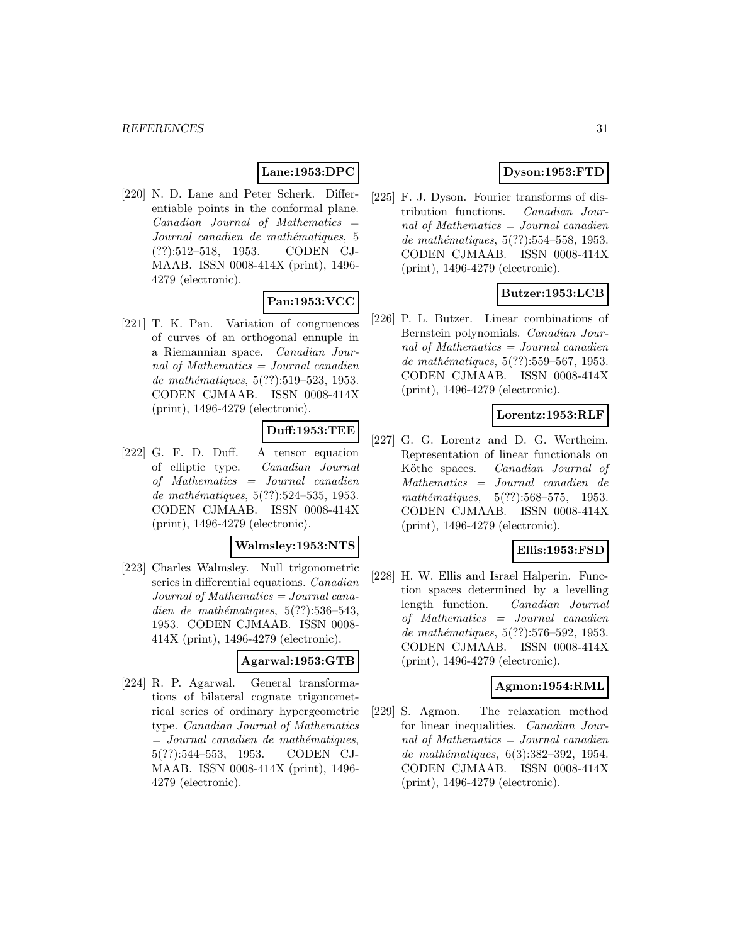### **Lane:1953:DPC**

[220] N. D. Lane and Peter Scherk. Differentiable points in the conformal plane.  $Canadian$  Journal of Mathematics  $=$ Journal canadien de mathématiques, 5 (??):512–518, 1953. CODEN CJ-MAAB. ISSN 0008-414X (print), 1496- 4279 (electronic).

# **Pan:1953:VCC**

[221] T. K. Pan. Variation of congruences of curves of an orthogonal ennuple in a Riemannian space. Canadian Journal of Mathematics = Journal canadien de mathématiques,  $5(??):519-523$ , 1953. CODEN CJMAAB. ISSN 0008-414X (print), 1496-4279 (electronic).

# **Duff:1953:TEE**

[222] G. F. D. Duff. A tensor equation of elliptic type. Canadian Journal of Mathematics = Journal canadien de mathématiques, 5(??):524–535, 1953. CODEN CJMAAB. ISSN 0008-414X (print), 1496-4279 (electronic).

#### **Walmsley:1953:NTS**

[223] Charles Walmsley. Null trigonometric series in differential equations. Canadian  $Journal of Mathematics = Journal cana$ dien de mathématiques,  $5(??):536-543$ , 1953. CODEN CJMAAB. ISSN 0008- 414X (print), 1496-4279 (electronic).

### **Agarwal:1953:GTB**

[224] R. P. Agarwal. General transformations of bilateral cognate trigonometrical series of ordinary hypergeometric type. Canadian Journal of Mathematics  $=$  Journal canadien de mathématiques, 5(??):544–553, 1953. CODEN CJ-MAAB. ISSN 0008-414X (print), 1496- 4279 (electronic).

# **Dyson:1953:FTD**

[225] F. J. Dyson. Fourier transforms of distribution functions. Canadian Journal of Mathematics = Journal canadien de mathématiques,  $5(??):554-558$ , 1953. CODEN CJMAAB. ISSN 0008-414X (print), 1496-4279 (electronic).

# **Butzer:1953:LCB**

[226] P. L. Butzer. Linear combinations of Bernstein polynomials. Canadian Journal of Mathematics = Journal canadien de mathématiques,  $5(??):559-567$ , 1953. CODEN CJMAAB. ISSN 0008-414X (print), 1496-4279 (electronic).

### **Lorentz:1953:RLF**

[227] G. G. Lorentz and D. G. Wertheim. Representation of linear functionals on Köthe spaces. Canadian Journal of Mathematics = Journal canadien de mathématiques,  $5(??):568-575$ , 1953. CODEN CJMAAB. ISSN 0008-414X (print), 1496-4279 (electronic).

# **Ellis:1953:FSD**

[228] H. W. Ellis and Israel Halperin. Function spaces determined by a levelling length function. Canadian Journal of Mathematics = Journal canadien de mathématiques, 5(??):576–592, 1953. CODEN CJMAAB. ISSN 0008-414X (print), 1496-4279 (electronic).

#### **Agmon:1954:RML**

[229] S. Agmon. The relaxation method for linear inequalities. Canadian Journal of Mathematics = Journal canadien de mathématiques, 6(3):382-392, 1954. CODEN CJMAAB. ISSN 0008-414X (print), 1496-4279 (electronic).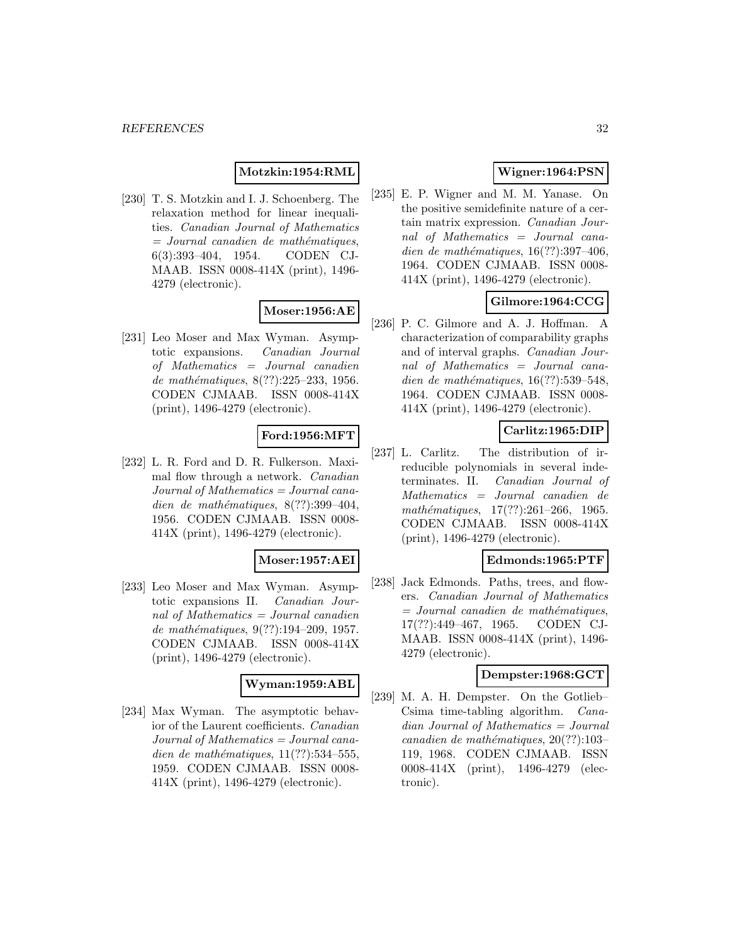### **Motzkin:1954:RML**

[230] T. S. Motzkin and I. J. Schoenberg. The relaxation method for linear inequalities. Canadian Journal of Mathematics  $=$  Journal canadien de mathématiques, 6(3):393–404, 1954. CODEN CJ-MAAB. ISSN 0008-414X (print), 1496- 4279 (electronic).

# **Moser:1956:AE**

[231] Leo Moser and Max Wyman. Asymptotic expansions. Canadian Journal of Mathematics = Journal canadien de mathématiques, 8(??):225–233, 1956. CODEN CJMAAB. ISSN 0008-414X (print), 1496-4279 (electronic).

### **Ford:1956:MFT**

[232] L. R. Ford and D. R. Fulkerson. Maximal flow through a network. Canadian Journal of Mathematics = Journal canadien de mathématiques,  $8(??):399-404$ , 1956. CODEN CJMAAB. ISSN 0008- 414X (print), 1496-4279 (electronic).

#### **Moser:1957:AEI**

[233] Leo Moser and Max Wyman. Asymptotic expansions II. Canadian Journal of Mathematics = Journal canadien de mathématiques, 9(??):194-209, 1957. CODEN CJMAAB. ISSN 0008-414X (print), 1496-4279 (electronic).

#### **Wyman:1959:ABL**

[234] Max Wyman. The asymptotic behavior of the Laurent coefficients. Canadian Journal of Mathematics = Journal canadien de mathématiques,  $11(??):534-555$ , 1959. CODEN CJMAAB. ISSN 0008- 414X (print), 1496-4279 (electronic).

# **Wigner:1964:PSN**

[235] E. P. Wigner and M. M. Yanase. On the positive semidefinite nature of a certain matrix expression. Canadian Journal of Mathematics = Journal canadien de mathématiques,  $16(??):397-406$ , 1964. CODEN CJMAAB. ISSN 0008- 414X (print), 1496-4279 (electronic).

# **Gilmore:1964:CCG**

[236] P. C. Gilmore and A. J. Hoffman. A characterization of comparability graphs and of interval graphs. Canadian Journal of Mathematics = Journal canadien de mathématiques,  $16(??):539-548$ , 1964. CODEN CJMAAB. ISSN 0008- 414X (print), 1496-4279 (electronic).

# **Carlitz:1965:DIP**

[237] L. Carlitz. The distribution of irreducible polynomials in several indeterminates. II. Canadian Journal of Mathematics = Journal canadien de  $mathématiques, 17(??):261–266, 1965.$ CODEN CJMAAB. ISSN 0008-414X (print), 1496-4279 (electronic).

#### **Edmonds:1965:PTF**

[238] Jack Edmonds. Paths, trees, and flowers. Canadian Journal of Mathematics  $=$  Journal canadien de mathématiques, 17(??):449–467, 1965. CODEN CJ-MAAB. ISSN 0008-414X (print), 1496- 4279 (electronic).

#### **Dempster:1968:GCT**

[239] M. A. H. Dempster. On the Gotlieb– Csima time-tabling algorithm. Canadian Journal of Mathematics = Journal canadien de mathématiques,  $20(??):103-$ 119, 1968. CODEN CJMAAB. ISSN 0008-414X (print), 1496-4279 (electronic).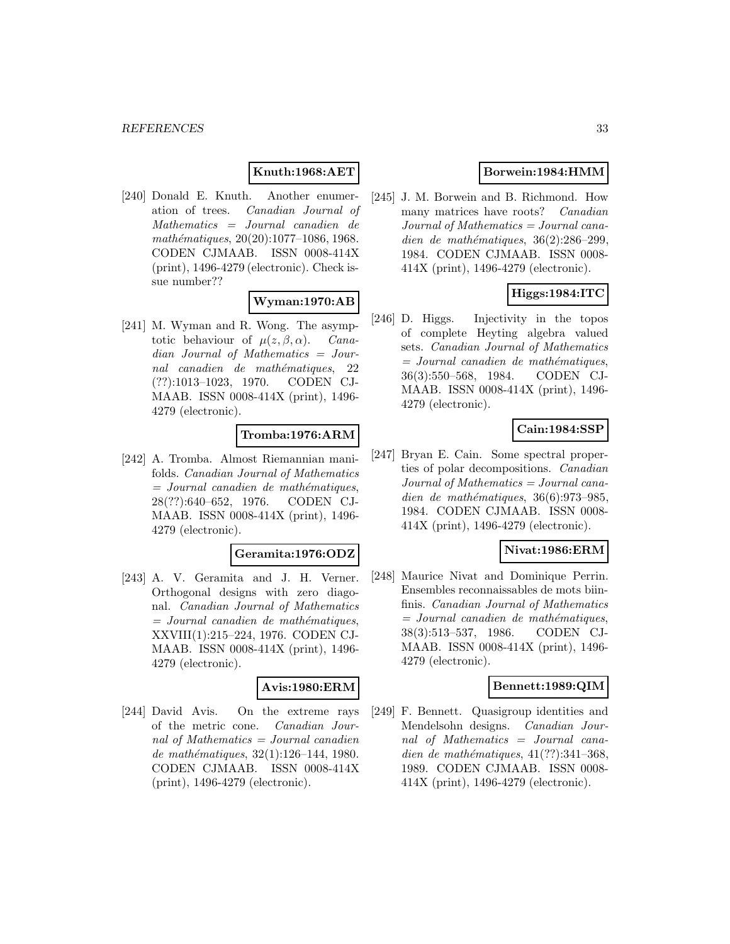### **Knuth:1968:AET**

[240] Donald E. Knuth. Another enumeration of trees. Canadian Journal of Mathematics = Journal canadien de  $mathématiques, 20(20):1077-1086, 1968.$ CODEN CJMAAB. ISSN 0008-414X (print), 1496-4279 (electronic). Check issue number??

### **Wyman:1970:AB**

[241] M. Wyman and R. Wong. The asymptotic behaviour of  $\mu(z, \beta, \alpha)$ . Canadian Journal of Mathematics = Journal canadien de mathématiques, 22 (??):1013–1023, 1970. CODEN CJ-MAAB. ISSN 0008-414X (print), 1496- 4279 (electronic).

# **Tromba:1976:ARM**

[242] A. Tromba. Almost Riemannian manifolds. Canadian Journal of Mathematics  $=$  Journal canadien de mathématiques, 28(??):640–652, 1976. CODEN CJ-MAAB. ISSN 0008-414X (print), 1496- 4279 (electronic).

#### **Geramita:1976:ODZ**

[243] A. V. Geramita and J. H. Verner. Orthogonal designs with zero diagonal. Canadian Journal of Mathematics  $=$  Journal canadien de mathématiques, XXVIII(1):215–224, 1976. CODEN CJ-MAAB. ISSN 0008-414X (print), 1496- 4279 (electronic).

### **Avis:1980:ERM**

[244] David Avis. On the extreme rays of the metric cone. Canadian Journal of Mathematics  $=$  Journal canadien de mathématiques,  $32(1):126-144$ , 1980. CODEN CJMAAB. ISSN 0008-414X (print), 1496-4279 (electronic).

# **Borwein:1984:HMM**

[245] J. M. Borwein and B. Richmond. How many matrices have roots? Canadian Journal of Mathematics = Journal canadien de mathématiques,  $36(2):286-299$ , 1984. CODEN CJMAAB. ISSN 0008- 414X (print), 1496-4279 (electronic).

# **Higgs:1984:ITC**

[246] D. Higgs. Injectivity in the topos of complete Heyting algebra valued sets. Canadian Journal of Mathematics  $=$  Journal canadien de mathématiques, 36(3):550–568, 1984. CODEN CJ-MAAB. ISSN 0008-414X (print), 1496- 4279 (electronic).

### **Cain:1984:SSP**

[247] Bryan E. Cain. Some spectral properties of polar decompositions. Canadian Journal of Mathematics = Journal canadien de mathématiques,  $36(6):973-985$ , 1984. CODEN CJMAAB. ISSN 0008- 414X (print), 1496-4279 (electronic).

#### **Nivat:1986:ERM**

[248] Maurice Nivat and Dominique Perrin. Ensembles reconnaissables de mots biinfinis. Canadian Journal of Mathematics  $=$  Journal canadien de mathématiques, 38(3):513–537, 1986. CODEN CJ-MAAB. ISSN 0008-414X (print), 1496- 4279 (electronic).

#### **Bennett:1989:QIM**

[249] F. Bennett. Quasigroup identities and Mendelsohn designs. Canadian Journal of Mathematics = Journal canadien de mathématiques,  $41(??):341-368$ , 1989. CODEN CJMAAB. ISSN 0008- 414X (print), 1496-4279 (electronic).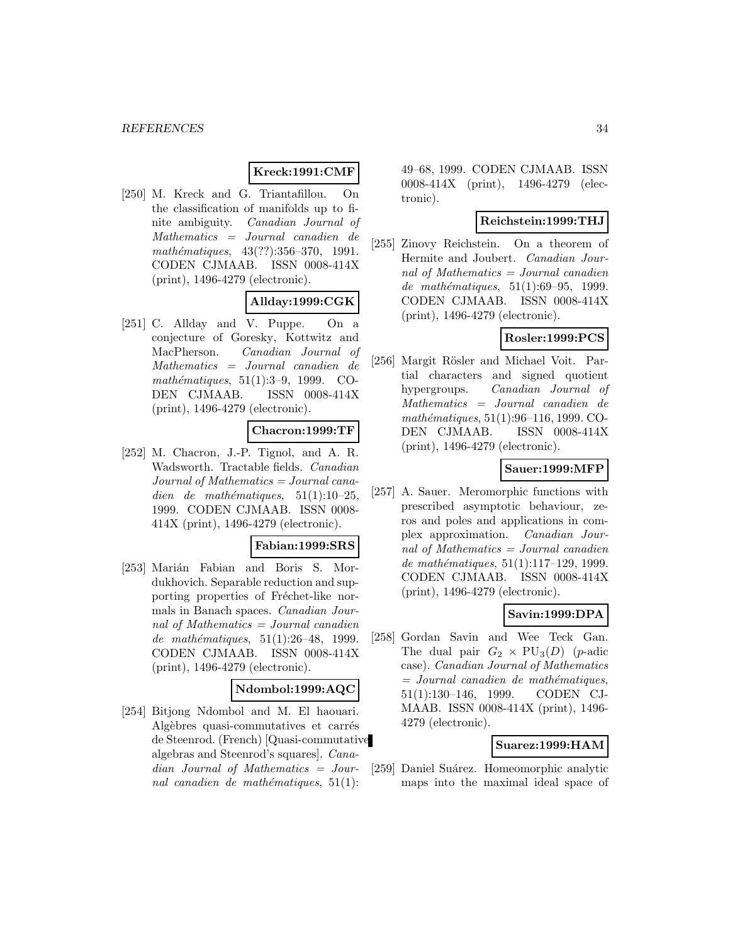### **Kreck:1991:CMF**

[250] M. Kreck and G. Triantafillou. On the classification of manifolds up to finite ambiguity. Canadian Journal of Mathematics = Journal canadien de mathématiques,  $43(??):356-370$ , 1991. CODEN CJMAAB. ISSN 0008-414X (print), 1496-4279 (electronic).

### **Allday:1999:CGK**

[251] C. Allday and V. Puppe. On a conjecture of Goresky, Kottwitz and MacPherson. Canadian Journal of Mathematics = Journal canadien de mathématiques,  $51(1):3-9$ , 1999. CO-DEN CJMAAB. ISSN 0008-414X (print), 1496-4279 (electronic).

### **Chacron:1999:TF**

[252] M. Chacron, J.-P. Tignol, and A. R. Wadsworth. Tractable fields. Canadian Journal of Mathematics = Journal canadien de mathématiques,  $51(1):10-25$ , 1999. CODEN CJMAAB. ISSN 0008- 414X (print), 1496-4279 (electronic).

# **Fabian:1999:SRS**

[253] Marián Fabian and Boris S. Mordukhovich. Separable reduction and supporting properties of Fréchet-like normals in Banach spaces. Canadian Journal of Mathematics = Journal canadien de mathématiques,  $51(1):26-48$ , 1999. CODEN CJMAAB. ISSN 0008-414X (print), 1496-4279 (electronic).

### **Ndombol:1999:AQC**

[254] Bitjong Ndombol and M. El haouari. Algèbres quasi-commutatives et carrés de Steenrod. (French) [Quasi-commutative algebras and Steenrod's squares]. Canadian Journal of Mathematics = Journal canadien de mathématiques,  $51(1)$ :

49–68, 1999. CODEN CJMAAB. ISSN 0008-414X (print), 1496-4279 (electronic).

#### **Reichstein:1999:THJ**

[255] Zinovy Reichstein. On a theorem of Hermite and Joubert. Canadian Journal of Mathematics = Journal canadien de mathématiques,  $51(1):69-95$ , 1999. CODEN CJMAAB. ISSN 0008-414X (print), 1496-4279 (electronic).

### **Rosler:1999:PCS**

[256] Margit Rösler and Michael Voit. Partial characters and signed quotient hypergroups. Canadian Journal of Mathematics = Journal canadien de mathématiques, 51(1):96–116, 1999. CO-DEN CJMAAB. ISSN 0008-414X (print), 1496-4279 (electronic).

#### **Sauer:1999:MFP**

[257] A. Sauer. Meromorphic functions with prescribed asymptotic behaviour, zeros and poles and applications in complex approximation. Canadian Journal of Mathematics = Journal canadien de mathématiques,  $51(1):117-129$ , 1999. CODEN CJMAAB. ISSN 0008-414X (print), 1496-4279 (electronic).

#### **Savin:1999:DPA**

[258] Gordan Savin and Wee Teck Gan. The dual pair  $G_2 \times \text{PU}_3(D)$  (*p*-adic case). Canadian Journal of Mathematics  $=$  Journal canadien de mathématiques, 51(1):130–146, 1999. CODEN CJ-MAAB. ISSN 0008-414X (print), 1496- 4279 (electronic).

#### **Suarez:1999:HAM**

[259] Daniel Suárez. Homeomorphic analytic maps into the maximal ideal space of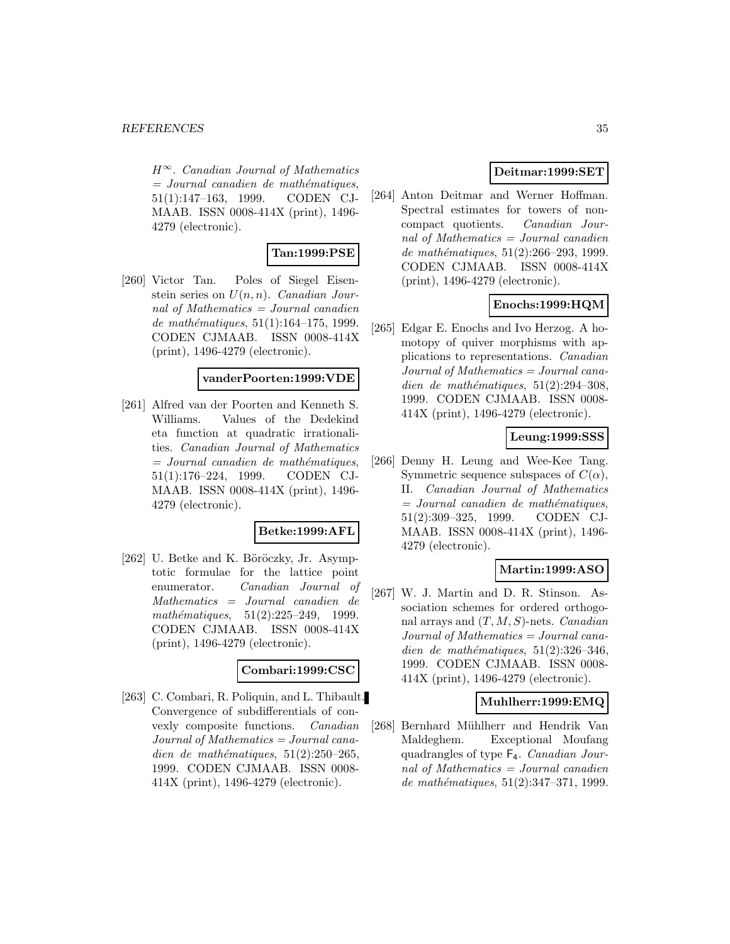$H^{\infty}$ . Canadian Journal of Mathematics  $=$  Journal canadien de mathématiques, 51(1):147–163, 1999. CODEN CJ-MAAB. ISSN 0008-414X (print), 1496- 4279 (electronic).

# **Tan:1999:PSE**

[260] Victor Tan. Poles of Siegel Eisenstein series on  $U(n, n)$ . Canadian Journal of Mathematics = Journal canadien de mathématiques,  $51(1):164-175$ , 1999. CODEN CJMAAB. ISSN 0008-414X (print), 1496-4279 (electronic).

# **vanderPoorten:1999:VDE**

[261] Alfred van der Poorten and Kenneth S. Williams. Values of the Dedekind eta function at quadratic irrationalities. Canadian Journal of Mathematics  $=$  Journal canadien de mathématiques, 51(1):176–224, 1999. CODEN CJ-MAAB. ISSN 0008-414X (print), 1496- 4279 (electronic).

# **Betke:1999:AFL**

[262] U. Betke and K. Böröczky, Jr. Asymptotic formulae for the lattice point enumerator. Canadian Journal of Mathematics = Journal canadien de mathématiques,  $51(2):225-249$ , 1999. CODEN CJMAAB. ISSN 0008-414X (print), 1496-4279 (electronic).

#### **Combari:1999:CSC**

[263] C. Combari, R. Poliquin, and L. Thibault. Convergence of subdifferentials of convexly composite functions. Canadian Journal of Mathematics = Journal canadien de mathématiques,  $51(2):250-265$ , 1999. CODEN CJMAAB. ISSN 0008- 414X (print), 1496-4279 (electronic).

# **Deitmar:1999:SET**

[264] Anton Deitmar and Werner Hoffman. Spectral estimates for towers of noncompact quotients. Canadian Journal of Mathematics = Journal canadien de mathématiques,  $51(2):266-293, 1999.$ CODEN CJMAAB. ISSN 0008-414X (print), 1496-4279 (electronic).

# **Enochs:1999:HQM**

[265] Edgar E. Enochs and Ivo Herzog. A homotopy of quiver morphisms with applications to representations. Canadian Journal of Mathematics = Journal canadien de mathématiques,  $51(2):294-308$ , 1999. CODEN CJMAAB. ISSN 0008- 414X (print), 1496-4279 (electronic).

# **Leung:1999:SSS**

[266] Denny H. Leung and Wee-Kee Tang. Symmetric sequence subspaces of  $C(\alpha)$ , II. Canadian Journal of Mathematics  $=$  Journal canadien de mathématiques, 51(2):309–325, 1999. CODEN CJ-MAAB. ISSN 0008-414X (print), 1496- 4279 (electronic).

# **Martin:1999:ASO**

[267] W. J. Martin and D. R. Stinson. Association schemes for ordered orthogonal arrays and  $(T, M, S)$ -nets. *Canadian* Journal of Mathematics = Journal canadien de mathématiques,  $51(2):326-346$ , 1999. CODEN CJMAAB. ISSN 0008- 414X (print), 1496-4279 (electronic).

#### **Muhlherr:1999:EMQ**

[268] Bernhard Mühlherr and Hendrik Van Maldeghem. Exceptional Moufang quadrangles of type F4. Canadian Journal of Mathematics  $=$  Journal canadien de mathématiques,  $51(2):347-371$ , 1999.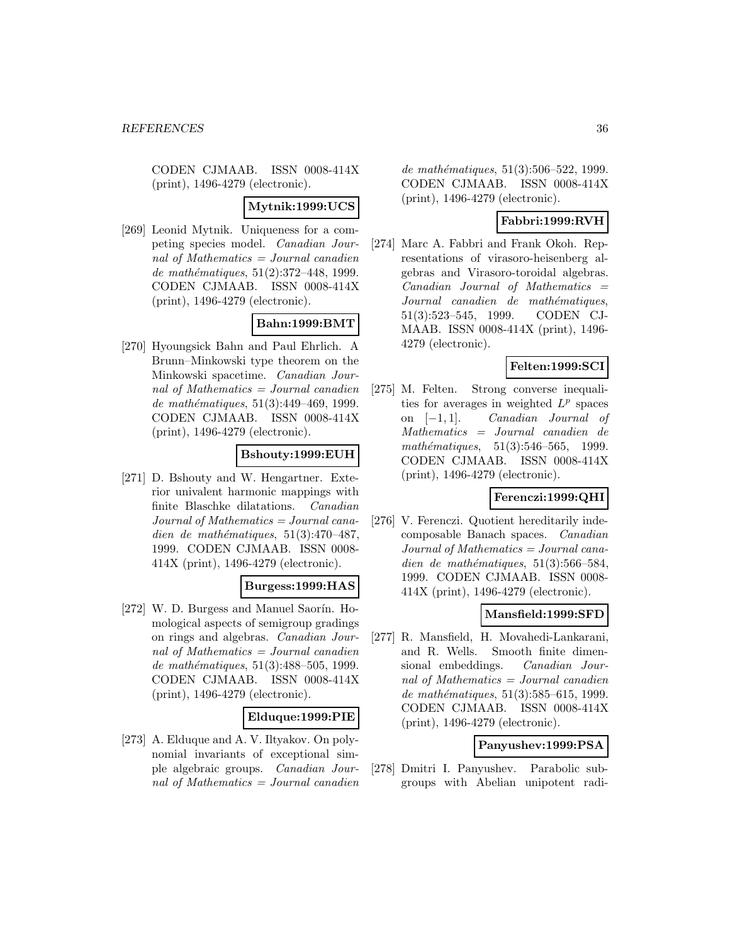CODEN CJMAAB. ISSN 0008-414X (print), 1496-4279 (electronic).

#### **Mytnik:1999:UCS**

[269] Leonid Mytnik. Uniqueness for a competing species model. Canadian Journal of Mathematics = Journal canadien de mathématiques,  $51(2):372-448$ , 1999. CODEN CJMAAB. ISSN 0008-414X (print), 1496-4279 (electronic).

# **Bahn:1999:BMT**

[270] Hyoungsick Bahn and Paul Ehrlich. A Brunn–Minkowski type theorem on the Minkowski spacetime. Canadian Journal of Mathematics = Journal canadien de mathématiques, 51(3):449-469, 1999. CODEN CJMAAB. ISSN 0008-414X (print), 1496-4279 (electronic).

# **Bshouty:1999:EUH**

[271] D. Bshouty and W. Hengartner. Exterior univalent harmonic mappings with finite Blaschke dilatations. Canadian Journal of Mathematics = Journal canadien de mathématiques,  $51(3):470-487$ , 1999. CODEN CJMAAB. ISSN 0008- 414X (print), 1496-4279 (electronic).

#### **Burgess:1999:HAS**

[272] W. D. Burgess and Manuel Saorín. Homological aspects of semigroup gradings on rings and algebras. Canadian Journal of Mathematics = Journal canadien de mathématiques,  $51(3):488-505$ , 1999. CODEN CJMAAB. ISSN 0008-414X (print), 1496-4279 (electronic).

#### **Elduque:1999:PIE**

[273] A. Elduque and A. V. Iltyakov. On polynomial invariants of exceptional simple algebraic groups. Canadian Journal of Mathematics = Journal canadien de mathématiques,  $51(3):506-522$ , 1999. CODEN CJMAAB. ISSN 0008-414X (print), 1496-4279 (electronic).

### **Fabbri:1999:RVH**

[274] Marc A. Fabbri and Frank Okoh. Representations of virasoro-heisenberg algebras and Virasoro-toroidal algebras.  $Canadian$  Journal of Mathematics  $=$ Journal canadien de mathématiques, 51(3):523–545, 1999. CODEN CJ-MAAB. ISSN 0008-414X (print), 1496- 4279 (electronic).

# **Felten:1999:SCI**

[275] M. Felten. Strong converse inequalities for averages in weighted  $L^p$  spaces on [−1, 1]. Canadian Journal of Mathematics = Journal canadien de mathématiques,  $51(3):546-565$ , 1999. CODEN CJMAAB. ISSN 0008-414X (print), 1496-4279 (electronic).

# **Ferenczi:1999:QHI**

[276] V. Ferenczi. Quotient hereditarily indecomposable Banach spaces. Canadian Journal of Mathematics = Journal canadien de mathématiques,  $51(3):566-584$ , 1999. CODEN CJMAAB. ISSN 0008- 414X (print), 1496-4279 (electronic).

#### **Mansfield:1999:SFD**

[277] R. Mansfield, H. Movahedi-Lankarani, and R. Wells. Smooth finite dimensional embeddings. Canadian Journal of Mathematics = Journal canadien de mathématiques,  $51(3):585-615$ , 1999. CODEN CJMAAB. ISSN 0008-414X (print), 1496-4279 (electronic).

# **Panyushev:1999:PSA**

[278] Dmitri I. Panyushev. Parabolic subgroups with Abelian unipotent radi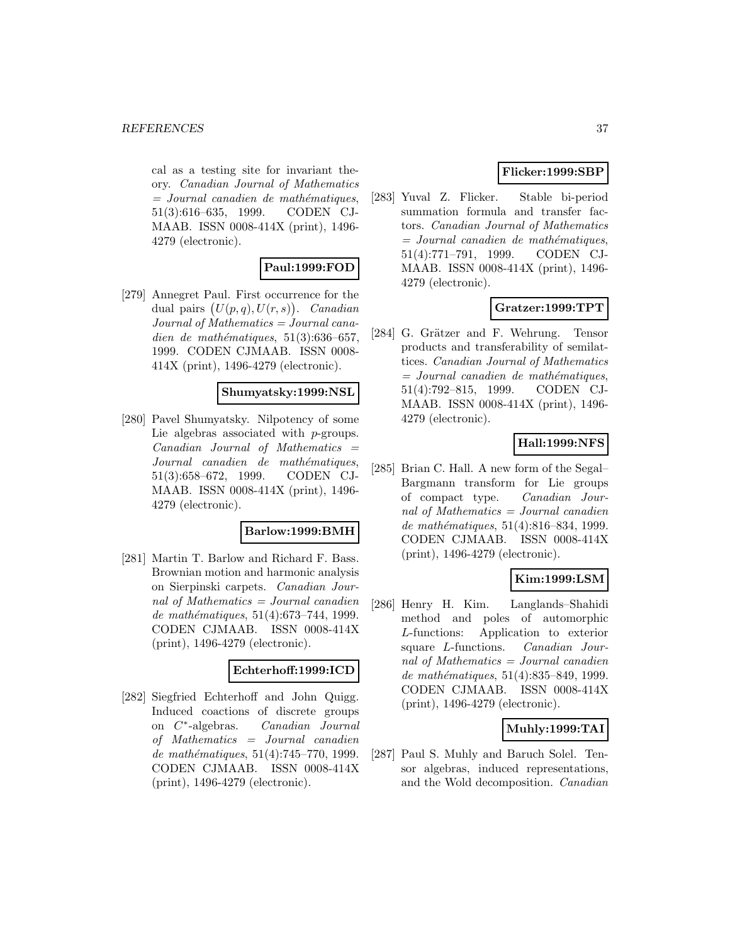cal as a testing site for invariant theory. Canadian Journal of Mathematics  $=$  Journal canadien de mathématiques, 51(3):616–635, 1999. CODEN CJ-MAAB. ISSN 0008-414X (print), 1496- 4279 (electronic).

# **Paul:1999:FOD**

[279] Annegret Paul. First occurrence for the dual pairs  $(U(p,q), U(r,s))$ . Canadian Journal of Mathematics = Journal canadien de mathématiques,  $51(3):636-657$ , 1999. CODEN CJMAAB. ISSN 0008- 414X (print), 1496-4279 (electronic).

# **Shumyatsky:1999:NSL**

[280] Pavel Shumyatsky. Nilpotency of some Lie algebras associated with *p*-groups.  $Canadian$  Journal of Mathematics  $=$ Journal canadien de mathématiques, 51(3):658–672, 1999. CODEN CJ-MAAB. ISSN 0008-414X (print), 1496- 4279 (electronic).

### **Barlow:1999:BMH**

[281] Martin T. Barlow and Richard F. Bass. Brownian motion and harmonic analysis on Sierpinski carpets. Canadian Journal of Mathematics  $=$  Journal canadien de mathématiques, 51(4):673-744, 1999. CODEN CJMAAB. ISSN 0008-414X (print), 1496-4279 (electronic).

#### **Echterhoff:1999:ICD**

[282] Siegfried Echterhoff and John Quigg. Induced coactions of discrete groups on C∗-algebras. Canadian Journal of Mathematics = Journal canadien de mathématiques,  $51(4):745-770$ , 1999. CODEN CJMAAB. ISSN 0008-414X (print), 1496-4279 (electronic).

# **Flicker:1999:SBP**

[283] Yuval Z. Flicker. Stable bi-period summation formula and transfer factors. Canadian Journal of Mathematics  $=$  Journal canadien de mathématiques, 51(4):771–791, 1999. CODEN CJ-MAAB. ISSN 0008-414X (print), 1496- 4279 (electronic).

# **Gratzer:1999:TPT**

[284] G. Grätzer and F. Wehrung. Tensor products and transferability of semilattices. Canadian Journal of Mathematics  $=$  Journal canadien de mathématiques, 51(4):792–815, 1999. CODEN CJ-MAAB. ISSN 0008-414X (print), 1496- 4279 (electronic).

# **Hall:1999:NFS**

[285] Brian C. Hall. A new form of the Segal– Bargmann transform for Lie groups of compact type. Canadian Journal of Mathematics = Journal canadien de mathématiques, 51(4):816–834, 1999. CODEN CJMAAB. ISSN 0008-414X (print), 1496-4279 (electronic).

# **Kim:1999:LSM**

[286] Henry H. Kim. Langlands–Shahidi method and poles of automorphic L-functions: Application to exterior square L-functions. Canadian Journal of Mathematics = Journal canadien de mathématiques, 51(4):835–849, 1999. CODEN CJMAAB. ISSN 0008-414X (print), 1496-4279 (electronic).

# **Muhly:1999:TAI**

[287] Paul S. Muhly and Baruch Solel. Tensor algebras, induced representations, and the Wold decomposition. Canadian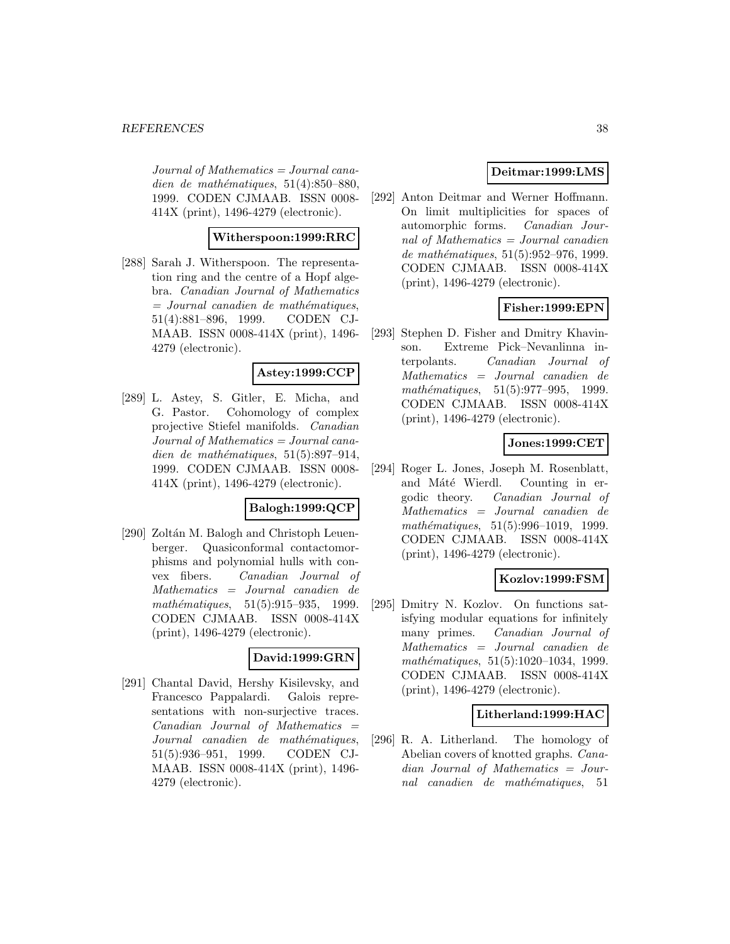$Journal of Mathematics = Journal cana$ dien de mathématiques,  $51(4):850-880$ , 1999. CODEN CJMAAB. ISSN 0008- 414X (print), 1496-4279 (electronic).

# **Witherspoon:1999:RRC**

[288] Sarah J. Witherspoon. The representation ring and the centre of a Hopf algebra. Canadian Journal of Mathematics  $=$  Journal canadien de mathématiques, 51(4):881–896, 1999. CODEN CJ-MAAB. ISSN 0008-414X (print), 1496- 4279 (electronic).

# **Astey:1999:CCP**

[289] L. Astey, S. Gitler, E. Micha, and G. Pastor. Cohomology of complex projective Stiefel manifolds. Canadian Journal of Mathematics = Journal canadien de mathématiques,  $51(5):897-914$ , 1999. CODEN CJMAAB. ISSN 0008- 414X (print), 1496-4279 (electronic).

#### **Balogh:1999:QCP**

[290] Zoltán M. Balogh and Christoph Leuenberger. Quasiconformal contactomorphisms and polynomial hulls with convex fibers. Canadian Journal of Mathematics = Journal canadien de mathématiques,  $51(5):915-935$ , 1999. CODEN CJMAAB. ISSN 0008-414X (print), 1496-4279 (electronic).

#### **David:1999:GRN**

[291] Chantal David, Hershy Kisilevsky, and Francesco Pappalardi. Galois representations with non-surjective traces.  $Canadian$  Journal of Mathematics  $=$ Journal canadien de mathématiques, 51(5):936–951, 1999. CODEN CJ-MAAB. ISSN 0008-414X (print), 1496- 4279 (electronic).

# **Deitmar:1999:LMS**

[292] Anton Deitmar and Werner Hoffmann. On limit multiplicities for spaces of automorphic forms. Canadian Journal of Mathematics = Journal canadien de mathématiques,  $51(5):952-976$ , 1999. CODEN CJMAAB. ISSN 0008-414X (print), 1496-4279 (electronic).

# **Fisher:1999:EPN**

[293] Stephen D. Fisher and Dmitry Khavinson. Extreme Pick–Nevanlinna interpolants. Canadian Journal of Mathematics = Journal canadien de mathématiques,  $51(5):977-995$ , 1999. CODEN CJMAAB. ISSN 0008-414X (print), 1496-4279 (electronic).

#### **Jones:1999:CET**

[294] Roger L. Jones, Joseph M. Rosenblatt, and Máté Wierdl. Counting in ergodic theory. Canadian Journal of Mathematics = Journal canadien de mathématiques, 51(5):996-1019, 1999. CODEN CJMAAB. ISSN 0008-414X (print), 1496-4279 (electronic).

#### **Kozlov:1999:FSM**

[295] Dmitry N. Kozlov. On functions satisfying modular equations for infinitely many primes. Canadian Journal of Mathematics = Journal canadien de mathématiques, 51(5):1020-1034, 1999. CODEN CJMAAB. ISSN 0008-414X (print), 1496-4279 (electronic).

#### **Litherland:1999:HAC**

[296] R. A. Litherland. The homology of Abelian covers of knotted graphs. Canadian Journal of Mathematics = Journal canadien de mathématiques, 51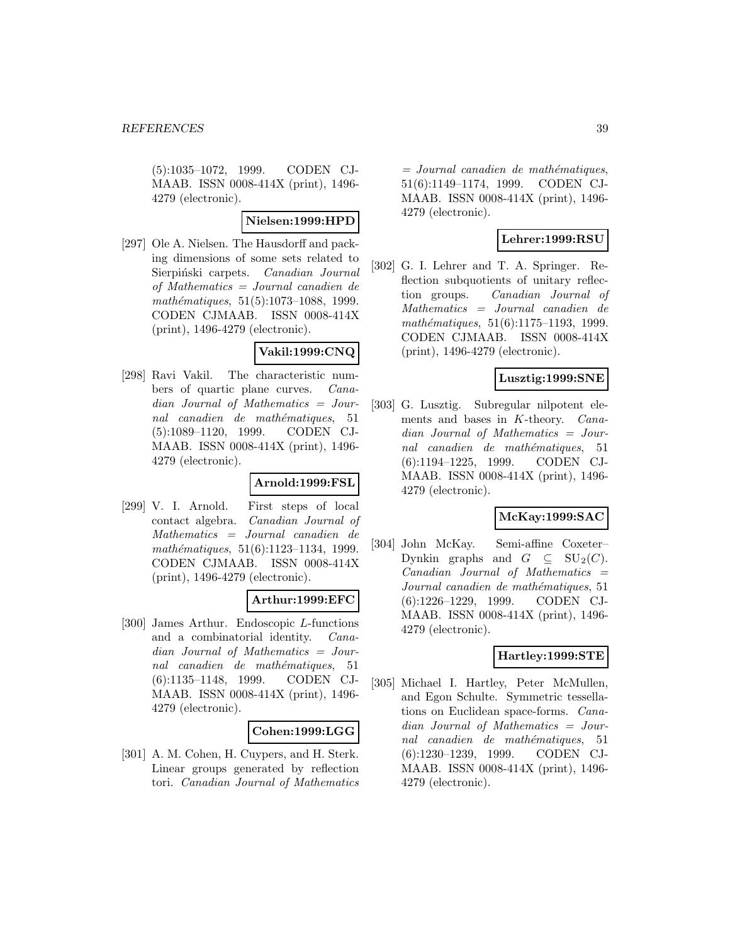(5):1035–1072, 1999. CODEN CJ-MAAB. ISSN 0008-414X (print), 1496- 4279 (electronic).

#### **Nielsen:1999:HPD**

[297] Ole A. Nielsen. The Hausdorff and packing dimensions of some sets related to Sierpiński carpets. Canadian Journal of Mathematics = Journal canadien de  $mathématiques, 51(5):1073–1088, 1999.$ CODEN CJMAAB. ISSN 0008-414X (print), 1496-4279 (electronic).

#### **Vakil:1999:CNQ**

[298] Ravi Vakil. The characteristic numbers of quartic plane curves. Canadian Journal of Mathematics = Journal canadien de mathématiques, 51 (5):1089–1120, 1999. CODEN CJ-MAAB. ISSN 0008-414X (print), 1496- 4279 (electronic).

#### **Arnold:1999:FSL**

[299] V. I. Arnold. First steps of local contact algebra. Canadian Journal of Mathematics = Journal canadien de mathématiques, 51(6):1123-1134, 1999. CODEN CJMAAB. ISSN 0008-414X (print), 1496-4279 (electronic).

#### **Arthur:1999:EFC**

[300] James Arthur. Endoscopic L-functions and a combinatorial identity. Canadian Journal of Mathematics = Journal canadien de mathématiques, 51 (6):1135–1148, 1999. CODEN CJ-MAAB. ISSN 0008-414X (print), 1496- 4279 (electronic).

#### **Cohen:1999:LGG**

[301] A. M. Cohen, H. Cuypers, and H. Sterk. Linear groups generated by reflection tori. Canadian Journal of Mathematics  $=$  Journal canadien de mathématiques, 51(6):1149–1174, 1999. CODEN CJ-MAAB. ISSN 0008-414X (print), 1496- 4279 (electronic).

# **Lehrer:1999:RSU**

[302] G. I. Lehrer and T. A. Springer. Reflection subquotients of unitary reflection groups. Canadian Journal of Mathematics = Journal canadien de mathématiques,  $51(6):1175-1193, 1999.$ CODEN CJMAAB. ISSN 0008-414X (print), 1496-4279 (electronic).

# **Lusztig:1999:SNE**

[303] G. Lusztig. Subregular nilpotent elements and bases in K-theory. Canadian Journal of Mathematics = Journal canadien de mathématiques, 51 (6):1194–1225, 1999. CODEN CJ-MAAB. ISSN 0008-414X (print), 1496- 4279 (electronic).

# **McKay:1999:SAC**

[304] John McKay. Semi-affine Coxeter– Dynkin graphs and  $G \subseteq SU_2(C)$ .  $Canadian$  Journal of Mathematics  $=$ Journal canadien de mathématiques, 51 (6):1226–1229, 1999. CODEN CJ-MAAB. ISSN 0008-414X (print), 1496- 4279 (electronic).

# **Hartley:1999:STE**

[305] Michael I. Hartley, Peter McMullen, and Egon Schulte. Symmetric tessellations on Euclidean space-forms. Canadian Journal of Mathematics = Journal canadien de mathématiques, 51 (6):1230–1239, 1999. CODEN CJ-MAAB. ISSN 0008-414X (print), 1496- 4279 (electronic).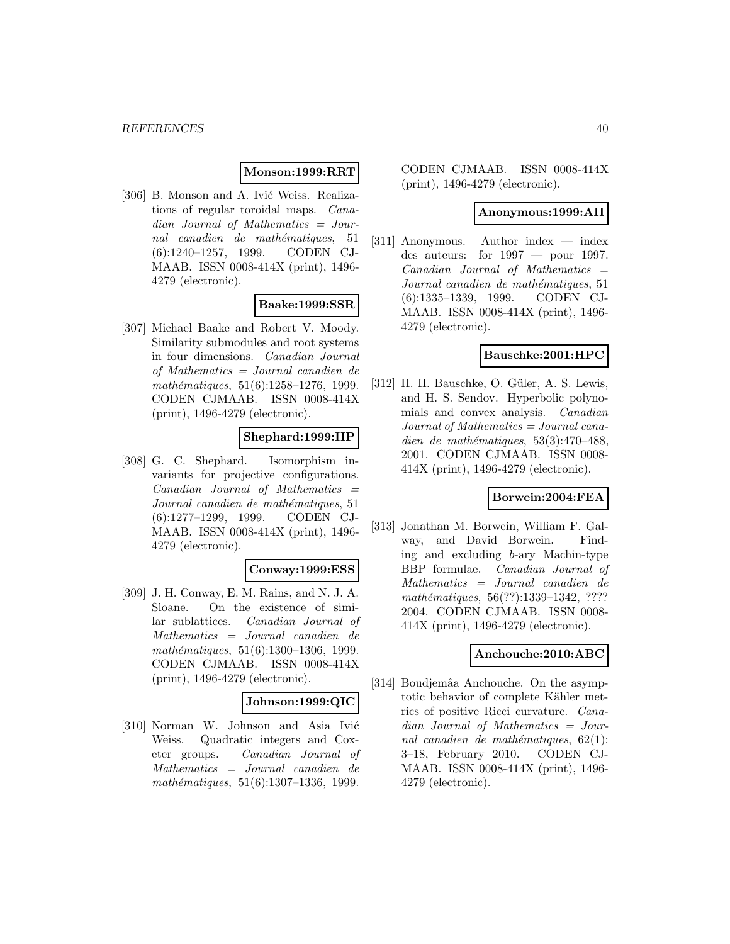### **Monson:1999:RRT**

[306] B. Monson and A. Ivić Weiss. Realizations of regular toroidal maps. Canadian Journal of Mathematics = Journal canadien de mathématiques, 51 (6):1240–1257, 1999. CODEN CJ-MAAB. ISSN 0008-414X (print), 1496- 4279 (electronic).

#### **Baake:1999:SSR**

[307] Michael Baake and Robert V. Moody. Similarity submodules and root systems in four dimensions. Canadian Journal of Mathematics = Journal canadien de  $mathématiques, 51(6):1258-1276, 1999.$ CODEN CJMAAB. ISSN 0008-414X (print), 1496-4279 (electronic).

# **Shephard:1999:IIP**

[308] G. C. Shephard. Isomorphism invariants for projective configurations.  $Canadian$  Journal of Mathematics  $=$ Journal canadien de mathématiques, 51 (6):1277–1299, 1999. CODEN CJ-MAAB. ISSN 0008-414X (print), 1496- 4279 (electronic).

#### **Conway:1999:ESS**

[309] J. H. Conway, E. M. Rains, and N. J. A. Sloane. On the existence of similar sublattices. Canadian Journal of Mathematics = Journal canadien de mathématiques,  $51(6):1300-1306$ , 1999. CODEN CJMAAB. ISSN 0008-414X (print), 1496-4279 (electronic).

### **Johnson:1999:QIC**

[310] Norman W. Johnson and Asia Ivić Weiss. Quadratic integers and Coxeter groups. Canadian Journal of Mathematics = Journal canadien de mathématiques,  $51(6):1307-1336$ , 1999.

CODEN CJMAAB. ISSN 0008-414X (print), 1496-4279 (electronic).

#### **Anonymous:1999:AII**

[311] Anonymous. Author index — index des auteurs: for  $1997 -$  pour 1997.  $Canadian$  Journal of Mathematics  $=$ Journal canadien de mathématiques, 51 (6):1335–1339, 1999. CODEN CJ-MAAB. ISSN 0008-414X (print), 1496- 4279 (electronic).

#### **Bauschke:2001:HPC**

[312] H. H. Bauschke, O. Güler, A. S. Lewis, and H. S. Sendov. Hyperbolic polynomials and convex analysis. Canadian Journal of Mathematics = Journal canadien de mathématiques, 53(3):470–488, 2001. CODEN CJMAAB. ISSN 0008- 414X (print), 1496-4279 (electronic).

# **Borwein:2004:FEA**

[313] Jonathan M. Borwein, William F. Galway, and David Borwein. Finding and excluding b-ary Machin-type BBP formulae. Canadian Journal of Mathematics = Journal canadien de mathématiques, 56(??):1339–1342, ???? 2004. CODEN CJMAAB. ISSN 0008- 414X (print), 1496-4279 (electronic).

#### **Anchouche:2010:ABC**

[314] Boudjemâa Anchouche. On the asymptotic behavior of complete Kähler metrics of positive Ricci curvature. Canadian Journal of Mathematics = Journal canadien de mathématiques,  $62(1)$ : 3–18, February 2010. CODEN CJ-MAAB. ISSN 0008-414X (print), 1496- 4279 (electronic).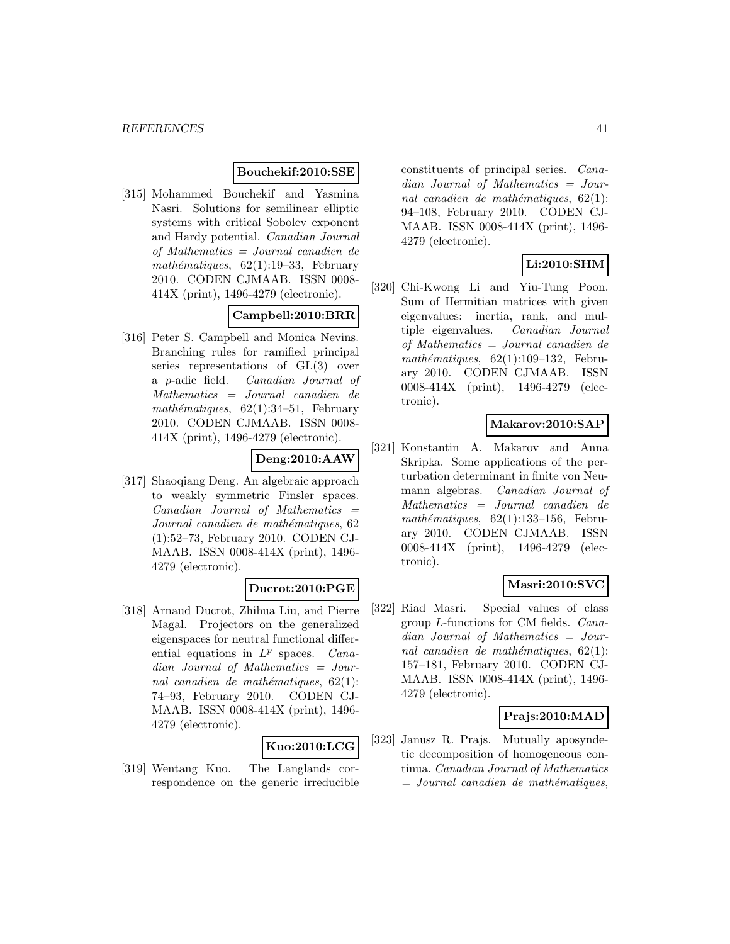### **Bouchekif:2010:SSE**

[315] Mohammed Bouchekif and Yasmina Nasri. Solutions for semilinear elliptic systems with critical Sobolev exponent and Hardy potential. Canadian Journal of Mathematics = Journal canadien de mathématiques,  $62(1):19-33$ , February 2010. CODEN CJMAAB. ISSN 0008- 414X (print), 1496-4279 (electronic).

# **Campbell:2010:BRR**

[316] Peter S. Campbell and Monica Nevins. Branching rules for ramified principal series representations of GL(3) over a p-adic field. Canadian Journal of Mathematics = Journal canadien de mathématiques,  $62(1):34-51$ , February 2010. CODEN CJMAAB. ISSN 0008- 414X (print), 1496-4279 (electronic).

# **Deng:2010:AAW**

[317] Shaoqiang Deng. An algebraic approach to weakly symmetric Finsler spaces.  $Canadian$  Journal of Mathematics  $=$ Journal canadien de mathématiques, 62 (1):52–73, February 2010. CODEN CJ-MAAB. ISSN 0008-414X (print), 1496- 4279 (electronic).

# **Ducrot:2010:PGE**

[318] Arnaud Ducrot, Zhihua Liu, and Pierre Magal. Projectors on the generalized eigenspaces for neutral functional differential equations in  $L^p$  spaces. *Cana*dian Journal of Mathematics = Journal canadien de mathématiques,  $62(1)$ : 74–93, February 2010. CODEN CJ-MAAB. ISSN 0008-414X (print), 1496- 4279 (electronic).

#### **Kuo:2010:LCG**

[319] Wentang Kuo. The Langlands correspondence on the generic irreducible constituents of principal series. Canadian Journal of Mathematics = Journal canadien de mathématiques,  $62(1)$ : 94–108, February 2010. CODEN CJ-MAAB. ISSN 0008-414X (print), 1496- 4279 (electronic).

# **Li:2010:SHM**

[320] Chi-Kwong Li and Yiu-Tung Poon. Sum of Hermitian matrices with given eigenvalues: inertia, rank, and multiple eigenvalues. Canadian Journal of Mathematics = Journal canadien de mathématiques,  $62(1):109-132$ , February 2010. CODEN CJMAAB. ISSN 0008-414X (print), 1496-4279 (electronic).

### **Makarov:2010:SAP**

[321] Konstantin A. Makarov and Anna Skripka. Some applications of the perturbation determinant in finite von Neumann algebras. Canadian Journal of Mathematics = Journal canadien de mathématiques,  $62(1):133-156$ , February 2010. CODEN CJMAAB. ISSN 0008-414X (print), 1496-4279 (electronic).

# **Masri:2010:SVC**

[322] Riad Masri. Special values of class group L-functions for CM fields. Canadian Journal of Mathematics = Journal canadien de mathématiques,  $62(1)$ : 157–181, February 2010. CODEN CJ-MAAB. ISSN 0008-414X (print), 1496- 4279 (electronic).

### **Prajs:2010:MAD**

[323] Janusz R. Prajs. Mutually aposyndetic decomposition of homogeneous continua. Canadian Journal of Mathematics  $=$  Journal canadien de mathématiques,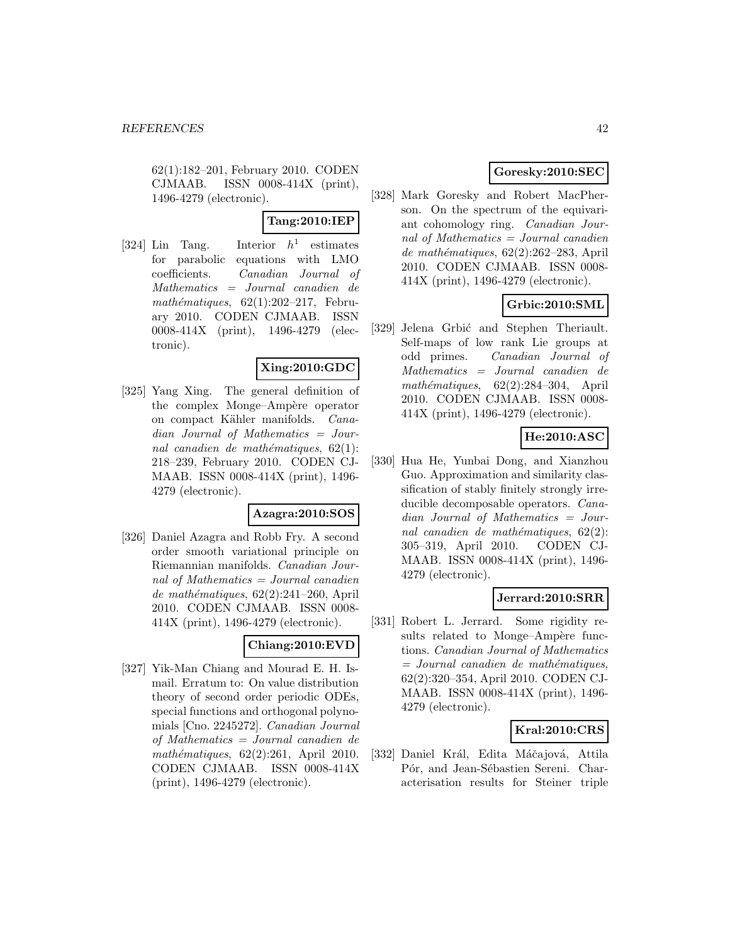62(1):182–201, February 2010. CODEN CJMAAB. ISSN 0008-414X (print), 1496-4279 (electronic).

# **Tang:2010:IEP**

[324] Lin Tang. Interior  $h^1$  estimates for parabolic equations with LMO coefficients. Canadian Journal of Mathematics = Journal canadien de mathématiques,  $62(1):202-217$ , February 2010. CODEN CJMAAB. ISSN 0008-414X (print), 1496-4279 (electronic).

# **Xing:2010:GDC**

[325] Yang Xing. The general definition of the complex Monge–Ampère operator on compact Kähler manifolds. Canadian Journal of Mathematics = Journal canadien de mathématiques,  $62(1)$ : 218–239, February 2010. CODEN CJ-MAAB. ISSN 0008-414X (print), 1496- 4279 (electronic).

#### **Azagra:2010:SOS**

[326] Daniel Azagra and Robb Fry. A second order smooth variational principle on Riemannian manifolds. Canadian Journal of Mathematics = Journal canadien de mathématiques,  $62(2):241-260$ , April 2010. CODEN CJMAAB. ISSN 0008- 414X (print), 1496-4279 (electronic).

# **Chiang:2010:EVD**

[327] Yik-Man Chiang and Mourad E. H. Ismail. Erratum to: On value distribution theory of second order periodic ODEs, special functions and orthogonal polynomials [Cno. 2245272]. Canadian Journal of Mathematics = Journal canadien de mathématiques,  $62(2):261$ , April 2010. CODEN CJMAAB. ISSN 0008-414X (print), 1496-4279 (electronic).

# **Goresky:2010:SEC**

[328] Mark Goresky and Robert MacPherson. On the spectrum of the equivariant cohomology ring. Canadian Journal of Mathematics = Journal canadien de mathématiques,  $62(2):262-283$ , April 2010. CODEN CJMAAB. ISSN 0008- 414X (print), 1496-4279 (electronic).

# **Grbic:2010:SML**

[329] Jelena Grbić and Stephen Theriault. Self-maps of low rank Lie groups at odd primes. Canadian Journal of Mathematics = Journal canadien de  $mathématiques, 62(2):284-304, April$ 2010. CODEN CJMAAB. ISSN 0008- 414X (print), 1496-4279 (electronic).

# **He:2010:ASC**

[330] Hua He, Yunbai Dong, and Xianzhou Guo. Approximation and similarity classification of stably finitely strongly irreducible decomposable operators. Canadian Journal of Mathematics = Journal canadien de mathématiques,  $62(2)$ : 305–319, April 2010. CODEN CJ-MAAB. ISSN 0008-414X (print), 1496- 4279 (electronic).

# **Jerrard:2010:SRR**

[331] Robert L. Jerrard. Some rigidity results related to Monge–Ampère functions. Canadian Journal of Mathematics  $=$  Journal canadien de mathématiques, 62(2):320–354, April 2010. CODEN CJ-MAAB. ISSN 0008-414X (print), 1496- 4279 (electronic).

# **Kral:2010:CRS**

[332] Daniel Král, Edita Máčajová, Attila Pór, and Jean-Sébastien Sereni. Characterisation results for Steiner triple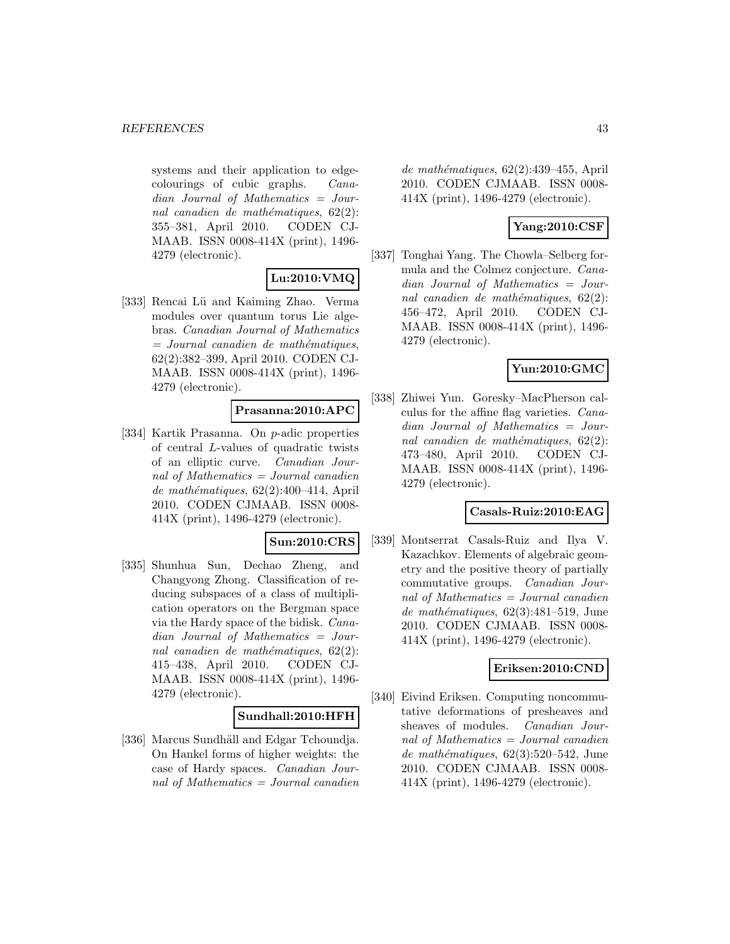systems and their application to edgecolourings of cubic graphs. Canadian Journal of Mathematics = Journal canadien de mathématiques,  $62(2)$ : 355–381, April 2010. CODEN CJ-MAAB. ISSN 0008-414X (print), 1496- 4279 (electronic).

# **Lu:2010:VMQ**

[333] Rencai Lü and Kaiming Zhao. Verma modules over quantum torus Lie algebras. Canadian Journal of Mathematics  $=$  Journal canadien de mathématiques, 62(2):382–399, April 2010. CODEN CJ-MAAB. ISSN 0008-414X (print), 1496- 4279 (electronic).

# **Prasanna:2010:APC**

[334] Kartik Prasanna. On p-adic properties of central L-values of quadratic twists of an elliptic curve. Canadian Journal of Mathematics = Journal canadien de mathématiques,  $62(2):400-414$ , April 2010. CODEN CJMAAB. ISSN 0008- 414X (print), 1496-4279 (electronic).

# **Sun:2010:CRS**

[335] Shunhua Sun, Dechao Zheng, and Changyong Zhong. Classification of reducing subspaces of a class of multiplication operators on the Bergman space via the Hardy space of the bidisk. Canadian Journal of Mathematics = Journal canadien de mathématiques,  $62(2)$ : 415–438, April 2010. CODEN CJ-MAAB. ISSN 0008-414X (print), 1496- 4279 (electronic).

# **Sundhall:2010:HFH**

[336] Marcus Sundhäll and Edgar Tchoundja. On Hankel forms of higher weights: the case of Hardy spaces. Canadian Journal of Mathematics  $=$  Journal canadien

de mathématiques,  $62(2):439-455$ , April 2010. CODEN CJMAAB. ISSN 0008- 414X (print), 1496-4279 (electronic).

# **Yang:2010:CSF**

[337] Tonghai Yang. The Chowla–Selberg formula and the Colmez conjecture. Canadian Journal of Mathematics = Journal canadien de mathématiques,  $62(2)$ : 456–472, April 2010. CODEN CJ-MAAB. ISSN 0008-414X (print), 1496- 4279 (electronic).

# **Yun:2010:GMC**

[338] Zhiwei Yun. Goresky–MacPherson calculus for the affine flag varieties. Canadian Journal of Mathematics = Journal canadien de mathématiques,  $62(2)$ : 473–480, April 2010. CODEN CJ-MAAB. ISSN 0008-414X (print), 1496- 4279 (electronic).

# **Casals-Ruiz:2010:EAG**

[339] Montserrat Casals-Ruiz and Ilya V. Kazachkov. Elements of algebraic geometry and the positive theory of partially commutative groups. Canadian Journal of Mathematics = Journal canadien  $de \mathit{mathematics}, 62(3):481-519, June$ 2010. CODEN CJMAAB. ISSN 0008- 414X (print), 1496-4279 (electronic).

# **Eriksen:2010:CND**

[340] Eivind Eriksen. Computing noncommutative deformations of presheaves and sheaves of modules. Canadian Journal of Mathematics = Journal canadien de mathématiques,  $62(3):520-542$ , June 2010. CODEN CJMAAB. ISSN 0008- 414X (print), 1496-4279 (electronic).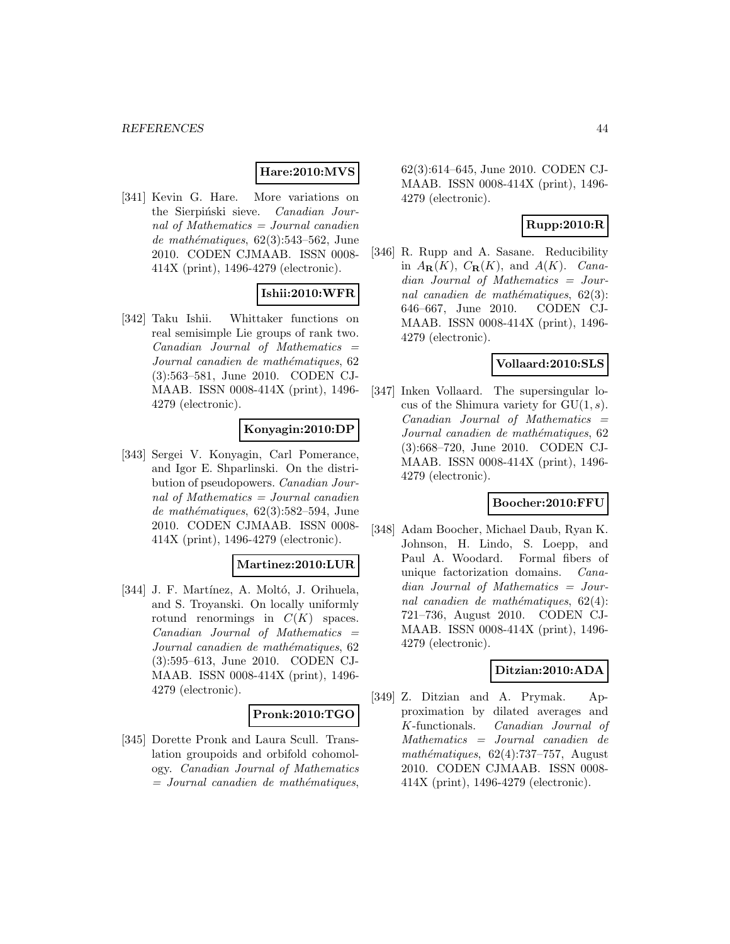# **Hare:2010:MVS**

[341] Kevin G. Hare. More variations on the Sierpiński sieve. Canadian Journal of Mathematics  $=$  Journal canadien de mathématiques,  $62(3):543-562$ , June 2010. CODEN CJMAAB. ISSN 0008- 414X (print), 1496-4279 (electronic).

# **Ishii:2010:WFR**

[342] Taku Ishii. Whittaker functions on real semisimple Lie groups of rank two. Canadian Journal of Mathematics = Journal canadien de mathématiques, 62 (3):563–581, June 2010. CODEN CJ-MAAB. ISSN 0008-414X (print), 1496- 4279 (electronic).

### **Konyagin:2010:DP**

[343] Sergei V. Konyagin, Carl Pomerance, and Igor E. Shparlinski. On the distribution of pseudopowers. Canadian Journal of Mathematics  $=$  Journal canadien de mathématiques,  $62(3):582-594$ , June 2010. CODEN CJMAAB. ISSN 0008- 414X (print), 1496-4279 (electronic).

#### **Martinez:2010:LUR**

[344] J. F. Martínez, A. Moltó, J. Orihuela, and S. Troyanski. On locally uniformly rotund renormings in  $C(K)$  spaces.  $Canadian$  Journal of Mathematics  $=$ Journal canadien de mathématiques, 62 (3):595–613, June 2010. CODEN CJ-MAAB. ISSN 0008-414X (print), 1496- 4279 (electronic).

# **Pronk:2010:TGO**

[345] Dorette Pronk and Laura Scull. Translation groupoids and orbifold cohomology. Canadian Journal of Mathematics  $=$  Journal canadien de mathématiques,

62(3):614–645, June 2010. CODEN CJ-MAAB. ISSN 0008-414X (print), 1496- 4279 (electronic).

### **Rupp:2010:R**

[346] R. Rupp and A. Sasane. Reducibility in  $A_{\mathbf{R}}(K)$ ,  $C_{\mathbf{R}}(K)$ , and  $A(K)$ . Canadian Journal of Mathematics = Journal canadien de mathématiques,  $62(3)$ : 646–667, June 2010. CODEN CJ-MAAB. ISSN 0008-414X (print), 1496- 4279 (electronic).

#### **Vollaard:2010:SLS**

[347] Inken Vollaard. The supersingular locus of the Shimura variety for  $GU(1, s)$ .  $Canadian$  Journal of Mathematics  $=$ Journal canadien de mathématiques, 62 (3):668–720, June 2010. CODEN CJ-MAAB. ISSN 0008-414X (print), 1496- 4279 (electronic).

# **Boocher:2010:FFU**

[348] Adam Boocher, Michael Daub, Ryan K. Johnson, H. Lindo, S. Loepp, and Paul A. Woodard. Formal fibers of unique factorization domains. Canadian Journal of Mathematics = Journal canadien de mathématiques,  $62(4)$ : 721–736, August 2010. CODEN CJ-MAAB. ISSN 0008-414X (print), 1496- 4279 (electronic).

### **Ditzian:2010:ADA**

[349] Z. Ditzian and A. Prymak. Approximation by dilated averages and K-functionals. Canadian Journal of Mathematics = Journal canadien de  $mathématiques, 62(4):737-757, August$ 2010. CODEN CJMAAB. ISSN 0008- 414X (print), 1496-4279 (electronic).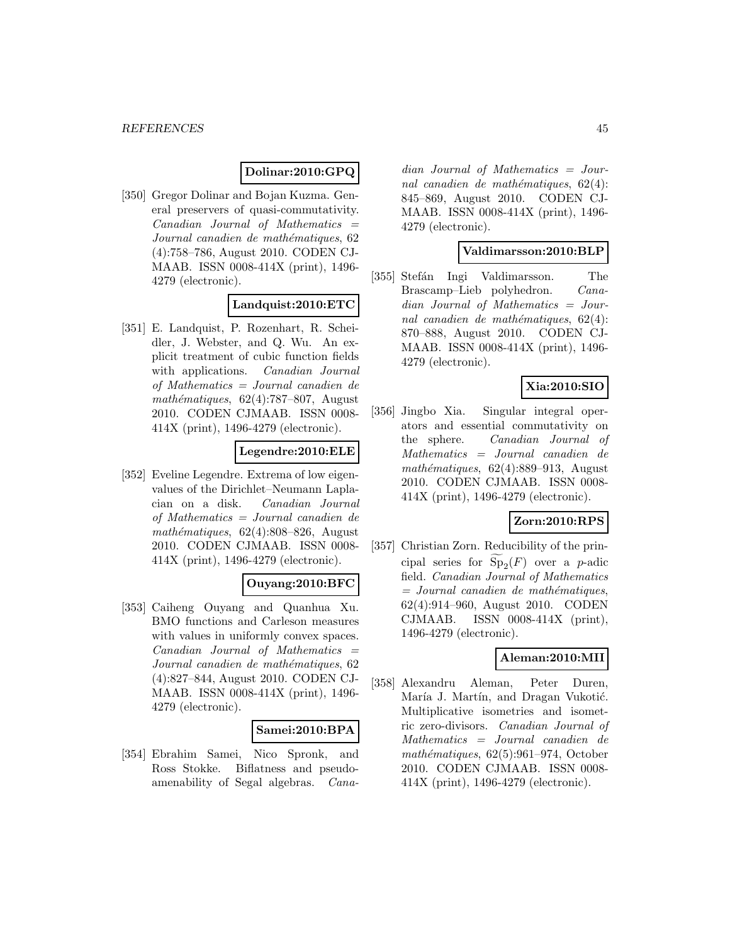# **Dolinar:2010:GPQ**

[350] Gregor Dolinar and Bojan Kuzma. General preservers of quasi-commutativity.  $Canadian$  Journal of Mathematics  $=$ Journal canadien de mathématiques, 62 (4):758–786, August 2010. CODEN CJ-MAAB. ISSN 0008-414X (print), 1496- 4279 (electronic).

### **Landquist:2010:ETC**

[351] E. Landquist, P. Rozenhart, R. Scheidler, J. Webster, and Q. Wu. An explicit treatment of cubic function fields with applications. *Canadian Journal* of Mathematics = Journal canadien de mathématiques,  $62(4)$ :787–807, August 2010. CODEN CJMAAB. ISSN 0008- 414X (print), 1496-4279 (electronic).

### **Legendre:2010:ELE**

[352] Eveline Legendre. Extrema of low eigenvalues of the Dirichlet–Neumann Laplacian on a disk. Canadian Journal of Mathematics = Journal canadien de mathématiques,  $62(4):808-826$ , August 2010. CODEN CJMAAB. ISSN 0008- 414X (print), 1496-4279 (electronic).

#### **Ouyang:2010:BFC**

[353] Caiheng Ouyang and Quanhua Xu. BMO functions and Carleson measures with values in uniformly convex spaces.  $Canadian$  Journal of Mathematics  $=$ Journal canadien de mathématiques, 62 (4):827–844, August 2010. CODEN CJ-MAAB. ISSN 0008-414X (print), 1496- 4279 (electronic).

#### **Samei:2010:BPA**

[354] Ebrahim Samei, Nico Spronk, and Ross Stokke. Biflatness and pseudoamenability of Segal algebras. Canadian Journal of Mathematics = Journal canadien de mathématiques,  $62(4)$ : 845–869, August 2010. CODEN CJ-MAAB. ISSN 0008-414X (print), 1496- 4279 (electronic).

### **Valdimarsson:2010:BLP**

[355] Stefán Ingi Valdimarsson. The Brascamp–Lieb polyhedron. Canadian Journal of Mathematics = Journal canadien de mathématiques,  $62(4)$ : 870–888, August 2010. CODEN CJ-MAAB. ISSN 0008-414X (print), 1496- 4279 (electronic).

# **Xia:2010:SIO**

[356] Jingbo Xia. Singular integral operators and essential commutativity on the sphere. Canadian Journal of Mathematics = Journal canadien de mathématiques,  $62(4):889-913$ , August 2010. CODEN CJMAAB. ISSN 0008- 414X (print), 1496-4279 (electronic).

#### **Zorn:2010:RPS**

[357] Christian Zorn. Reducibility of the principal series for  $Sp_2(F)$  over a p-adic field. Canadian Journal of Mathematics  $=$  Journal canadien de mathématiques, 62(4):914–960, August 2010. CODEN CJMAAB. ISSN  $0008-414X$  (print), 1496-4279 (electronic).

### **Aleman:2010:MII**

[358] Alexandru Aleman, Peter Duren, María J. Martín, and Dragan Vukotić. Multiplicative isometries and isometric zero-divisors. Canadian Journal of Mathematics = Journal canadien de mathématiques,  $62(5):961-974$ , October 2010. CODEN CJMAAB. ISSN 0008- 414X (print), 1496-4279 (electronic).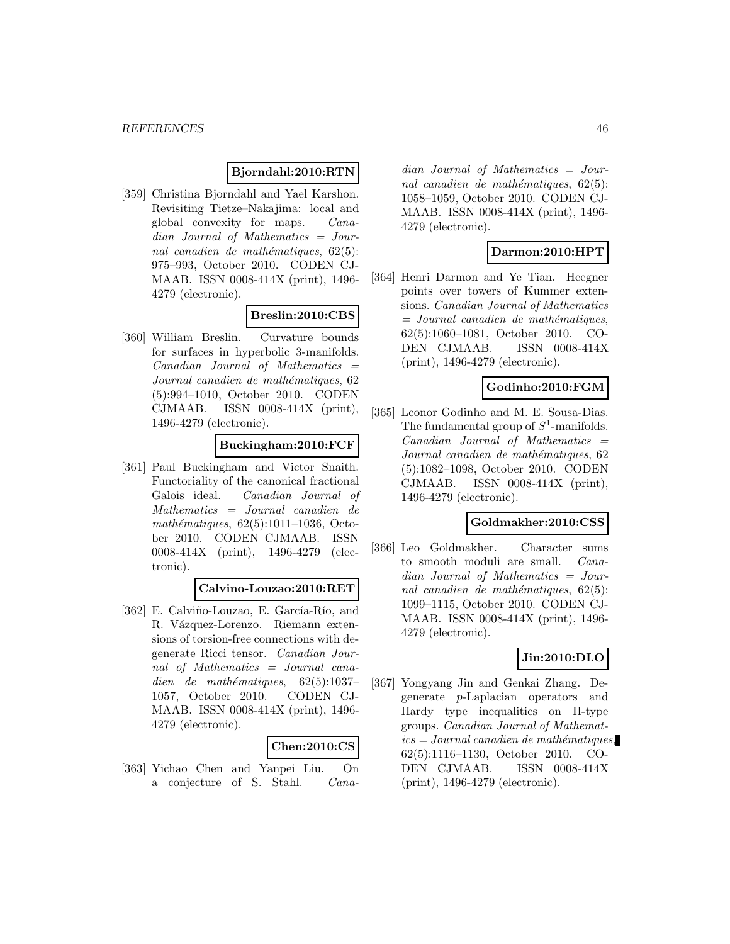#### **Bjorndahl:2010:RTN**

[359] Christina Bjorndahl and Yael Karshon. Revisiting Tietze–Nakajima: local and global convexity for maps. Canadian Journal of Mathematics = Journal canadien de mathématiques,  $62(5)$ : 975–993, October 2010. CODEN CJ-MAAB. ISSN 0008-414X (print), 1496- 4279 (electronic).

# **Breslin:2010:CBS**

[360] William Breslin. Curvature bounds for surfaces in hyperbolic 3-manifolds.  $Canadian$  Journal of Mathematics  $=$ Journal canadien de mathématiques, 62 (5):994–1010, October 2010. CODEN CJMAAB. ISSN 0008-414X (print), 1496-4279 (electronic).

### **Buckingham:2010:FCF**

[361] Paul Buckingham and Victor Snaith. Functoriality of the canonical fractional Galois ideal. Canadian Journal of Mathematics = Journal canadien de mathématiques,  $62(5):1011-1036$ , October 2010. CODEN CJMAAB. ISSN 0008-414X (print), 1496-4279 (electronic).

# **Calvino-Louzao:2010:RET**

[362] E. Calviño-Louzao, E. García-Río, and R. Vázquez-Lorenzo. Riemann extensions of torsion-free connections with degenerate Ricci tensor. Canadian Journal of Mathematics = Journal canadien de mathématiques,  $62(5):1037-$ 1057, October 2010. CODEN CJ-MAAB. ISSN 0008-414X (print), 1496- 4279 (electronic).

#### **Chen:2010:CS**

[363] Yichao Chen and Yanpei Liu. On a conjecture of S. Stahl. Canadian Journal of Mathematics = Journal canadien de mathématiques,  $62(5)$ : 1058–1059, October 2010. CODEN CJ-MAAB. ISSN 0008-414X (print), 1496- 4279 (electronic).

#### **Darmon:2010:HPT**

[364] Henri Darmon and Ye Tian. Heegner points over towers of Kummer extensions. Canadian Journal of Mathematics  $=$  Journal canadien de mathématiques, 62(5):1060–1081, October 2010. CO-DEN CJMAAB. ISSN 0008-414X (print), 1496-4279 (electronic).

#### **Godinho:2010:FGM**

[365] Leonor Godinho and M. E. Sousa-Dias. The fundamental group of  $S^1$ -manifolds.  $Canadian$  Journal of Mathematics  $=$ Journal canadien de mathématiques, 62 (5):1082–1098, October 2010. CODEN CJMAAB. ISSN 0008-414X (print), 1496-4279 (electronic).

#### **Goldmakher:2010:CSS**

[366] Leo Goldmakher. Character sums to smooth moduli are small. Canadian Journal of Mathematics = Journal canadien de mathématiques,  $62(5)$ : 1099–1115, October 2010. CODEN CJ-MAAB. ISSN 0008-414X (print), 1496- 4279 (electronic).

#### **Jin:2010:DLO**

[367] Yongyang Jin and Genkai Zhang. Degenerate p-Laplacian operators and Hardy type inequalities on H-type groups. Canadian Journal of Mathemat $ics = Journal\,c$  and  $i$ emathématiques, 62(5):1116–1130, October 2010. CO-DEN CJMAAB. ISSN 0008-414X (print), 1496-4279 (electronic).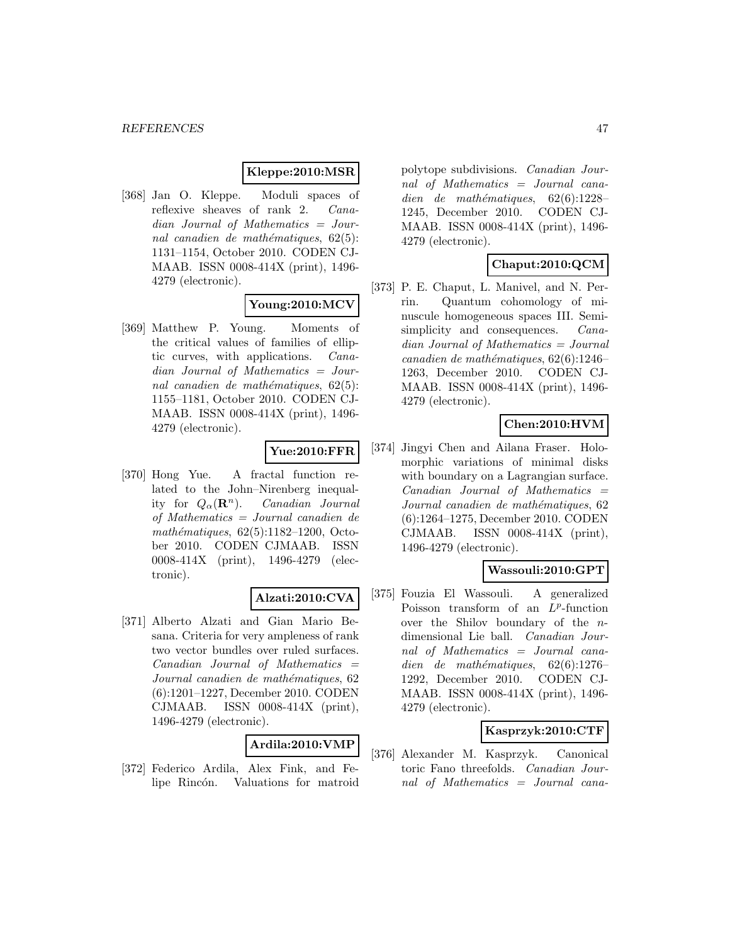#### **Kleppe:2010:MSR**

[368] Jan O. Kleppe. Moduli spaces of reflexive sheaves of rank 2. Canadian Journal of Mathematics = Journal canadien de mathématiques,  $62(5)$ : 1131–1154, October 2010. CODEN CJ-MAAB. ISSN 0008-414X (print), 1496- 4279 (electronic).

# **Young:2010:MCV**

[369] Matthew P. Young. Moments of the critical values of families of elliptic curves, with applications. Canadian Journal of Mathematics = Journal canadien de mathématiques,  $62(5)$ : 1155–1181, October 2010. CODEN CJ-MAAB. ISSN 0008-414X (print), 1496- 4279 (electronic).

# **Yue:2010:FFR**

[370] Hong Yue. A fractal function related to the John–Nirenberg inequality for  $Q_{\alpha}(\mathbf{R}^n)$ . Canadian Journal of Mathematics = Journal canadien de mathématiques,  $62(5):1182-1200$ , October 2010. CODEN CJMAAB. ISSN 0008-414X (print), 1496-4279 (electronic).

#### **Alzati:2010:CVA**

[371] Alberto Alzati and Gian Mario Besana. Criteria for very ampleness of rank two vector bundles over ruled surfaces.  $Canadian$  Journal of Mathematics  $=$ Journal canadien de mathématiques, 62 (6):1201–1227, December 2010. CODEN CJMAAB. ISSN 0008-414X (print), 1496-4279 (electronic).

### **Ardila:2010:VMP**

[372] Federico Ardila, Alex Fink, and Felipe Rincón. Valuations for matroid polytope subdivisions. Canadian Journal of Mathematics = Journal canadien de mathématiques,  $62(6):1228-$ 1245, December 2010. CODEN CJ-MAAB. ISSN 0008-414X (print), 1496- 4279 (electronic).

# **Chaput:2010:QCM**

[373] P. E. Chaput, L. Manivel, and N. Perrin. Quantum cohomology of minuscule homogeneous spaces III. Semisimplicity and consequences. *Cana*dian Journal of Mathematics = Journal canadien de mathématiques,  $62(6):1246-$ 1263, December 2010. CODEN CJ-MAAB. ISSN 0008-414X (print), 1496- 4279 (electronic).

# **Chen:2010:HVM**

[374] Jingyi Chen and Ailana Fraser. Holomorphic variations of minimal disks with boundary on a Lagrangian surface.  $Canadian$  Journal of Mathematics  $=$ Journal canadien de mathématiques, 62 (6):1264–1275, December 2010. CODEN CJMAAB. ISSN 0008-414X (print), 1496-4279 (electronic).

# **Wassouli:2010:GPT**

[375] Fouzia El Wassouli. A generalized Poisson transform of an  $L^p$ -function over the Shilov boundary of the ndimensional Lie ball. Canadian Journal of Mathematics = Journal canadien de mathématiques,  $62(6):1276-$ 1292, December 2010. CODEN CJ-MAAB. ISSN 0008-414X (print), 1496- 4279 (electronic).

#### **Kasprzyk:2010:CTF**

[376] Alexander M. Kasprzyk. Canonical toric Fano threefolds. Canadian Journal of Mathematics = Journal cana-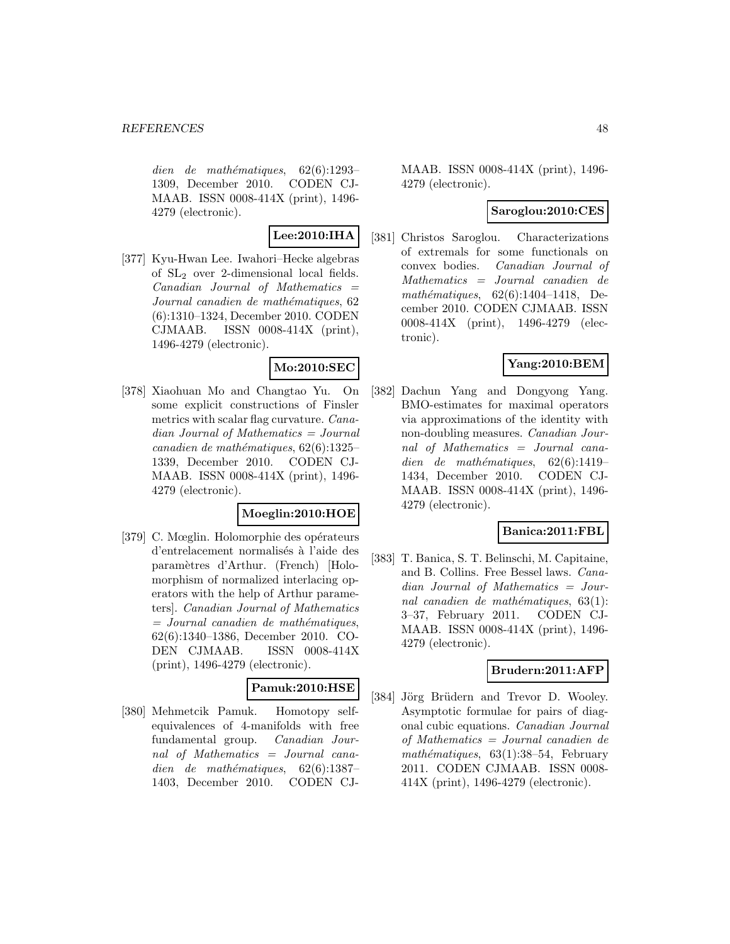$dien$  de mathématiques, 62(6):1293– 1309, December 2010. CODEN CJ-MAAB. ISSN 0008-414X (print), 1496- 4279 (electronic).

# **Lee:2010:IHA**

[377] Kyu-Hwan Lee. Iwahori–Hecke algebras of SL<sup>2</sup> over 2-dimensional local fields.  $Canadian$  Journal of Mathematics  $=$ Journal canadien de mathématiques, 62 (6):1310–1324, December 2010. CODEN CJMAAB. ISSN 0008-414X (print), 1496-4279 (electronic).

# **Mo:2010:SEC**

[378] Xiaohuan Mo and Changtao Yu. On some explicit constructions of Finsler metrics with scalar flag curvature. Canadian Journal of Mathematics = Journal  $cana dien de mathématiques, 62(6):1325-$ 1339, December 2010. CODEN CJ-MAAB. ISSN 0008-414X (print), 1496- 4279 (electronic).

# **Moeglin:2010:HOE**

[379] C. Mœglin. Holomorphie des opérateurs d'entrelacement normalisés à l'aide des param`etres d'Arthur. (French) [Holomorphism of normalized interlacing operators with the help of Arthur parameters]. Canadian Journal of Mathematics  $=$  Journal canadien de mathématiques, 62(6):1340–1386, December 2010. CO-DEN CJMAAB. ISSN 0008-414X (print), 1496-4279 (electronic).

# **Pamuk:2010:HSE**

[380] Mehmetcik Pamuk. Homotopy selfequivalences of 4-manifolds with free fundamental group. Canadian Journal of Mathematics = Journal canadien de mathématiques,  $62(6):1387-$ 1403, December 2010. CODEN CJ-

MAAB. ISSN 0008-414X (print), 1496- 4279 (electronic).

# **Saroglou:2010:CES**

[381] Christos Saroglou. Characterizations of extremals for some functionals on convex bodies. Canadian Journal of Mathematics = Journal canadien de mathématiques,  $62(6):1404-1418$ , December 2010. CODEN CJMAAB. ISSN 0008-414X (print), 1496-4279 (electronic).

### **Yang:2010:BEM**

[382] Dachun Yang and Dongyong Yang. BMO-estimates for maximal operators via approximations of the identity with non-doubling measures. *Canadian Jour*nal of Mathematics = Journal canadien de mathématiques,  $62(6):1419-$ 1434, December 2010. CODEN CJ-MAAB. ISSN 0008-414X (print), 1496- 4279 (electronic).

# **Banica:2011:FBL**

[383] T. Banica, S. T. Belinschi, M. Capitaine, and B. Collins. Free Bessel laws. Canadian Journal of Mathematics = Journal canadien de mathématiques,  $63(1)$ : 3–37, February 2011. CODEN CJ-MAAB. ISSN 0008-414X (print), 1496- 4279 (electronic).

### **Brudern:2011:AFP**

[384] Jörg Brüdern and Trevor D. Wooley. Asymptotic formulae for pairs of diagonal cubic equations. Canadian Journal of Mathematics = Journal canadien de  $mathématiques, 63(1):38-54, February$ 2011. CODEN CJMAAB. ISSN 0008- 414X (print), 1496-4279 (electronic).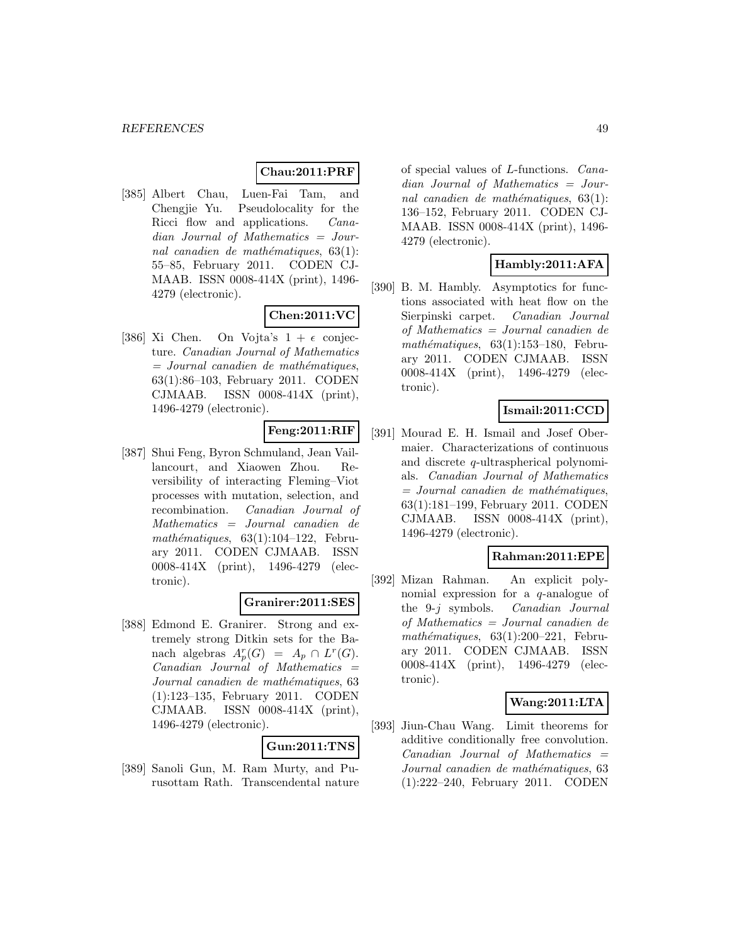#### **Chau:2011:PRF**

[385] Albert Chau, Luen-Fai Tam, and Chengjie Yu. Pseudolocality for the Ricci flow and applications. Canadian Journal of Mathematics = Journal canadien de mathématiques,  $63(1)$ : 55–85, February 2011. CODEN CJ-MAAB. ISSN 0008-414X (print), 1496- 4279 (electronic).

# **Chen:2011:VC**

[386] Xi Chen. On Vojta's  $1 + \epsilon$  conjecture. Canadian Journal of Mathematics  $=$  Journal canadien de mathématiques, 63(1):86–103, February 2011. CODEN CJMAAB. ISSN 0008-414X (print), 1496-4279 (electronic).

# **Feng:2011:RIF**

[387] Shui Feng, Byron Schmuland, Jean Vaillancourt, and Xiaowen Zhou. Reversibility of interacting Fleming–Viot processes with mutation, selection, and recombination. Canadian Journal of Mathematics = Journal canadien de mathématiques,  $63(1):104-122$ , February 2011. CODEN CJMAAB. ISSN 0008-414X (print), 1496-4279 (electronic).

# **Granirer:2011:SES**

[388] Edmond E. Granirer. Strong and extremely strong Ditkin sets for the Banach algebras  $A_p^r(G) = A_p \cap L^r(G)$ . Canadian Journal of Mathematics = Journal canadien de mathématiques, 63 (1):123–135, February 2011. CODEN CJMAAB. ISSN 0008-414X (print), 1496-4279 (electronic).

### **Gun:2011:TNS**

[389] Sanoli Gun, M. Ram Murty, and Purusottam Rath. Transcendental nature of special values of L-functions. Canadian Journal of Mathematics = Journal canadien de mathématiques,  $63(1)$ : 136–152, February 2011. CODEN CJ-MAAB. ISSN 0008-414X (print), 1496- 4279 (electronic).

# **Hambly:2011:AFA**

[390] B. M. Hambly. Asymptotics for functions associated with heat flow on the Sierpinski carpet. Canadian Journal of Mathematics = Journal canadien de mathématiques,  $63(1):153-180$ , February 2011. CODEN CJMAAB. ISSN 0008-414X (print), 1496-4279 (electronic).

### **Ismail:2011:CCD**

[391] Mourad E. H. Ismail and Josef Obermaier. Characterizations of continuous and discrete q-ultraspherical polynomials. Canadian Journal of Mathematics  $=$  Journal canadien de mathématiques, 63(1):181–199, February 2011. CODEN CJMAAB. ISSN 0008-414X (print), 1496-4279 (electronic).

# **Rahman:2011:EPE**

[392] Mizan Rahman. An explicit polynomial expression for a q-analogue of the 9-j symbols. Canadian Journal of Mathematics = Journal canadien de  $mathématiques, 63(1):200-221$ , February 2011. CODEN CJMAAB. ISSN 0008-414X (print), 1496-4279 (electronic).

# **Wang:2011:LTA**

[393] Jiun-Chau Wang. Limit theorems for additive conditionally free convolution.  $Canadian$  Journal of Mathematics  $=$ Journal canadien de mathématiques, 63 (1):222–240, February 2011. CODEN